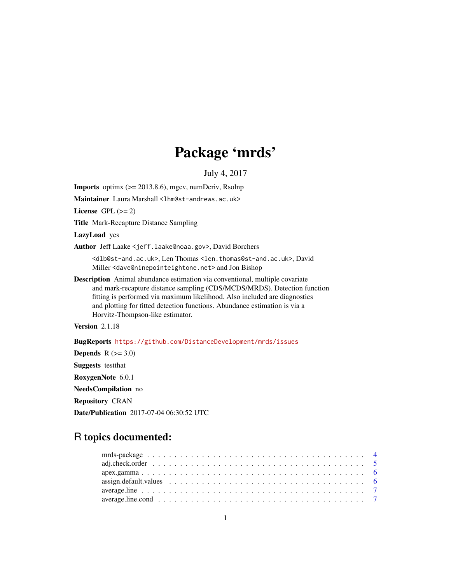# Package 'mrds'

July 4, 2017

<span id="page-0-0"></span>**Imports** optimx  $(>= 2013.8.6)$ , mgcv, numDeriv, Rsolnp Maintainer Laura Marshall <1hm@st-andrews.ac.uk>

License GPL  $(>= 2)$ 

Title Mark-Recapture Distance Sampling

LazyLoad yes

Author Jeff Laake <jeff.laake@noaa.gov>, David Borchers

<dlb@st-and.ac.uk>, Len Thomas <len.thomas@st-and.ac.uk>, David Miller <dave@ninepointeightone.net> and Jon Bishop

Description Animal abundance estimation via conventional, multiple covariate and mark-recapture distance sampling (CDS/MCDS/MRDS). Detection function fitting is performed via maximum likelihood. Also included are diagnostics and plotting for fitted detection functions. Abundance estimation is via a Horvitz-Thompson-like estimator.

Version 2.1.18

BugReports <https://github.com/DistanceDevelopment/mrds/issues>

Depends  $R$  ( $>= 3.0$ )

Suggests testthat

RoxygenNote 6.0.1

NeedsCompilation no

Repository CRAN

Date/Publication 2017-07-04 06:30:52 UTC

# R topics documented: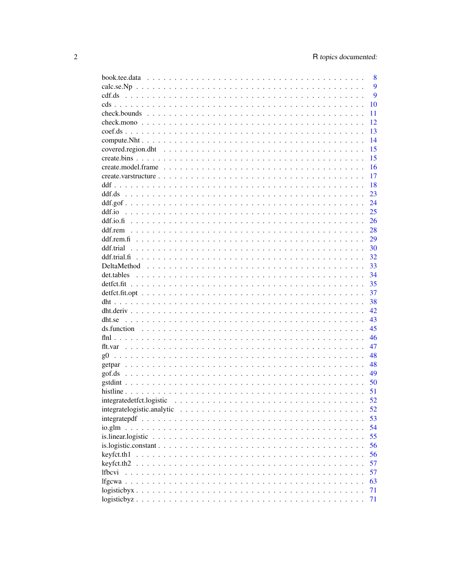|                                                                                                          | 8  |
|----------------------------------------------------------------------------------------------------------|----|
|                                                                                                          | 9  |
|                                                                                                          | 9  |
|                                                                                                          | 10 |
|                                                                                                          | 11 |
|                                                                                                          | 12 |
|                                                                                                          | 13 |
|                                                                                                          | 14 |
|                                                                                                          | 15 |
|                                                                                                          | 15 |
|                                                                                                          | 16 |
|                                                                                                          | 17 |
|                                                                                                          | 18 |
|                                                                                                          | 23 |
|                                                                                                          | 24 |
| ddf.io                                                                                                   | 25 |
|                                                                                                          | 26 |
|                                                                                                          | 28 |
|                                                                                                          | 29 |
| ddf.trial                                                                                                | 30 |
|                                                                                                          | 32 |
|                                                                                                          | 33 |
|                                                                                                          | 34 |
|                                                                                                          | 35 |
|                                                                                                          | 37 |
|                                                                                                          | 38 |
|                                                                                                          | 42 |
|                                                                                                          | 43 |
|                                                                                                          | 45 |
|                                                                                                          | 46 |
|                                                                                                          | 47 |
| $\varrho$ 0                                                                                              | 48 |
|                                                                                                          | 48 |
|                                                                                                          | 49 |
|                                                                                                          | 50 |
|                                                                                                          | 51 |
|                                                                                                          | 52 |
|                                                                                                          | 52 |
|                                                                                                          | 53 |
| io.glm                                                                                                   | 54 |
| is.linear.logistic $\ldots \ldots \ldots \ldots \ldots \ldots \ldots \ldots \ldots \ldots \ldots \ldots$ | 55 |
|                                                                                                          | 56 |
| keyfct.th1                                                                                               | 56 |
| keyfct.th2.                                                                                              | 57 |
| <i>lfbcvi</i>                                                                                            | 57 |
|                                                                                                          | 63 |
|                                                                                                          |    |
|                                                                                                          | 71 |
|                                                                                                          | 71 |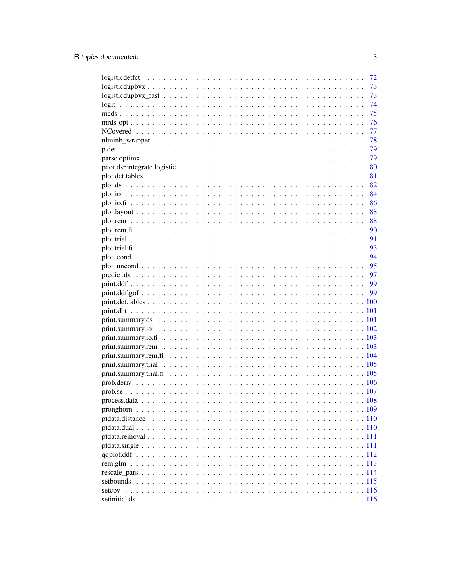|                                                                                                              | 72  |
|--------------------------------------------------------------------------------------------------------------|-----|
| $logisticallybyx \ldots \ldots \ldots \ldots \ldots \ldots \ldots \ldots \ldots \ldots \ldots \ldots \ldots$ | 73  |
|                                                                                                              | 73  |
|                                                                                                              | 74  |
|                                                                                                              | 75  |
|                                                                                                              | -76 |
|                                                                                                              | -77 |
|                                                                                                              | 78  |
|                                                                                                              |     |
|                                                                                                              |     |
|                                                                                                              |     |
|                                                                                                              | 81  |
|                                                                                                              |     |
|                                                                                                              |     |
|                                                                                                              | 86  |
|                                                                                                              | 88  |
|                                                                                                              | 88  |
|                                                                                                              | 90  |
|                                                                                                              | 91  |
|                                                                                                              | 93  |
|                                                                                                              | 94  |
|                                                                                                              | 95  |
|                                                                                                              | 97  |
|                                                                                                              |     |
|                                                                                                              |     |
|                                                                                                              |     |
|                                                                                                              |     |
|                                                                                                              |     |
|                                                                                                              |     |
|                                                                                                              |     |
|                                                                                                              |     |
|                                                                                                              |     |
|                                                                                                              |     |
|                                                                                                              |     |
|                                                                                                              |     |
|                                                                                                              |     |
|                                                                                                              |     |
|                                                                                                              |     |
|                                                                                                              |     |
|                                                                                                              |     |
|                                                                                                              |     |
|                                                                                                              |     |
|                                                                                                              |     |
|                                                                                                              |     |
|                                                                                                              |     |
|                                                                                                              |     |
|                                                                                                              |     |
| setinitial.ds                                                                                                |     |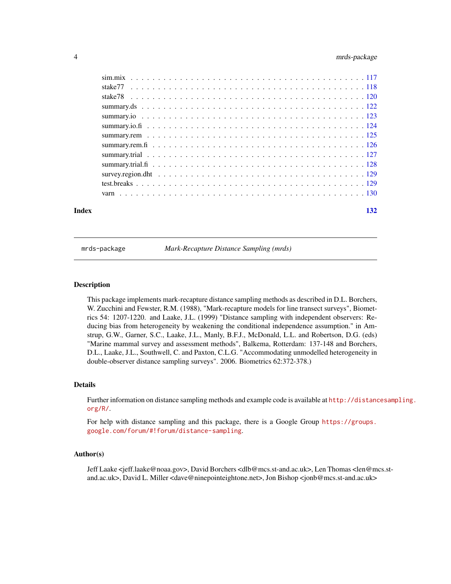# <span id="page-3-0"></span>4 mrds-package

| Index | 132 |
|-------|-----|
|       |     |
|       |     |
|       |     |
|       |     |
|       |     |
|       |     |
|       |     |
|       |     |
|       |     |
|       |     |
|       |     |
|       |     |
|       |     |
|       |     |

mrds-package *Mark-Recapture Distance Sampling (mrds)*

# **Description**

This package implements mark-recapture distance sampling methods as described in D.L. Borchers, W. Zucchini and Fewster, R.M. (1988), "Mark-recapture models for line transect surveys", Biometrics 54: 1207-1220. and Laake, J.L. (1999) "Distance sampling with independent observers: Reducing bias from heterogeneity by weakening the conditional independence assumption." in Amstrup, G.W., Garner, S.C., Laake, J.L., Manly, B.F.J., McDonald, L.L. and Robertson, D.G. (eds) "Marine mammal survey and assessment methods", Balkema, Rotterdam: 137-148 and Borchers, D.L., Laake, J.L., Southwell, C. and Paxton, C.L.G. "Accommodating unmodelled heterogeneity in double-observer distance sampling surveys". 2006. Biometrics 62:372-378.)

#### Details

Further information on distance sampling methods and example code is available at [http://distanc](http://distancesampling.org/R/)esampling. [org/R/](http://distancesampling.org/R/).

For help with distance sampling and this package, there is a Google Group [https://groups.](https://groups.google.com/forum/#!forum/distance-sampling) [google.com/forum/#!forum/distance-sampling](https://groups.google.com/forum/#!forum/distance-sampling).

#### Author(s)

Jeff Laake <jeff.laake@noaa.gov>, David Borchers <dlb@mcs.st-and.ac.uk>, Len Thomas <len@mcs.stand.ac.uk>, David L. Miller <dave@ninepointeightone.net>, Jon Bishop <jonb@mcs.st-and.ac.uk>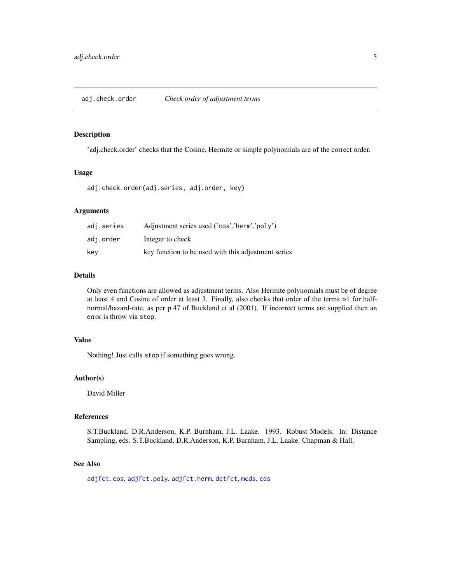<span id="page-4-0"></span>'adj.check.order' checks that the Cosine, Hermite or simple polynomials are of the correct order.

#### Usage

adj.check.order(adj.series, adj.order, key)

# Arguments

| adi.series | Adjustment series used ('cos','herm','poly')        |
|------------|-----------------------------------------------------|
| adi.order  | Integer to check                                    |
| kev        | key function to be used with this adjustment series |

#### Details

Only even functions are allowed as adjustment terms. Also Hermite polynomials must be of degree at least 4 and Cosine of order at least 3. Finally, also checks that order of the terms >1 for halfnormal/hazard-rate, as per p.47 of Buckland et al (2001). If incorrect terms are supplied then an error is throw via stop.

# Value

Nothing! Just calls stop if something goes wrong.

# Author(s)

David Miller

#### References

S.T.Buckland, D.R.Anderson, K.P. Burnham, J.L. Laake. 1993. Robust Models. In: Distance Sampling, eds. S.T.Buckland, D.R.Anderson, K.P. Burnham, J.L. Laake. Chapman & Hall.

#### See Also

[adjfct.cos](#page-0-0), [adjfct.poly](#page-0-0), [adjfct.herm](#page-0-0), [detfct](#page-0-0), [mcds](#page-74-1), [cds](#page-9-1)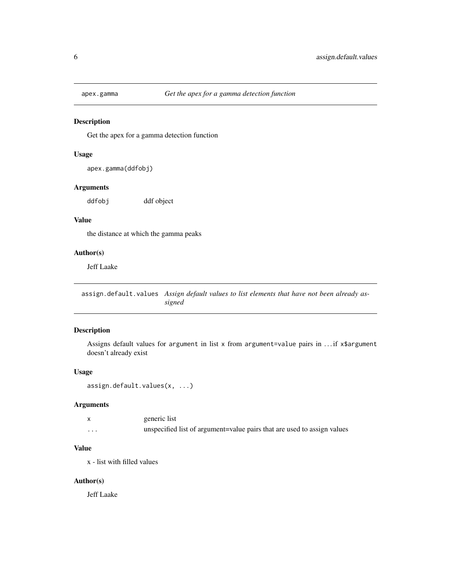<span id="page-5-0"></span>

Get the apex for a gamma detection function

# Usage

```
apex.gamma(ddfobj)
```
#### Arguments

ddfobj ddf object

#### Value

the distance at which the gamma peaks

# Author(s)

Jeff Laake

assign.default.values *Assign default values to list elements that have not been already assigned*

# Description

Assigns default values for argument in list x from argument=value pairs in . . . if x\$argument doesn't already exist

#### Usage

```
assign.default.values(x, ...)
```
#### Arguments

|         | generic list                                                            |
|---------|-------------------------------------------------------------------------|
| $\cdot$ | unspecified list of argument=value pairs that are used to assign values |

# Value

x - list with filled values

#### Author(s)

Jeff Laake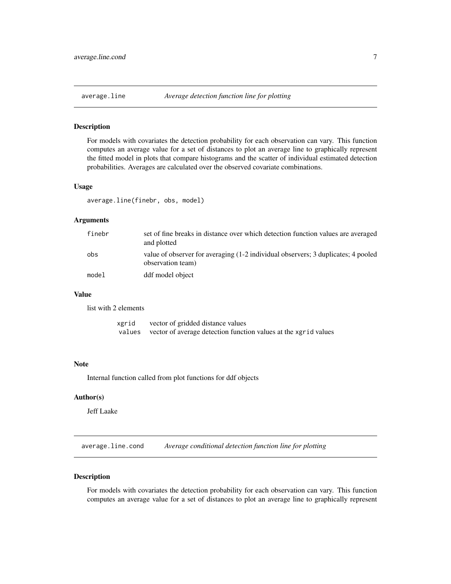<span id="page-6-0"></span>

For models with covariates the detection probability for each observation can vary. This function computes an average value for a set of distances to plot an average line to graphically represent the fitted model in plots that compare histograms and the scatter of individual estimated detection probabilities. Averages are calculated over the observed covariate combinations.

#### Usage

average.line(finebr, obs, model)

#### Arguments

| finebr | set of fine breaks in distance over which detection function values are averaged<br>and plotted        |
|--------|--------------------------------------------------------------------------------------------------------|
| obs    | value of observer for averaging (1-2 individual observers; 3 duplicates; 4 pooled<br>observation team) |
| model  | ddf model object                                                                                       |

# Value

list with 2 elements

| xgrid | vector of gridded distance values                                      |
|-------|------------------------------------------------------------------------|
|       | values vector of average detection function values at the xgrid values |

#### Note

Internal function called from plot functions for ddf objects

# Author(s)

Jeff Laake

average.line.cond *Average conditional detection function line for plotting*

#### Description

For models with covariates the detection probability for each observation can vary. This function computes an average value for a set of distances to plot an average line to graphically represent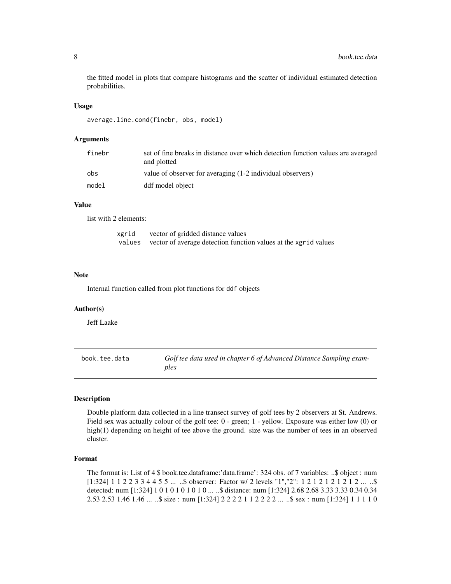the fitted model in plots that compare histograms and the scatter of individual estimated detection probabilities.

#### Usage

average.line.cond(finebr, obs, model)

#### Arguments

| finebr | set of fine breaks in distance over which detection function values are averaged<br>and plotted |
|--------|-------------------------------------------------------------------------------------------------|
| obs    | value of observer for averaging (1-2 individual observers)                                      |
| model  | ddf model object                                                                                |

# Value

list with 2 elements:

| xgrid  | vector of gridded distance values                               |
|--------|-----------------------------------------------------------------|
| values | vector of average detection function values at the xgrid values |

#### **Note**

Internal function called from plot functions for ddf objects

#### Author(s)

Jeff Laake

book.tee.data *Golf tee data used in chapter 6 of Advanced Distance Sampling examples*

#### Description

Double platform data collected in a line transect survey of golf tees by 2 observers at St. Andrews. Field sex was actually colour of the golf tee: 0 - green; 1 - yellow. Exposure was either low (0) or high(1) depending on height of tee above the ground. size was the number of tees in an observed cluster.

# Format

The format is: List of 4 \$ book.tee.dataframe:'data.frame': 324 obs. of 7 variables: ..\$ object : num [1:324] 1 1 2 2 3 3 4 4 5 5 ... ..\$ observer: Factor w/ 2 levels "1","2": 1 2 1 2 1 2 1 2 1 2 ... ..\$ detected: num [1:324] 1 0 1 0 1 0 1 0 1 0 ... ..\$ distance: num [1:324] 2.68 2.68 3.33 3.33 0.34 0.34 2.53 2.53 1.46 1.46 ... ..\$ size : num [1:324] 2 2 2 2 1 1 2 2 2 2 ... ..\$ sex : num [1:324] 1 1 1 1 0

<span id="page-7-0"></span>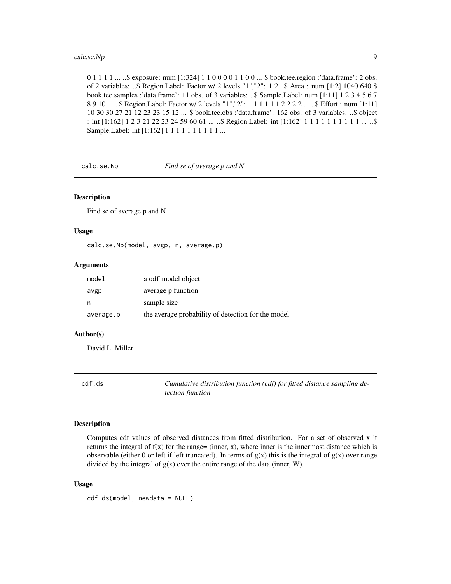<span id="page-8-0"></span>0 1 1 1 1 ... ..\$ exposure: num [1:324] 1 1 0 0 0 0 1 1 0 0 ... \$ book.tee.region :'data.frame': 2 obs. of 2 variables: ..\$ Region.Label: Factor w/ 2 levels "1","2": 1 2 ..\$ Area : num [1:2] 1040 640 \$ book.tee.samples :'data.frame': 11 obs. of 3 variables: ..\$ Sample.Label: num [1:11] 1 2 3 4 5 6 7 8 9 10 ... ..\$ Region.Label: Factor w/ 2 levels "1","2": 1 1 1 1 1 1 2 2 2 2 ... ..\$ Effort : num [1:11] 10 30 30 27 21 12 23 23 15 12 ... \$ book.tee.obs :'data.frame': 162 obs. of 3 variables: ..\$ object : int [1:162] 1 2 3 21 22 23 24 59 60 61 ... ..\$ Region.Label: int [1:162] 1 1 1 1 1 1 1 1 1 1 ... ..\$ Sample. Label: int [1:162] 1 1 1 1 1 1 1 1 1 1 ...

calc.se.Np *Find se of average p and N*

#### Description

Find se of average p and N

#### Usage

calc.se.Np(model, avgp, n, average.p)

#### Arguments

| model     | a ddf model object                                 |
|-----------|----------------------------------------------------|
| avgp      | average p function                                 |
| n         | sample size                                        |
| average.p | the average probability of detection for the model |

#### Author(s)

David L. Miller

cdf.ds *Cumulative distribution function (cdf) for fitted distance sampling detection function*

#### Description

Computes cdf values of observed distances from fitted distribution. For a set of observed x it returns the integral of  $f(x)$  for the range= (inner, x), where inner is the innermost distance which is observable (either 0 or left if left truncated). In terms of  $g(x)$  this is the integral of  $g(x)$  over range divided by the integral of  $g(x)$  over the entire range of the data (inner, W).

#### Usage

cdf.ds(model, newdata = NULL)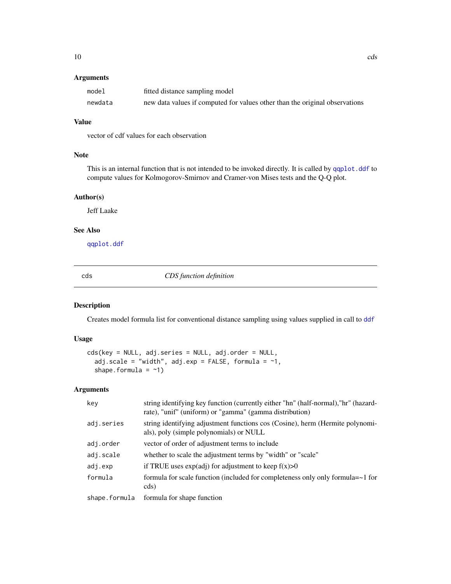# <span id="page-9-0"></span>Arguments

| model   | fitted distance sampling model                                              |
|---------|-----------------------------------------------------------------------------|
| newdata | new data values if computed for values other than the original observations |

# Value

vector of cdf values for each observation

# Note

This is an internal function that is not intended to be invoked directly. It is called by [qqplot.ddf](#page-111-1) to compute values for Kolmogorov-Smirnov and Cramer-von Mises tests and the Q-Q plot.

#### Author(s)

Jeff Laake

# See Also

[qqplot.ddf](#page-111-1)

<span id="page-9-1"></span>cds *CDS function definition*

# Description

Creates model formula list for conventional distance sampling using values supplied in call to [ddf](#page-17-1)

#### Usage

```
cds(key = NULL, adj.series = NULL, adj.order = NULL,
  adj.scale = "width", adj.exp = FALSE, formula = \sim1,
  shape.formula = -1)
```
# Arguments

| key           | string identifying key function (currently either "hn" (half-normal), "hr" (hazard-<br>rate), "unif" (uniform) or "gamma" (gamma distribution) |
|---------------|------------------------------------------------------------------------------------------------------------------------------------------------|
| adj.series    | string identifying adjustment functions cos (Cosine), herm (Hermite polynomi-<br>als), poly (simple polynomials) or NULL                       |
| adj.order     | vector of order of adjustment terms to include                                                                                                 |
| adj.scale     | whether to scale the adjustment terms by "width" or "scale"                                                                                    |
| adj.exp       | if TRUE uses $exp(adj)$ for adjustment to keep $f(x) > 0$                                                                                      |
| formula       | formula for scale function (included for completeness only only formula= $\sim$ 1 for<br>cds)                                                  |
| shape.formula | formula for shape function                                                                                                                     |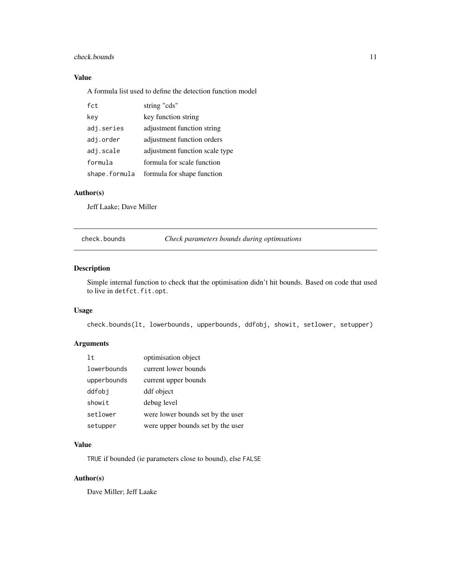#### <span id="page-10-0"></span>check.bounds 11

# Value

A formula list used to define the detection function model

| fct           | string "cds"                   |
|---------------|--------------------------------|
| key           | key function string            |
| adj.series    | adjustment function string     |
| adj.order     | adjustment function orders     |
| adj.scale     | adjustment function scale type |
| formula       | formula for scale function     |
| shape.formula | formula for shape function     |

# Author(s)

Jeff Laake; Dave Miller

check.bounds *Check parameters bounds during optimsations*

# Description

Simple internal function to check that the optimisation didn't hit bounds. Based on code that used to live in detfct.fit.opt.

#### Usage

check.bounds(lt, lowerbounds, upperbounds, ddfobj, showit, setlower, setupper)

# Arguments

| 1t          | optimisation object               |
|-------------|-----------------------------------|
| lowerbounds | current lower bounds              |
| upperbounds | current upper bounds              |
| ddfobi      | ddf object                        |
| showit      | debug level                       |
| setlower    | were lower bounds set by the user |
| setupper    | were upper bounds set by the user |

#### Value

TRUE if bounded (ie parameters close to bound), else FALSE

# Author(s)

Dave Miller; Jeff Laake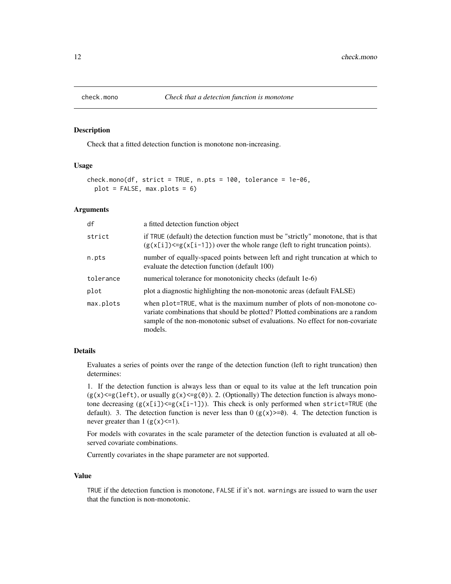<span id="page-11-0"></span>

Check that a fitted detection function is monotone non-increasing.

# Usage

```
check.mono(df, strict = TRUE, n.pts = 100, tolerance = 1e-06,plot = FALSE, max.plot = 6)
```
#### Arguments

| df        | a fitted detection function object                                                                                                                                                                                                                     |
|-----------|--------------------------------------------------------------------------------------------------------------------------------------------------------------------------------------------------------------------------------------------------------|
| strict    | if TRUE (default) the detection function must be "strictly" monotone, that is that<br>$(g(x[i]) \le g(x[i-1]))$ over the whole range (left to right truncation points).                                                                                |
| n.pts     | number of equally-spaced points between left and right truncation at which to<br>evaluate the detection function (default 100)                                                                                                                         |
| tolerance | numerical tolerance for monotonicity checks (default 1e-6)                                                                                                                                                                                             |
| plot      | plot a diagnostic highlighting the non-monotonic areas (default FALSE)                                                                                                                                                                                 |
| max.plots | when plot=TRUE, what is the maximum number of plots of non-monotone co-<br>variate combinations that should be plotted? Plotted combinations are a random<br>sample of the non-monotonic subset of evaluations. No effect for non-covariate<br>models. |

# Details

Evaluates a series of points over the range of the detection function (left to right truncation) then determines:

1. If the detection function is always less than or equal to its value at the left truncation poin  $(g(x) \le g(\text{left}),$  or usually  $g(x) \le g(0)$ ). 2. (Optionally) The detection function is always monotone decreasing  $(g(x[i])\leq g(x[i-1]))$ . This check is only performed when strict=TRUE (the default). 3. The detection function is never less than  $0$  ( $g(x) >=0$ ). 4. The detection function is never greater than  $1 (g(x) \leq 1)$ .

For models with covarates in the scale parameter of the detection function is evaluated at all observed covariate combinations.

Currently covariates in the shape parameter are not supported.

## Value

TRUE if the detection function is monotone, FALSE if it's not. warnings are issued to warn the user that the function is non-monotonic.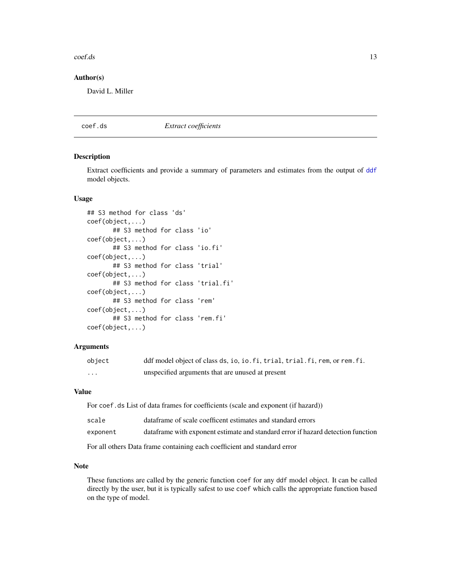#### <span id="page-12-0"></span>coef.ds 23

#### Author(s)

David L. Miller

<span id="page-12-1"></span>coef.ds *Extract coefficients*

#### <span id="page-12-2"></span>Description

Extract coefficients and provide a summary of parameters and estimates from the output of [ddf](#page-17-1) model objects.

#### Usage

```
## S3 method for class 'ds'
coef(object,...)
       ## S3 method for class 'io'
coef(object,...)
       ## S3 method for class 'io.fi'
coef(object,...)
       ## S3 method for class 'trial'
coef(object,...)
       ## S3 method for class 'trial.fi'
coef(object,...)
       ## S3 method for class 'rem'
coef(object,...)
       ## S3 method for class 'rem.fi'
coef(object,...)
```
#### **Arguments**

| object | ddf model object of class ds, io, io. fi, trial, trial. fi, rem, or rem. fi. |
|--------|------------------------------------------------------------------------------|
| .      | unspecified arguments that are unused at present                             |

# Value

For coef.ds List of data frames for coefficients (scale and exponent (if hazard))

| scale    | dataframe of scale coefficent estimates and standard errors                       |
|----------|-----------------------------------------------------------------------------------|
| exponent | data frame with exponent estimate and standard error if hazard detection function |

For all others Data frame containing each coefficient and standard error

#### Note

These functions are called by the generic function coef for any ddf model object. It can be called directly by the user, but it is typically safest to use coef which calls the appropriate function based on the type of model.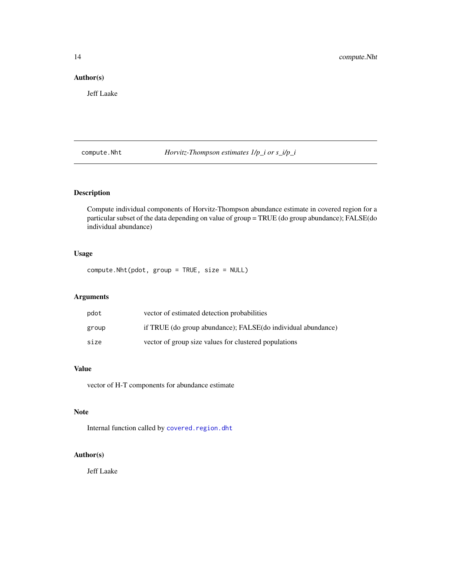# <span id="page-13-0"></span>Author(s)

Jeff Laake

compute.Nht *Horvitz-Thompson estimates 1/p\_i or s\_i/p\_i*

# Description

Compute individual components of Horvitz-Thompson abundance estimate in covered region for a particular subset of the data depending on value of group = TRUE (do group abundance); FALSE(do individual abundance)

# Usage

compute.Nht(pdot, group = TRUE, size = NULL)

# Arguments

| pdot  | vector of estimated detection probabilities                  |
|-------|--------------------------------------------------------------|
| group | if TRUE (do group abundance); FALSE(do individual abundance) |
| size  | vector of group size values for clustered populations        |

# Value

vector of H-T components for abundance estimate

# Note

Internal function called by [covered.region.dht](#page-14-1)

# Author(s)

Jeff Laake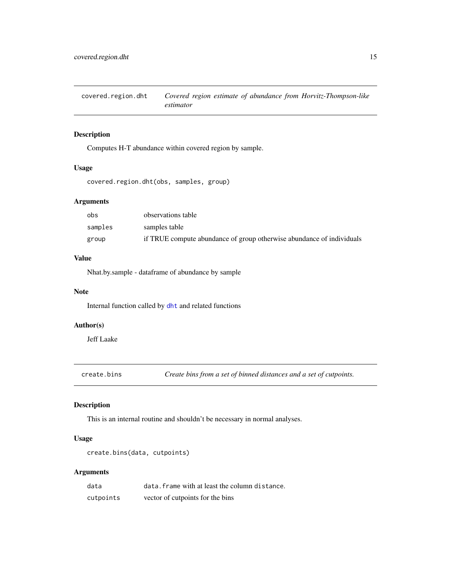<span id="page-14-1"></span><span id="page-14-0"></span>covered.region.dht *Covered region estimate of abundance from Horvitz-Thompson-like estimator*

# Description

Computes H-T abundance within covered region by sample.

# Usage

covered.region.dht(obs, samples, group)

# Arguments

| obs     | observations table                                                    |
|---------|-----------------------------------------------------------------------|
| samples | samples table                                                         |
| group   | if TRUE compute abundance of group otherwise abundance of individuals |

#### Value

Nhat.by.sample - dataframe of abundance by sample

#### Note

Internal function called by [dht](#page-37-1) and related functions

# Author(s)

Jeff Laake

create.bins *Create bins from a set of binned distances and a set of cutpoints.*

# Description

This is an internal routine and shouldn't be necessary in normal analyses.

# Usage

```
create.bins(data, cutpoints)
```
#### Arguments

| data      | data. frame with at least the column distance. |
|-----------|------------------------------------------------|
| cutpoints | vector of cutpoints for the bins               |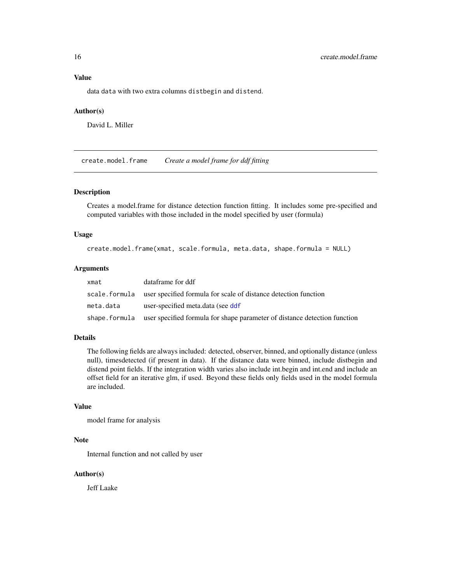# <span id="page-15-0"></span>Value

data data with two extra columns distbegin and distend.

#### Author(s)

David L. Miller

create.model.frame *Create a model frame for ddf fitting*

# Description

Creates a model.frame for distance detection function fitting. It includes some pre-specified and computed variables with those included in the model specified by user (formula)

#### Usage

create.model.frame(xmat, scale.formula, meta.data, shape.formula = NULL)

#### Arguments

| xmat      | dataframe for ddf                                                                        |
|-----------|------------------------------------------------------------------------------------------|
|           | scale, formula user specified formula for scale of distance detection function           |
| meta.data | user-specified meta.data (see ddf                                                        |
|           | shape. formula user specified formula for shape parameter of distance detection function |

# Details

The following fields are always included: detected, observer, binned, and optionally distance (unless null), timesdetected (if present in data). If the distance data were binned, include distbegin and distend point fields. If the integration width varies also include int.begin and int.end and include an offset field for an iterative glm, if used. Beyond these fields only fields used in the model formula are included.

#### Value

model frame for analysis

#### Note

Internal function and not called by user

# Author(s)

Jeff Laake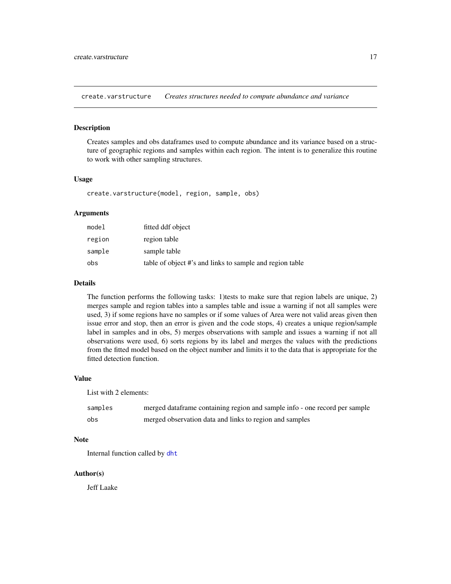<span id="page-16-0"></span>create.varstructure *Creates structures needed to compute abundance and variance*

#### Description

Creates samples and obs dataframes used to compute abundance and its variance based on a structure of geographic regions and samples within each region. The intent is to generalize this routine to work with other sampling structures.

#### Usage

create.varstructure(model, region, sample, obs)

#### Arguments

| model  | fitted ddf object                                        |
|--------|----------------------------------------------------------|
| region | region table                                             |
| sample | sample table                                             |
| obs    | table of object #'s and links to sample and region table |

#### Details

The function performs the following tasks: 1)tests to make sure that region labels are unique, 2) merges sample and region tables into a samples table and issue a warning if not all samples were used, 3) if some regions have no samples or if some values of Area were not valid areas given then issue error and stop, then an error is given and the code stops, 4) creates a unique region/sample label in samples and in obs, 5) merges observations with sample and issues a warning if not all observations were used, 6) sorts regions by its label and merges the values with the predictions from the fitted model based on the object number and limits it to the data that is appropriate for the fitted detection function.

#### Value

List with 2 elements:

| samples | merged dataframe containing region and sample info - one record per sample |
|---------|----------------------------------------------------------------------------|
| obs     | merged observation data and links to region and samples                    |

#### Note

Internal function called by [dht](#page-37-1)

# Author(s)

Jeff Laake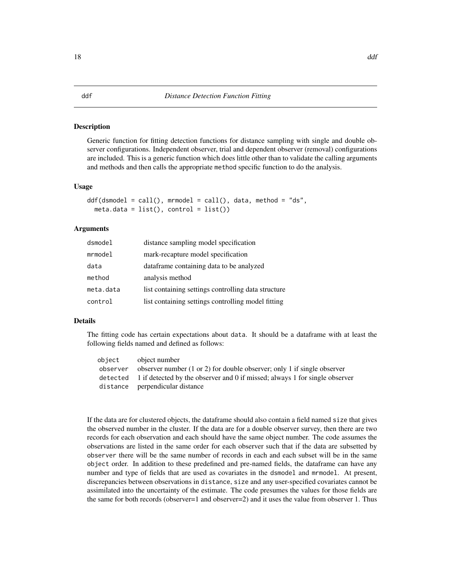Generic function for fitting detection functions for distance sampling with single and double observer configurations. Independent observer, trial and dependent observer (removal) configurations are included. This is a generic function which does little other than to validate the calling arguments and methods and then calls the appropriate method specific function to do the analysis.

#### Usage

```
ddf(dsmooth = call(), mmodel = call(), data, method = "ds",meta.data = list(), control = list())
```
# Arguments

| dsmodel   | distance sampling model specification               |
|-----------|-----------------------------------------------------|
| mrmodel   | mark-recapture model specification                  |
| data      | dataframe containing data to be analyzed            |
| method    | analysis method                                     |
| meta.data | list containing settings controlling data structure |
| control   | list containing settings controlling model fitting  |

#### Details

The fitting code has certain expectations about data. It should be a dataframe with at least the following fields named and defined as follows:

| object   | object number                                                                        |
|----------|--------------------------------------------------------------------------------------|
| observer | observer number $(1 \text{ or } 2)$ for double observer; only 1 if single observer   |
|          | detected 1 if detected by the observer and 0 if missed; always 1 for single observer |
|          | distance perpendicular distance                                                      |

If the data are for clustered objects, the dataframe should also contain a field named size that gives the observed number in the cluster. If the data are for a double observer survey, then there are two records for each observation and each should have the same object number. The code assumes the observations are listed in the same order for each observer such that if the data are subsetted by observer there will be the same number of records in each and each subset will be in the same object order. In addition to these predefined and pre-named fields, the dataframe can have any number and type of fields that are used as covariates in the dsmodel and mrmodel. At present, discrepancies between observations in distance, size and any user-specified covariates cannot be assimilated into the uncertainty of the estimate. The code presumes the values for those fields are the same for both records (observer=1 and observer=2) and it uses the value from observer 1. Thus

# <span id="page-17-1"></span><span id="page-17-0"></span>18 ddf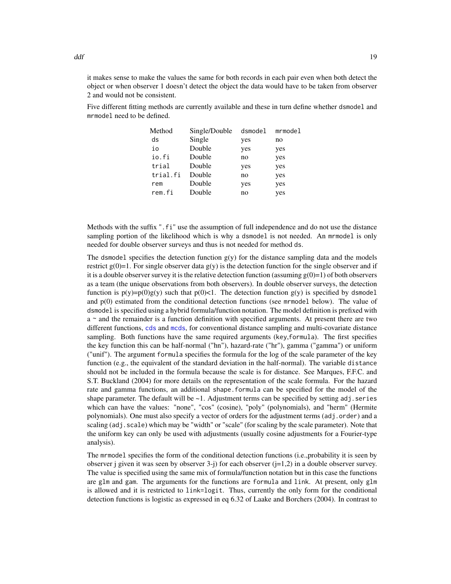it makes sense to make the values the same for both records in each pair even when both detect the object or when observer 1 doesn't detect the object the data would have to be taken from observer 2 and would not be consistent.

Five different fitting methods are currently available and these in turn define whether dsmodel and mrmodel need to be defined.

| Method   | Single/Double | dsmodel | mrmodel |
|----------|---------------|---------|---------|
| ds       | Single        | yes     | no      |
| io       | Double        | yes     | yes     |
| io.fi    | Double        | no      | yes     |
| trial    | Double        | yes     | yes     |
| trial.fi | Double        | no      | yes     |
| rem      | Double        | yes     | yes     |
| rem.fi   | Double        | no      | yes     |
|          |               |         |         |

Methods with the suffix ".fi" use the assumption of full independence and do not use the distance sampling portion of the likelihood which is why a dsmodel is not needed. An mrmodel is only needed for double observer surveys and thus is not needed for method ds.

The dsmodel specifies the detection function  $g(y)$  for the distance sampling data and the models restrict  $g(0)=1$ . For single observer data  $g(y)$  is the detection function for the single observer and if it is a double observer survey it is the relative detection function (assuming  $g(0)=1$ ) of both observers as a team (the unique observations from both observers). In double observer surveys, the detection function is  $p(y)=p(0)g(y)$  such that  $p(0)$ <1. The detection function  $g(y)$  is specified by dsmodel and p(0) estimated from the conditional detection functions (see mrmodel below). The value of dsmodel is specified using a hybrid formula/function notation. The model definition is prefixed with a ~ and the remainder is a function definition with specified arguments. At present there are two different functions, [cds](#page-9-1) and [mcds](#page-74-1), for conventional distance sampling and multi-covariate distance sampling. Both functions have the same required arguments (key,formula). The first specifies the key function this can be half-normal ("hn"), hazard-rate ("hr"), gamma ("gamma") or uniform ("unif"). The argument formula specifies the formula for the log of the scale parameter of the key function (e.g., the equivalent of the standard deviation in the half-normal). The variable distance should not be included in the formula because the scale is for distance. See Marques, F.F.C. and S.T. Buckland (2004) for more details on the representation of the scale formula. For the hazard rate and gamma functions, an additional shape.formula can be specified for the model of the shape parameter. The default will be  $\sim$  1. Adjustment terms can be specified by setting adj. series which can have the values: "none", "cos" (cosine), "poly" (polynomials), and "herm" (Hermite polynomials). One must also specify a vector of orders for the adjustment terms (adj.order) and a scaling (adj.scale) which may be "width" or "scale" (for scaling by the scale parameter). Note that the uniform key can only be used with adjustments (usually cosine adjustments for a Fourier-type analysis).

The mrmodel specifies the form of the conditional detection functions (i.e.,probability it is seen by observer j given it was seen by observer  $3-i$ ) for each observer  $(i=1,2)$  in a double observer survey. The value is specified using the same mix of formula/function notation but in this case the functions are glm and gam. The arguments for the functions are formula and link. At present, only glm is allowed and it is restricted to link=logit. Thus, currently the only form for the conditional detection functions is logistic as expressed in eq 6.32 of Laake and Borchers (2004). In contrast to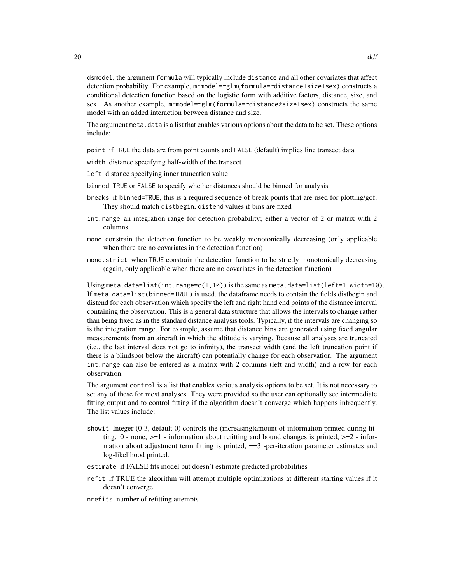The argument meta.data is a list that enables various options about the data to be set. These options include:

point if TRUE the data are from point counts and FALSE (default) implies line transect data

width distance specifying half-width of the transect

model with an added interaction between distance and size.

- left distance specifying inner truncation value
- binned TRUE or FALSE to specify whether distances should be binned for analysis
- breaks if binned=TRUE, this is a required sequence of break points that are used for plotting/gof. They should match distbegin, distend values if bins are fixed
- int.range an integration range for detection probability; either a vector of 2 or matrix with 2 columns
- mono constrain the detection function to be weakly monotonically decreasing (only applicable when there are no covariates in the detection function)
- mono.strict when TRUE constrain the detection function to be strictly monotonically decreasing (again, only applicable when there are no covariates in the detection function)

Using meta.data=list(int.range=c(1,10)) is the same as meta.data=list(left=1,width=10). If meta.data=list(binned=TRUE) is used, the dataframe needs to contain the fields distbegin and distend for each observation which specify the left and right hand end points of the distance interval containing the observation. This is a general data structure that allows the intervals to change rather than being fixed as in the standard distance analysis tools. Typically, if the intervals are changing so is the integration range. For example, assume that distance bins are generated using fixed angular measurements from an aircraft in which the altitude is varying. Because all analyses are truncated (i.e., the last interval does not go to infinity), the transect width (and the left truncation point if there is a blindspot below the aircraft) can potentially change for each observation. The argument int.range can also be entered as a matrix with 2 columns (left and width) and a row for each observation.

The argument control is a list that enables various analysis options to be set. It is not necessary to set any of these for most analyses. They were provided so the user can optionally see intermediate fitting output and to control fitting if the algorithm doesn't converge which happens infrequently. The list values include:

- showit Integer (0-3, default 0) controls the (increasing)amount of information printed during fitting.  $0$  - none,  $>=1$  - information about refitting and bound changes is printed,  $>=2$  - information about adjustment term fitting is printed, == 3-per-iteration parameter estimates and log-likelihood printed.
- estimate if FALSE fits model but doesn't estimate predicted probabilities
- refit if TRUE the algorithm will attempt multiple optimizations at different starting values if it doesn't converge
- nrefits number of refitting attempts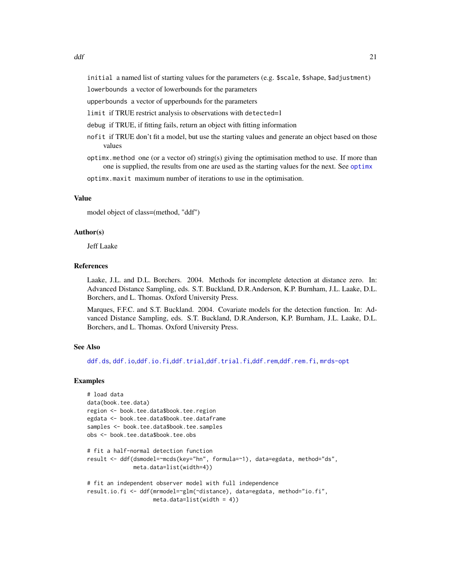initial a named list of starting values for the parameters (e.g. \$scale, \$shape, \$adjustment)

lowerbounds a vector of lowerbounds for the parameters

upperbounds a vector of upperbounds for the parameters

limit if TRUE restrict analysis to observations with detected=1

debug if TRUE, if fitting fails, return an object with fitting information

- nofit if TRUE don't fit a model, but use the starting values and generate an object based on those values
- optimx.method one (or a vector of) string(s) giving the optimisation method to use. If more than one is supplied, the results from one are used as the starting values for the next. See [optimx](#page-0-0)

optimx.maxit maximum number of iterations to use in the optimisation.

#### Value

model object of class=(method, "ddf")

#### Author(s)

Jeff Laake

# References

Laake, J.L. and D.L. Borchers. 2004. Methods for incomplete detection at distance zero. In: Advanced Distance Sampling, eds. S.T. Buckland, D.R.Anderson, K.P. Burnham, J.L. Laake, D.L. Borchers, and L. Thomas. Oxford University Press.

Marques, F.F.C. and S.T. Buckland. 2004. Covariate models for the detection function. In: Advanced Distance Sampling, eds. S.T. Buckland, D.R.Anderson, K.P. Burnham, J.L. Laake, D.L. Borchers, and L. Thomas. Oxford University Press.

#### See Also

[ddf.ds](#page-22-1), [ddf.io](#page-24-1),[ddf.io.fi](#page-25-1),[ddf.trial](#page-29-1),[ddf.trial.fi](#page-31-1),[ddf.rem](#page-27-1),[ddf.rem.fi](#page-28-1), [mrds-opt](#page-75-1)

#### Examples

```
# load data
data(book.tee.data)
region <- book.tee.data$book.tee.region
egdata <- book.tee.data$book.tee.dataframe
samples <- book.tee.data$book.tee.samples
obs <- book.tee.data$book.tee.obs
# fit a half-normal detection function
```

```
result <- ddf(dsmodel=~mcds(key="hn", formula=~1), data=egdata, method="ds",
             meta.data=list(width=4))
```

```
# fit an independent observer model with full independence
result.io.fi <- ddf(mrmodel=~glm(~distance), data=egdata, method="io.fi",
                   meta.data=list(width = 4))
```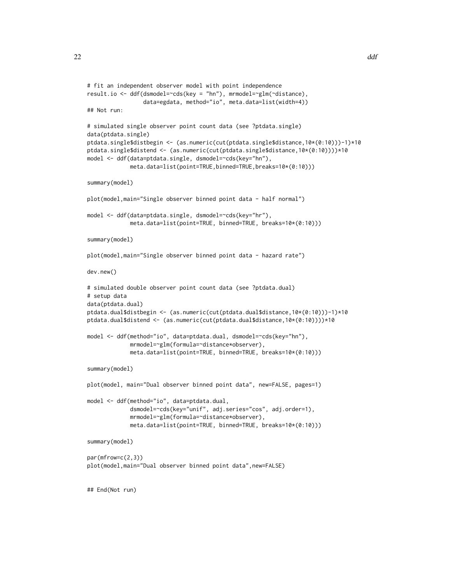```
# fit an independent observer model with point independence
result.io <- ddf(dsmodel=~cds(key = "hn"), mrmodel=~glm(~distance),
                 data=egdata, method="io", meta.data=list(width=4))
## Not run:
# simulated single observer point count data (see ?ptdata.single)
data(ptdata.single)
ptdata.single$distbegin <- (as.numeric(cut(ptdata.single$distance,10*(0:10)))-1)*10
ptdata.single$distend <- (as.numeric(cut(ptdata.single$distance,10*(0:10))))*10
model <- ddf(data=ptdata.single, dsmodel=~cds(key="hn"),
             meta.data=list(point=TRUE,binned=TRUE,breaks=10*(0:10)))
summary(model)
plot(model,main="Single observer binned point data - half normal")
model <- ddf(data=ptdata.single, dsmodel=~cds(key="hr"),
             meta.data=list(point=TRUE, binned=TRUE, breaks=10*(0:10)))
summary(model)
plot(model,main="Single observer binned point data - hazard rate")
dev.new()
# simulated double observer point count data (see ?ptdata.dual)
# setup data
data(ptdata.dual)
ptdata.dual$distbegin <- (as.numeric(cut(ptdata.dual$distance,10*(0:10)))-1)*10
ptdata.dual$distend <- (as.numeric(cut(ptdata.dual$distance,10*(0:10))))*10
model <- ddf(method="io", data=ptdata.dual, dsmodel=~cds(key="hn"),
             mrmodel=~glm(formula=~distance*observer),
             meta.data=list(point=TRUE, binned=TRUE, breaks=10*(0:10)))
summary(model)
plot(model, main="Dual observer binned point data", new=FALSE, pages=1)
model <- ddf(method="io", data=ptdata.dual,
             dsmodel=~cds(key="unif", adj.series="cos", adj.order=1),
             mrmodel=~glm(formula=~distance*observer),
             meta.data=list(point=TRUE, binned=TRUE, breaks=10*(0:10)))
summary(model)
par(mfrow=c(2,3))plot(model,main="Dual observer binned point data",new=FALSE)
## End(Not run)
```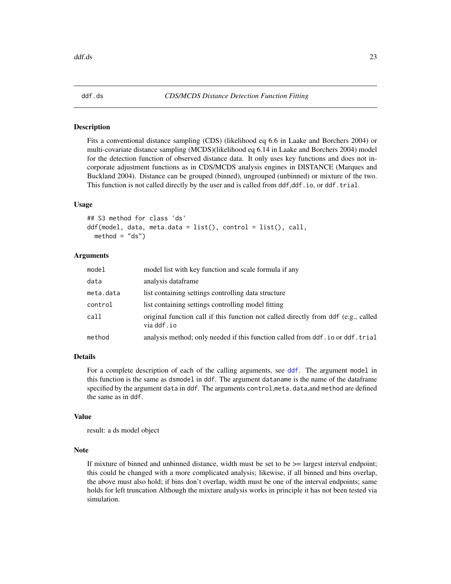<span id="page-22-1"></span><span id="page-22-0"></span>

Fits a conventional distance sampling (CDS) (likelihood eq 6.6 in Laake and Borchers 2004) or multi-covariate distance sampling (MCDS)(likelihood eq 6.14 in Laake and Borchers 2004) model for the detection function of observed distance data. It only uses key functions and does not incorporate adjustment functions as in CDS/MCDS analysis engines in DISTANCE (Marques and Buckland 2004). Distance can be grouped (binned), ungrouped (unbinned) or mixture of the two. This function is not called directly by the user and is called from ddf,ddf.io, or ddf.trial.

# Usage

```
## S3 method for class 'ds'
ddf(model, data, meta.data = list(), control = list(), call,
 method = "ds")
```
# Arguments

| model     | model list with key function and scale formula if any                                            |
|-----------|--------------------------------------------------------------------------------------------------|
| data      | analysis dataframe                                                                               |
| meta.data | list containing settings controlling data structure                                              |
| control   | list containing settings controlling model fitting                                               |
| call      | original function call if this function not called directly from ddf (e.g., called<br>via ddf.io |
| method    | analysis method; only needed if this function called from ddf. io or ddf. trial                  |

# Details

For a complete description of each of the calling arguments, see [ddf](#page-17-1). The argument model in this function is the same as dsmodel in ddf. The argument dataname is the name of the dataframe specified by the argument data in ddf. The arguments control,meta.data,and method are defined the same as in ddf.

#### Value

result: a ds model object

# Note

If mixture of binned and unbinned distance, width must be set to be  $\geq$  largest interval endpoint; this could be changed with a more complicated analysis; likewise, if all binned and bins overlap, the above must also hold; if bins don't overlap, width must be one of the interval endpoints; same holds for left truncation Although the mixture analysis works in principle it has not been tested via simulation.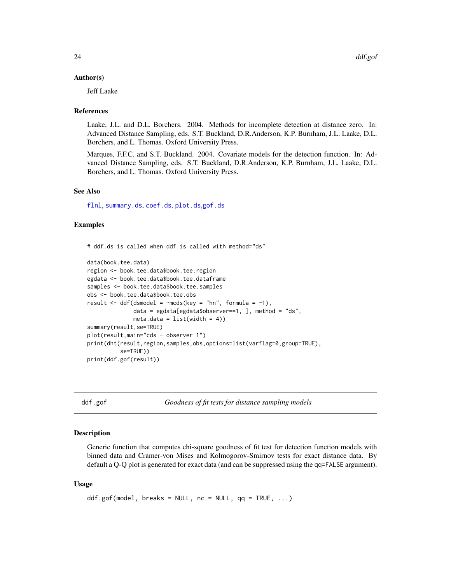#### <span id="page-23-0"></span>Author(s)

Jeff Laake

#### References

Laake, J.L. and D.L. Borchers. 2004. Methods for incomplete detection at distance zero. In: Advanced Distance Sampling, eds. S.T. Buckland, D.R.Anderson, K.P. Burnham, J.L. Laake, D.L. Borchers, and L. Thomas. Oxford University Press.

Marques, F.F.C. and S.T. Buckland. 2004. Covariate models for the detection function. In: Advanced Distance Sampling, eds. S.T. Buckland, D.R.Anderson, K.P. Burnham, J.L. Laake, D.L. Borchers, and L. Thomas. Oxford University Press.

# See Also

[flnl](#page-45-1), [summary.ds](#page-121-1), [coef.ds](#page-12-1), [plot.ds](#page-81-1),[gof.ds](#page-48-1)

#### Examples

# ddf.ds is called when ddf is called with method="ds"

```
data(book.tee.data)
region <- book.tee.data$book.tee.region
egdata <- book.tee.data$book.tee.dataframe
samples <- book.tee.data$book.tee.samples
obs <- book.tee.data$book.tee.obs
result \leq ddf(dsmodel = \simmcds(key = "hn", formula = \sim1),
              data = egdata[egdata$observer==1, ], method = "ds",
              meta.data = list(width = 4)summary(result,se=TRUE)
plot(result,main="cds - observer 1")
print(dht(result,region,samples,obs,options=list(varflag=0,group=TRUE),
          se=TRUE))
print(ddf.gof(result))
```
ddf.gof *Goodness of fit tests for distance sampling models*

#### <span id="page-23-1"></span>Description

Generic function that computes chi-square goodness of fit test for detection function models with binned data and Cramer-von Mises and Kolmogorov-Smirnov tests for exact distance data. By default a Q-Q plot is generated for exact data (and can be suppressed using the qq=FALSE argument).

#### Usage

```
ddf.gof(model, breaks = NULL, nc = NULL, qq = TRUE, ...)
```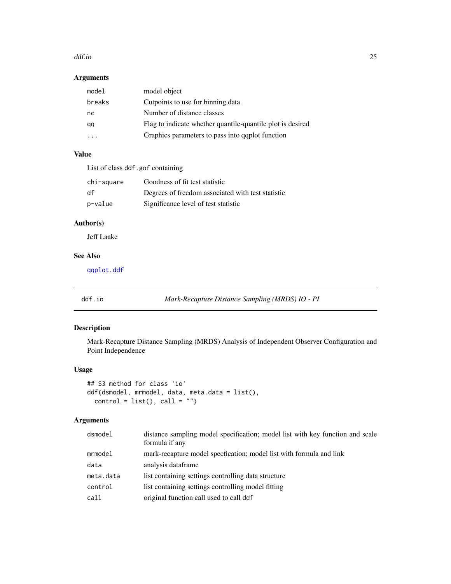#### <span id="page-24-0"></span>ddf.io 25

# Arguments

| model object                                               |
|------------------------------------------------------------|
| Cutpoints to use for binning data                          |
| Number of distance classes                                 |
| Flag to indicate whether quantile-quantile plot is desired |
| Graphics parameters to pass into qqplot function           |
|                                                            |

# Value

List of class ddf.gof containing

| chi-square | Goodness of fit test statistic                    |
|------------|---------------------------------------------------|
| df         | Degrees of freedom associated with test statistic |
| p-value    | Significance level of test statistic              |

# Author(s)

Jeff Laake

# See Also

[qqplot.ddf](#page-111-1)

<span id="page-24-1"></span>ddf.io *Mark-Recapture Distance Sampling (MRDS) IO - PI*

# Description

Mark-Recapture Distance Sampling (MRDS) Analysis of Independent Observer Configuration and Point Independence

# Usage

```
## S3 method for class 'io'
ddf(dsmodel, mrmodel, data, meta.data = list(),
  control = list(), call = "")
```
# Arguments

| dsmodel   | distance sampling model specification; model list with key function and scale<br>formula if any |
|-----------|-------------------------------------------------------------------------------------------------|
| mrmodel   | mark-recapture model specfication; model list with formula and link                             |
| data      | analysis dataframe                                                                              |
| meta.data | list containing settings controlling data structure                                             |
| control   | list containing settings controlling model fitting                                              |
| call      | original function call used to call ddf                                                         |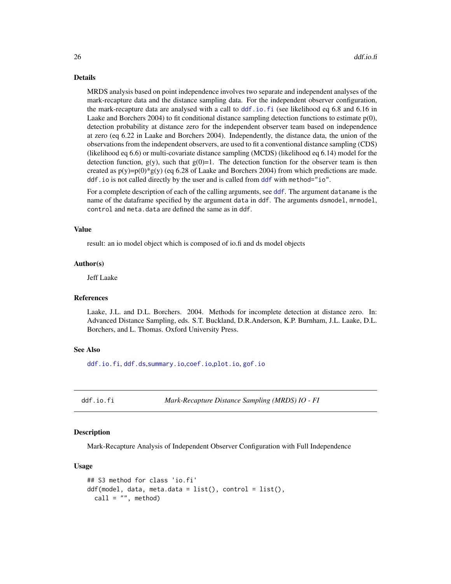#### Details

MRDS analysis based on point independence involves two separate and independent analyses of the mark-recapture data and the distance sampling data. For the independent observer configuration, the mark-recapture data are analysed with a call to [ddf.io.fi](#page-25-1) (see likelihood eq 6.8 and 6.16 in Laake and Borchers 2004) to fit conditional distance sampling detection functions to estimate  $p(0)$ , detection probability at distance zero for the independent observer team based on independence at zero (eq 6.22 in Laake and Borchers 2004). Independently, the distance data, the union of the observations from the independent observers, are used to fit a conventional distance sampling (CDS) (likelihood eq 6.6) or multi-covariate distance sampling (MCDS) (likelihood eq 6.14) model for the detection function,  $g(y)$ , such that  $g(0)=1$ . The detection function for the observer team is then created as  $p(y)=p(0)*g(y)$  (eq 6.28 of Laake and Borchers 2004) from which predictions are made. ddf.io is not called directly by the user and is called from [ddf](#page-17-1) with method="io".

For a complete description of each of the calling arguments, see [ddf](#page-17-1). The argument dataname is the name of the dataframe specified by the argument data in ddf. The arguments dsmodel, mrmodel, control and meta.data are defined the same as in ddf.

#### Value

result: an io model object which is composed of io.fi and ds model objects

#### Author(s)

Jeff Laake

#### References

Laake, J.L. and D.L. Borchers. 2004. Methods for incomplete detection at distance zero. In: Advanced Distance Sampling, eds. S.T. Buckland, D.R.Anderson, K.P. Burnham, J.L. Laake, D.L. Borchers, and L. Thomas. Oxford University Press.

#### See Also

[ddf.io.fi](#page-25-1), [ddf.ds](#page-22-1),[summary.io](#page-122-1),[coef.io](#page-12-2),[plot.io](#page-83-1), [gof.io](#page-23-1)

<span id="page-25-1"></span>ddf.io.fi *Mark-Recapture Distance Sampling (MRDS) IO - FI*

# **Description**

Mark-Recapture Analysis of Independent Observer Configuration with Full Independence

#### Usage

```
## S3 method for class 'io.fi'
ddf(model, data, meta.data = list(), control = list(),call = "", method)
```
<span id="page-25-0"></span>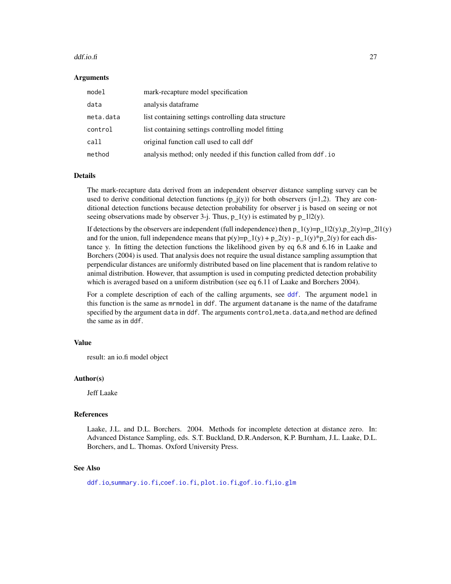#### ddf.io.fi 27

#### Arguments

| model     | mark-recapture model specification                               |
|-----------|------------------------------------------------------------------|
| data      | analysis dataframe                                               |
| meta.data | list containing settings controlling data structure              |
| control   | list containing settings controlling model fitting               |
| call      | original function call used to call ddf                          |
| method    | analysis method; only needed if this function called from ddf.io |

#### Details

The mark-recapture data derived from an independent observer distance sampling survey can be used to derive conditional detection functions  $(p_j(y))$  for both observers ( $j=1,2$ ). They are conditional detection functions because detection probability for observer j is based on seeing or not seeing observations made by observer 3-j. Thus,  $p_1(y)$  is estimated by  $p_1(2(y))$ .

If detections by the observers are independent (full independence) then p\_1(y)=p\_1|2(y),p\_2(y)=p\_2|1(y) and for the union, full independence means that  $p(y)=p_1(y) + p_2(y) - p_1(y) * p_2(y)$  for each distance y. In fitting the detection functions the likelihood given by eq 6.8 and 6.16 in Laake and Borchers (2004) is used. That analysis does not require the usual distance sampling assumption that perpendicular distances are uniformly distributed based on line placement that is random relative to animal distribution. However, that assumption is used in computing predicted detection probability which is averaged based on a uniform distribution (see eq 6.11 of Laake and Borchers 2004).

For a complete description of each of the calling arguments, see [ddf](#page-17-1). The argument model in this function is the same as mrmodel in ddf. The argument dataname is the name of the dataframe specified by the argument data in ddf. The arguments control, meta.data, and method are defined the same as in ddf.

#### Value

result: an io.fi model object

#### Author(s)

Jeff Laake

#### References

Laake, J.L. and D.L. Borchers. 2004. Methods for incomplete detection at distance zero. In: Advanced Distance Sampling, eds. S.T. Buckland, D.R.Anderson, K.P. Burnham, J.L. Laake, D.L. Borchers, and L. Thomas. Oxford University Press.

#### See Also

[ddf.io](#page-24-1),[summary.io.fi](#page-123-1),[coef.io.fi](#page-12-2), [plot.io.fi](#page-85-1),[gof.io.fi](#page-23-1),[io.glm](#page-53-1)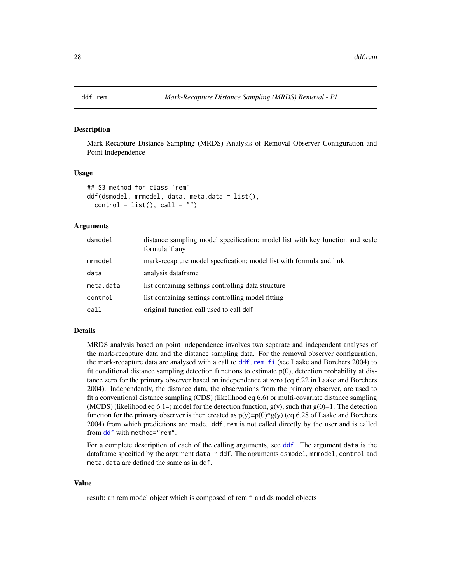<span id="page-27-1"></span><span id="page-27-0"></span>

Mark-Recapture Distance Sampling (MRDS) Analysis of Removal Observer Configuration and Point Independence

#### Usage

```
## S3 method for class 'rem'
ddf(dsmodel, mrmodel, data, meta.data = list(),
  control = list(), call = "")
```
#### Arguments

| dsmodel   | distance sampling model specification; model list with key function and scale<br>formula if any |
|-----------|-------------------------------------------------------------------------------------------------|
| mrmodel   | mark-recapture model specfication; model list with formula and link                             |
| data      | analysis dataframe                                                                              |
| meta.data | list containing settings controlling data structure                                             |
| control   | list containing settings controlling model fitting                                              |
| call      | original function call used to call ddf                                                         |

# Details

MRDS analysis based on point independence involves two separate and independent analyses of the mark-recapture data and the distance sampling data. For the removal observer configuration, the mark-recapture data are analysed with a call to [ddf.rem.fi](#page-28-1) (see Laake and Borchers 2004) to fit conditional distance sampling detection functions to estimate  $p(0)$ , detection probability at distance zero for the primary observer based on independence at zero (eq 6.22 in Laake and Borchers 2004). Independently, the distance data, the observations from the primary observer, are used to fit a conventional distance sampling (CDS) (likelihood eq 6.6) or multi-covariate distance sampling (MCDS) (likelihood eq 6.14) model for the detection function,  $g(y)$ , such that  $g(0)=1$ . The detection function for the primary observer is then created as  $p(y)=p(0)*g(y)$  (eq 6.28 of Laake and Borchers 2004) from which predictions are made. ddf.rem is not called directly by the user and is called from [ddf](#page-17-1) with method="rem".

For a complete description of each of the calling arguments, see [ddf](#page-17-1). The argument data is the dataframe specified by the argument data in ddf. The arguments dsmodel, mrmodel, control and meta.data are defined the same as in ddf.

# Value

result: an rem model object which is composed of rem.fi and ds model objects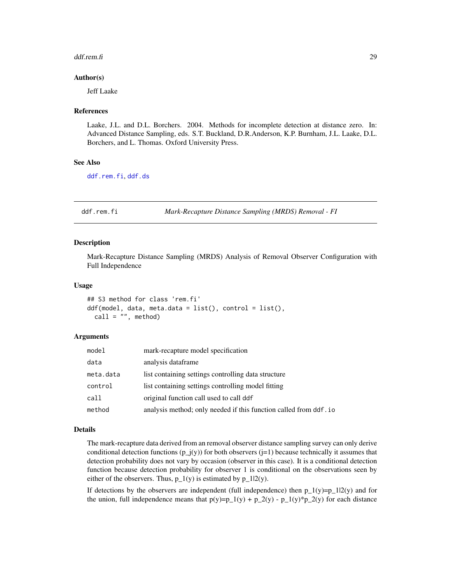#### <span id="page-28-0"></span>ddf.rem.fi 29

#### Author(s)

Jeff Laake

#### References

Laake, J.L. and D.L. Borchers. 2004. Methods for incomplete detection at distance zero. In: Advanced Distance Sampling, eds. S.T. Buckland, D.R.Anderson, K.P. Burnham, J.L. Laake, D.L. Borchers, and L. Thomas. Oxford University Press.

# See Also

[ddf.rem.fi](#page-28-1), [ddf.ds](#page-22-1)

<span id="page-28-1"></span>ddf.rem.fi *Mark-Recapture Distance Sampling (MRDS) Removal - FI*

#### Description

Mark-Recapture Distance Sampling (MRDS) Analysis of Removal Observer Configuration with Full Independence

#### Usage

```
## S3 method for class 'rem.fi'
ddf(model, data, meta.data = list(), control = list(),
 call = ", method)
```
#### Arguments

| model     | mark-recapture model specification                                |
|-----------|-------------------------------------------------------------------|
| data      | analysis dataframe                                                |
| meta.data | list containing settings controlling data structure               |
| control   | list containing settings controlling model fitting                |
| call      | original function call used to call ddf                           |
| method    | analysis method; only needed if this function called from ddf. io |
|           |                                                                   |

#### Details

The mark-recapture data derived from an removal observer distance sampling survey can only derive conditional detection functions  $(p_j(y))$  for both observers ( $j=1$ ) because technically it assumes that detection probability does not vary by occasion (observer in this case). It is a conditional detection function because detection probability for observer 1 is conditional on the observations seen by either of the observers. Thus,  $p_1(y)$  is estimated by  $p_1(2(y))$ .

If detections by the observers are independent (full independence) then  $p_1(y)=p_1(2(y))$  and for the union, full independence means that  $p(y)=p_1(y) + p_2(y) - p_1(y) * p_2(y)$  for each distance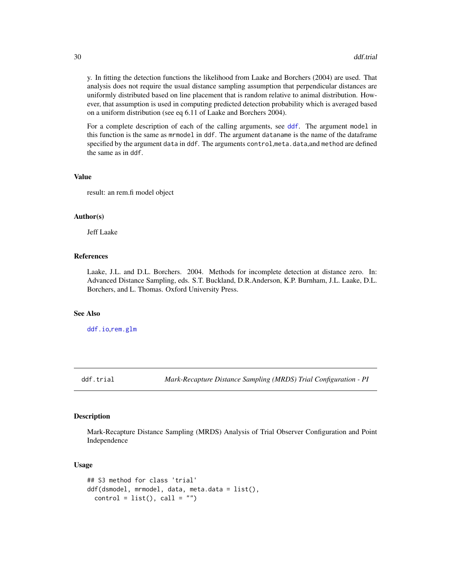<span id="page-29-0"></span>y. In fitting the detection functions the likelihood from Laake and Borchers (2004) are used. That analysis does not require the usual distance sampling assumption that perpendicular distances are uniformly distributed based on line placement that is random relative to animal distribution. However, that assumption is used in computing predicted detection probability which is averaged based on a uniform distribution (see eq 6.11 of Laake and Borchers 2004).

For a complete description of each of the calling arguments, see [ddf](#page-17-1). The argument model in this function is the same as mrmodel in ddf. The argument dataname is the name of the dataframe specified by the argument data in ddf. The arguments control,meta.data,and method are defined the same as in ddf.

#### Value

result: an rem.fi model object

#### Author(s)

Jeff Laake

#### References

Laake, J.L. and D.L. Borchers. 2004. Methods for incomplete detection at distance zero. In: Advanced Distance Sampling, eds. S.T. Buckland, D.R.Anderson, K.P. Burnham, J.L. Laake, D.L. Borchers, and L. Thomas. Oxford University Press.

#### See Also

[ddf.io](#page-24-1),[rem.glm](#page-112-1)

<span id="page-29-1"></span>ddf.trial *Mark-Recapture Distance Sampling (MRDS) Trial Configuration - PI*

# Description

Mark-Recapture Distance Sampling (MRDS) Analysis of Trial Observer Configuration and Point Independence

#### Usage

```
## S3 method for class 'trial'
ddf(dsmodel, mrmodel, data, meta.data = list(),
 control = list(), call = "")
```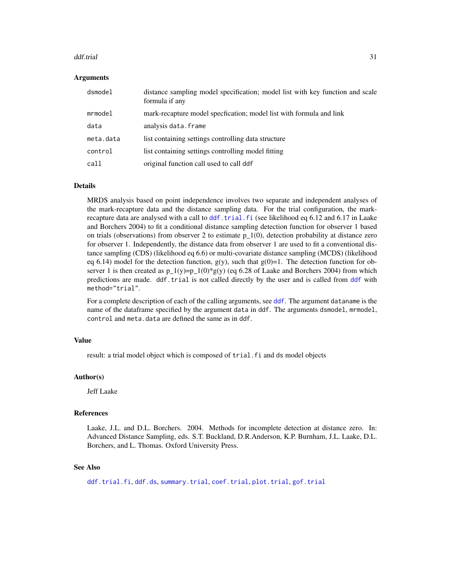#### ddf.trial 31

#### Arguments

| dsmodel   | distance sampling model specification; model list with key function and scale<br>formula if any |
|-----------|-------------------------------------------------------------------------------------------------|
| mrmodel   | mark-recapture model specfication; model list with formula and link                             |
| data      | analysis data.frame                                                                             |
| meta.data | list containing settings controlling data structure                                             |
| control   | list containing settings controlling model fitting                                              |
| call      | original function call used to call ddf                                                         |

#### Details

MRDS analysis based on point independence involves two separate and independent analyses of the mark-recapture data and the distance sampling data. For the trial configuration, the markrecapture data are analysed with a call to [ddf.trial.fi](#page-31-1) (see likelihood eq 6.12 and 6.17 in Laake and Borchers 2004) to fit a conditional distance sampling detection function for observer 1 based on trials (observations) from observer 2 to estimate  $p_1(0)$ , detection probability at distance zero for observer 1. Independently, the distance data from observer 1 are used to fit a conventional distance sampling (CDS) (likelihood eq 6.6) or multi-covariate distance sampling (MCDS) (likelihood eq 6.14) model for the detection function,  $g(y)$ , such that  $g(0)=1$ . The detection function for observer 1 is then created as  $p_1(y)=p_1(0)*g(y)$  (eq 6.28 of Laake and Borchers 2004) from which predictions are made. ddf.trial is not called directly by the user and is called from [ddf](#page-17-1) with method="trial".

For a complete description of each of the calling arguments, see [ddf](#page-17-1). The argument dataname is the name of the dataframe specified by the argument data in ddf. The arguments dsmodel, mrmodel, control and meta.data are defined the same as in ddf.

#### Value

result: a trial model object which is composed of trial. fi and ds model objects

#### Author(s)

Jeff Laake

# References

Laake, J.L. and D.L. Borchers. 2004. Methods for incomplete detection at distance zero. In: Advanced Distance Sampling, eds. S.T. Buckland, D.R.Anderson, K.P. Burnham, J.L. Laake, D.L. Borchers, and L. Thomas. Oxford University Press.

# See Also

[ddf.trial.fi](#page-31-1), [ddf.ds](#page-22-1), [summary.trial](#page-126-1), [coef.trial](#page-12-2), [plot.trial](#page-90-1), [gof.trial](#page-23-1)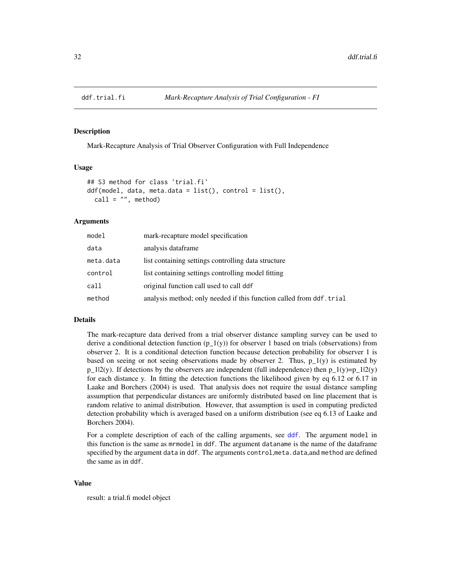<span id="page-31-1"></span><span id="page-31-0"></span>

Mark-Recapture Analysis of Trial Observer Configuration with Full Independence

#### Usage

```
## S3 method for class 'trial.fi'
ddf(model, data, meta.data = list(), control = list(),
  call = '''', method)
```
#### Arguments

| model     | mark-recapture model specification                                   |
|-----------|----------------------------------------------------------------------|
| data      | analysis dataframe                                                   |
| meta.data | list containing settings controlling data structure                  |
| control   | list containing settings controlling model fitting                   |
| call      | original function call used to call ddf                              |
| method    | analysis method; only needed if this function called from ddf. trial |

# Details

The mark-recapture data derived from a trial observer distance sampling survey can be used to derive a conditional detection function  $(p_1(y))$  for observer 1 based on trials (observations) from observer 2. It is a conditional detection function because detection probability for observer 1 is based on seeing or not seeing observations made by observer 2. Thus,  $p_1(y)$  is estimated by  $p_1|2(y)$ . If detections by the observers are independent (full independence) then  $p_1(y)=p_1|2(y)$ for each distance y. In fitting the detection functions the likelihood given by eq 6.12 or 6.17 in Laake and Borchers (2004) is used. That analysis does not require the usual distance sampling assumption that perpendicular distances are uniformly distributed based on line placement that is random relative to animal distribution. However, that assumption is used in computing predicted detection probability which is averaged based on a uniform distribution (see eq 6.13 of Laake and Borchers 2004).

For a complete description of each of the calling arguments, see [ddf](#page-17-1). The argument model in this function is the same as mrmodel in ddf. The argument dataname is the name of the dataframe specified by the argument data in ddf. The arguments control,meta.data,and method are defined the same as in ddf.

# Value

result: a trial.fi model object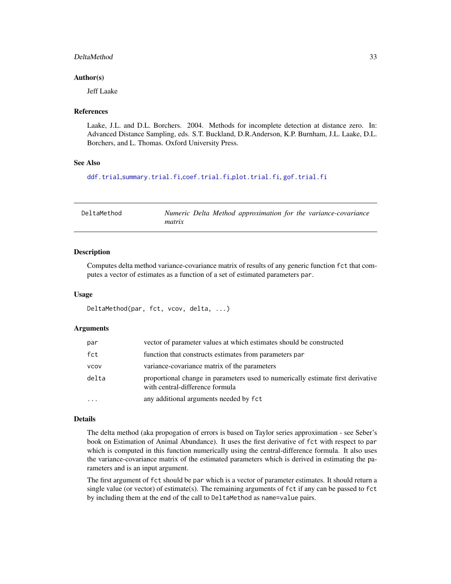#### <span id="page-32-0"></span>DeltaMethod 33

#### Author(s)

Jeff Laake

#### References

Laake, J.L. and D.L. Borchers. 2004. Methods for incomplete detection at distance zero. In: Advanced Distance Sampling, eds. S.T. Buckland, D.R.Anderson, K.P. Burnham, J.L. Laake, D.L. Borchers, and L. Thomas. Oxford University Press.

# See Also

```
ddf.trial,summary.trial.fi,coef.trial.fi,plot.trial.fi, gof.trial.fi
```

| DeltaMethod | Numeric Delta Method approximation for the variance-covariance |
|-------------|----------------------------------------------------------------|
|             | matrix                                                         |

#### Description

Computes delta method variance-covariance matrix of results of any generic function fct that computes a vector of estimates as a function of a set of estimated parameters par.

#### Usage

```
DeltaMethod(par, fct, vcov, delta, ...)
```
#### Arguments

| par   | vector of parameter values at which estimates should be constructed                                                |
|-------|--------------------------------------------------------------------------------------------------------------------|
| fct   | function that constructs estimates from parameters par                                                             |
| vcov  | variance-covariance matrix of the parameters                                                                       |
| delta | proportional change in parameters used to numerically estimate first derivative<br>with central-difference formula |
| .     | any additional arguments needed by fct                                                                             |

#### Details

The delta method (aka propogation of errors is based on Taylor series approximation - see Seber's book on Estimation of Animal Abundance). It uses the first derivative of fct with respect to par which is computed in this function numerically using the central-difference formula. It also uses the variance-covariance matrix of the estimated parameters which is derived in estimating the parameters and is an input argument.

The first argument of fct should be par which is a vector of parameter estimates. It should return a single value (or vector) of estimate(s). The remaining arguments of fct if any can be passed to fct by including them at the end of the call to DeltaMethod as name=value pairs.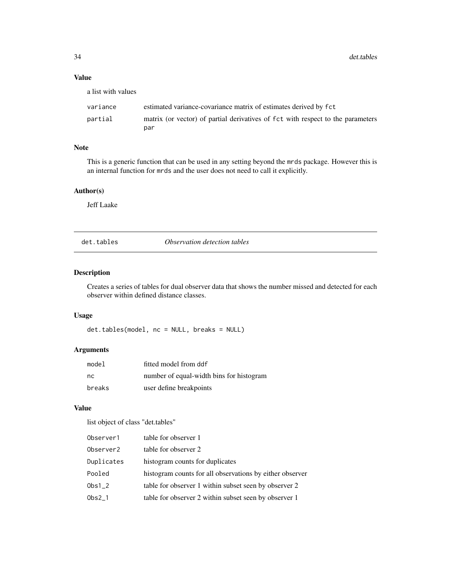# Value

| a list with values |                                                                                        |
|--------------------|----------------------------------------------------------------------------------------|
| variance           | estimated variance-covariance matrix of estimates derived by fct                       |
| partial            | matrix (or vector) of partial derivatives of fct with respect to the parameters<br>par |

# Note

This is a generic function that can be used in any setting beyond the mrds package. However this is an internal function for mrds and the user does not need to call it explicitly.

# Author(s)

Jeff Laake

det.tables *Observation detection tables*

# Description

Creates a series of tables for dual observer data that shows the number missed and detected for each observer within defined distance classes.

# Usage

det.tables(model, nc = NULL, breaks = NULL)

# Arguments

| model  | fitted model from ddf                    |
|--------|------------------------------------------|
| nc.    | number of equal-width bins for histogram |
| breaks | user define breakpoints                  |

#### Value

list object of class "det.tables"

| Observer1  | table for observer 1                                     |
|------------|----------------------------------------------------------|
| Observer2  | table for observer 2                                     |
| Duplicates | histogram counts for duplicates                          |
| Pooled     | histogram counts for all observations by either observer |
| $0bs1_2$   | table for observer 1 within subset seen by observer 2    |
| $Obs2_1$   | table for observer 2 within subset seen by observer 1    |

<span id="page-33-0"></span>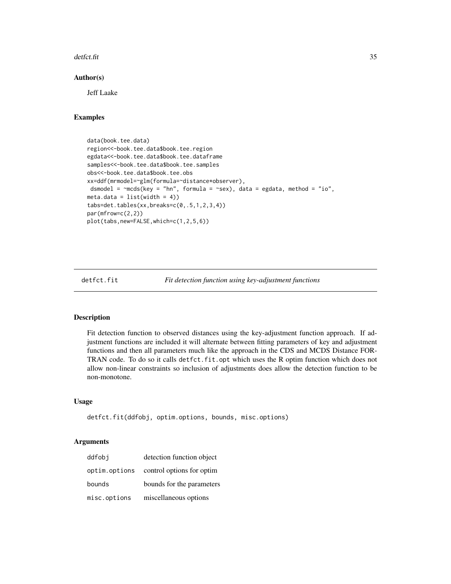#### <span id="page-34-0"></span>detfct.fit 35

#### Author(s)

Jeff Laake

# Examples

```
data(book.tee.data)
region<<-book.tee.data$book.tee.region
egdata<<-book.tee.data$book.tee.dataframe
samples<<-book.tee.data$book.tee.samples
obs<<-book.tee.data$book.tee.obs
xx=ddf(mrmodel=~glm(formula=~distance*observer),
dsmodel = \negthinspacemcds(key = "hn", formula = \negthinspacesex), data = egdata, method = "io",
meta.data = list(width = 4)tabs=det.tables(xx,breaks=c(0,.5,1,2,3,4))
par(mfrow=c(2,2))
plot(tabs,new=FALSE,which=c(1,2,5,6))
```
detfct.fit *Fit detection function using key-adjustment functions*

#### Description

Fit detection function to observed distances using the key-adjustment function approach. If adjustment functions are included it will alternate between fitting parameters of key and adjustment functions and then all parameters much like the approach in the CDS and MCDS Distance FOR-TRAN code. To do so it calls detfct.fit.opt which uses the R optim function which does not allow non-linear constraints so inclusion of adjustments does allow the detection function to be non-monotone.

# Usage

```
detfct.fit(ddfobj, optim.options, bounds, misc.options)
```
# Arguments

| ddfobi        | detection function object |
|---------------|---------------------------|
| optim.options | control options for optim |
| bounds        | bounds for the parameters |
| misc.options  | miscellaneous options     |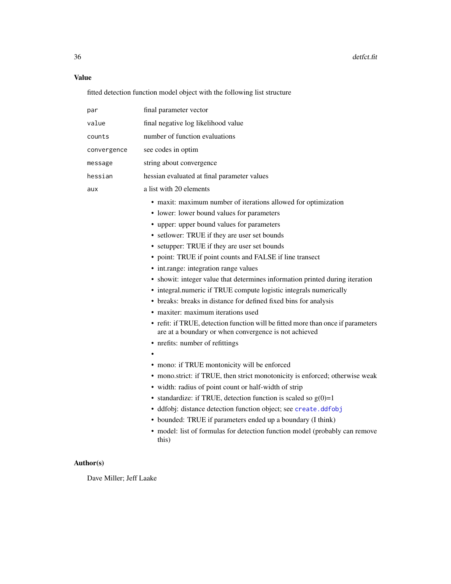# Value

fitted detection function model object with the following list structure

| par         | final parameter vector                                                                                                                                                                                                                                                                                                                                                                                                                                                                                                                                                                                                                                                                                                                                                                                                                                                                                                                                                                                                                                                                                                                                                                                                                                                                                |
|-------------|-------------------------------------------------------------------------------------------------------------------------------------------------------------------------------------------------------------------------------------------------------------------------------------------------------------------------------------------------------------------------------------------------------------------------------------------------------------------------------------------------------------------------------------------------------------------------------------------------------------------------------------------------------------------------------------------------------------------------------------------------------------------------------------------------------------------------------------------------------------------------------------------------------------------------------------------------------------------------------------------------------------------------------------------------------------------------------------------------------------------------------------------------------------------------------------------------------------------------------------------------------------------------------------------------------|
| value       | final negative log likelihood value                                                                                                                                                                                                                                                                                                                                                                                                                                                                                                                                                                                                                                                                                                                                                                                                                                                                                                                                                                                                                                                                                                                                                                                                                                                                   |
| counts      | number of function evaluations                                                                                                                                                                                                                                                                                                                                                                                                                                                                                                                                                                                                                                                                                                                                                                                                                                                                                                                                                                                                                                                                                                                                                                                                                                                                        |
| convergence | see codes in optim                                                                                                                                                                                                                                                                                                                                                                                                                                                                                                                                                                                                                                                                                                                                                                                                                                                                                                                                                                                                                                                                                                                                                                                                                                                                                    |
| message     | string about convergence                                                                                                                                                                                                                                                                                                                                                                                                                                                                                                                                                                                                                                                                                                                                                                                                                                                                                                                                                                                                                                                                                                                                                                                                                                                                              |
| hessian     | hessian evaluated at final parameter values                                                                                                                                                                                                                                                                                                                                                                                                                                                                                                                                                                                                                                                                                                                                                                                                                                                                                                                                                                                                                                                                                                                                                                                                                                                           |
| aux         | a list with 20 elements                                                                                                                                                                                                                                                                                                                                                                                                                                                                                                                                                                                                                                                                                                                                                                                                                                                                                                                                                                                                                                                                                                                                                                                                                                                                               |
|             | • maxit: maximum number of iterations allowed for optimization<br>• lower: lower bound values for parameters<br>• upper: upper bound values for parameters<br>• setlower: TRUE if they are user set bounds<br>• setupper: TRUE if they are user set bounds<br>• point: TRUE if point counts and FALSE if line transect<br>• int.range: integration range values<br>• showit: integer value that determines information printed during iteration<br>• integral.numeric if TRUE compute logistic integrals numerically<br>• breaks: breaks in distance for defined fixed bins for analysis<br>• maxiter: maximum iterations used<br>• refit: if TRUE, detection function will be fitted more than once if parameters<br>are at a boundary or when convergence is not achieved<br>• nrefits: number of refittings<br>• mono: if TRUE montonicity will be enforced<br>• mono.strict: if TRUE, then strict monotonicity is enforced; otherwise weak<br>· width: radius of point count or half-width of strip<br>• standardize: if TRUE, detection function is scaled so $g(0)=1$<br>· ddfobj: distance detection function object; see create.ddfobj<br>• bounded: TRUE if parameters ended up a boundary (I think)<br>• model: list of formulas for detection function model (probably can remove<br>this) |

# Author(s)

Dave Miller; Jeff Laake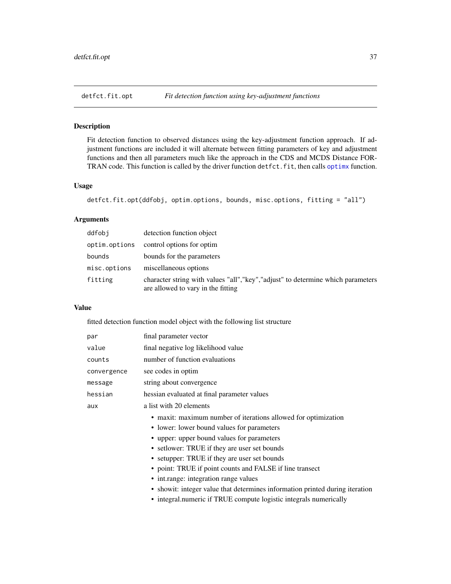Fit detection function to observed distances using the key-adjustment function approach. If adjustment functions are included it will alternate between fitting parameters of key and adjustment functions and then all parameters much like the approach in the CDS and MCDS Distance FORTRAN code. This function is called by the driver function detfct.fit, then calls [optimx](#page-0-0) function.

## Usage

```
detfct.fit.opt(ddfobj, optim.options, bounds, misc.options, fitting = "all")
```
## Arguments

| ddfobi        | detection function object                                                                                               |
|---------------|-------------------------------------------------------------------------------------------------------------------------|
| optim.options | control options for optim                                                                                               |
| bounds        | bounds for the parameters                                                                                               |
| misc.options  | miscellaneous options                                                                                                   |
| fitting       | character string with values "all", "key", "adjust" to determine which parameters<br>are allowed to vary in the fitting |

## Value

fitted detection function model object with the following list structure

| par         | final parameter vector                                                       |
|-------------|------------------------------------------------------------------------------|
| value       | final negative log likelihood value                                          |
| counts      | number of function evaluations                                               |
| convergence | see codes in optim                                                           |
| message     | string about convergence                                                     |
| hessian     | hessian evaluated at final parameter values                                  |
| aux         | a list with 20 elements                                                      |
|             | • maxit: maximum number of iterations allowed for optimization               |
|             | • lower: lower bound values for parameters                                   |
|             | • upper: upper bound values for parameters                                   |
|             | • set lower: TRUE if they are user set bounds                                |
|             | • setupper: TRUE if they are user set bounds                                 |
|             | • point: TRUE if point counts and FALSE if line transect                     |
|             | • int.range: integration range values                                        |
|             | • showit: integer value that determines information printed during iteration |
|             | • integral numeric if TRUE compute logistic integrals numerically            |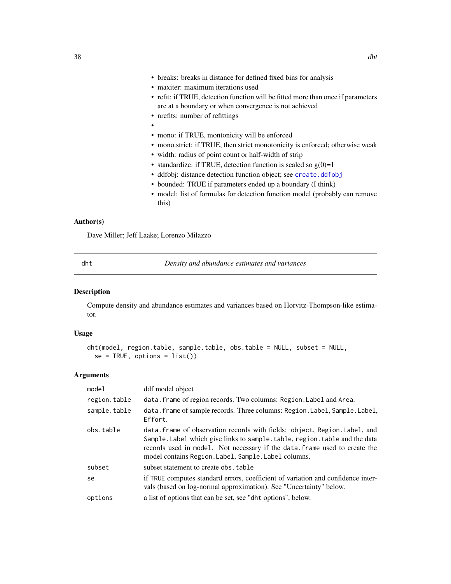- breaks: breaks in distance for defined fixed bins for analysis
- maxiter: maximum iterations used
- refit: if TRUE, detection function will be fitted more than once if parameters are at a boundary or when convergence is not achieved
- nrefits: number of refittings
- •
- mono: if TRUE, montonicity will be enforced
- mono.strict: if TRUE, then strict monotonicity is enforced; otherwise weak
- width: radius of point count or half-width of strip
- standardize: if TRUE, detection function is scaled so  $g(0)=1$
- ddfobj: distance detection function object; see [create.ddfobj](#page-0-0)
- bounded: TRUE if parameters ended up a boundary (I think)
- model: list of formulas for detection function model (probably can remove this)

#### Author(s)

Dave Miller; Jeff Laake; Lorenzo Milazzo

<span id="page-37-0"></span>dht *Density and abundance estimates and variances*

#### Description

Compute density and abundance estimates and variances based on Horvitz-Thompson-like estimator.

## Usage

```
dht(model, region.table, sample.table, obs.table = NULL, subset = NULL,
  se = TRUE, options = list()
```
## Arguments

| model        | ddf model object                                                                                                                                                                                                                                                                              |
|--------------|-----------------------------------------------------------------------------------------------------------------------------------------------------------------------------------------------------------------------------------------------------------------------------------------------|
| region.table | data. frame of region records. Two columns: Region. Label and Area.                                                                                                                                                                                                                           |
| sample.table | data. frame of sample records. Three columns: Region. Label, Sample. Label,<br>Effort.                                                                                                                                                                                                        |
| obs.table    | data.frame of observation records with fields: object, Region.Label, and<br>Sample. Label which give links to sample. table, region. table and the data<br>records used in model. Not necessary if the data. frame used to create the<br>model contains Region. Label, Sample. Label columns. |
| subset       | subset statement to create obs. table                                                                                                                                                                                                                                                         |
| se           | if TRUE computes standard errors, coefficient of variation and confidence inter-<br>vals (based on log-normal approximation). See "Uncertainty" below.                                                                                                                                        |
| options      | a list of options that can be set, see "dht options", below.                                                                                                                                                                                                                                  |
|              |                                                                                                                                                                                                                                                                                               |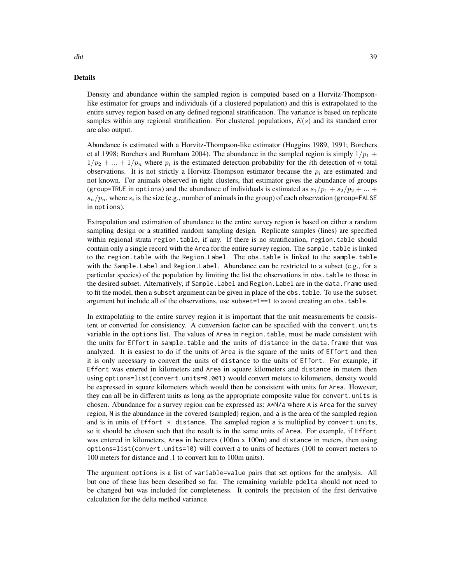#### Details

Density and abundance within the sampled region is computed based on a Horvitz-Thompsonlike estimator for groups and individuals (if a clustered population) and this is extrapolated to the entire survey region based on any defined regional stratification. The variance is based on replicate samples within any regional stratification. For clustered populations,  $E(s)$  and its standard error are also output.

Abundance is estimated with a Horvitz-Thompson-like estimator (Huggins 1989, 1991; Borchers et al 1998; Borchers and Burnham 2004). The abundance in the sampled region is simply  $1/p_1 +$  $1/p_2 + ... + 1/p_n$  where  $p_i$  is the estimated detection probability for the *i*th detection of *n* total observations. It is not strictly a Horvitz-Thompson estimator because the  $p_i$  are estimated and not known. For animals observed in tight clusters, that estimator gives the abundance of groups (group=TRUE in options) and the abundance of individuals is estimated as  $s_1/p_1 + s_2/p_2 + ...$  $s_n/p_n$ , where  $s_i$  is the size (e.g., number of animals in the group) of each observation (group=FALSE) in options).

Extrapolation and estimation of abundance to the entire survey region is based on either a random sampling design or a stratified random sampling design. Replicate samples (lines) are specified within regional strata region.table, if any. If there is no stratification, region.table should contain only a single record with the Area for the entire survey region. The sample.table is linked to the region.table with the Region.Label. The obs.table is linked to the sample.table with the Sample.Label and Region.Label. Abundance can be restricted to a subset (e.g., for a particular species) of the population by limiting the list the observations in obs.table to those in the desired subset. Alternatively, if Sample.Label and Region.Label are in the data.frame used to fit the model, then a subset argument can be given in place of the obs.table. To use the subset argument but include all of the observations, use subset=1==1 to avoid creating an obs.table.

In extrapolating to the entire survey region it is important that the unit measurements be consistent or converted for consistency. A conversion factor can be specified with the convert.units variable in the options list. The values of Area in region.table, must be made consistent with the units for Effort in sample.table and the units of distance in the data.frame that was analyzed. It is easiest to do if the units of Area is the square of the units of Effort and then it is only necessary to convert the units of distance to the units of Effort. For example, if Effort was entered in kilometers and Area in square kilometers and distance in meters then using options=list(convert.units=0.001) would convert meters to kilometers, density would be expressed in square kilometers which would then be consistent with units for Area. However, they can all be in different units as long as the appropriate composite value for convert.units is chosen. Abundance for a survey region can be expressed as: A\*N/a where A is Area for the survey region, N is the abundance in the covered (sampled) region, and a is the area of the sampled region and is in units of Effort  $*$  distance. The sampled region a is multiplied by convert.units, so it should be chosen such that the result is in the same units of Area. For example, if Effort was entered in kilometers, Area in hectares (100m x 100m) and distance in meters, then using options=list(convert.units=10) will convert a to units of hectares (100 to convert meters to 100 meters for distance and .1 to convert km to 100m units).

The argument options is a list of variable=value pairs that set options for the analysis. All but one of these has been described so far. The remaining variable pdelta should not need to be changed but was included for completeness. It controls the precision of the first derivative calculation for the delta method variance.

dht 39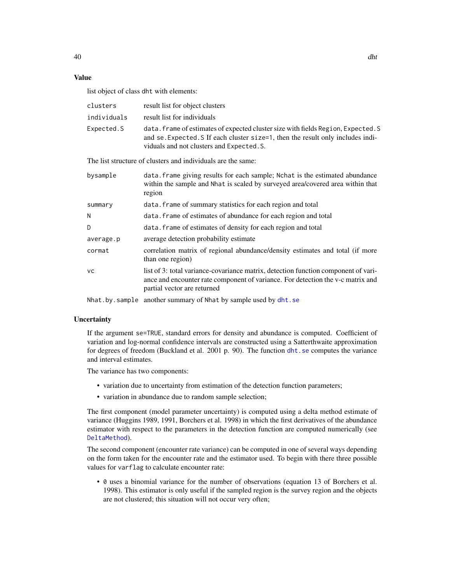# Value

list object of class dht with elements:

| clusters    | result list for object clusters                                                                                                                                                                                   |
|-------------|-------------------------------------------------------------------------------------------------------------------------------------------------------------------------------------------------------------------|
| individuals | result list for individuals                                                                                                                                                                                       |
| Expected.S  | data. frame of estimates of expected cluster size with fields Region, Expected. S<br>and se. Expected. S If each cluster size=1, then the result only includes indi-<br>viduals and not clusters and Expected. S. |
|             | The list structure of clusters and individuals are the same:                                                                                                                                                      |
| bysample    | data. Frame giving results for each sample; Not is the estimated abundance<br>within the sample and Nhat is scaled by surveyed area/covered area within that                                                      |

|           | within the sample and Nhat is scaled by surveyed area/covered area within that<br>region                                                                                                             |
|-----------|------------------------------------------------------------------------------------------------------------------------------------------------------------------------------------------------------|
| summary   | data. frame of summary statistics for each region and total                                                                                                                                          |
| N         | data. frame of estimates of abundance for each region and total                                                                                                                                      |
| D         | data. Frame of estimates of density for each region and total                                                                                                                                        |
| average.p | average detection probability estimate                                                                                                                                                               |
| cormat    | correlation matrix of regional abundance/density estimates and total (if more<br>than one region)                                                                                                    |
| VC.       | list of 3: total variance-covariance matrix, detection function component of vari-<br>ance and encounter rate component of variance. For detection the v-c matrix and<br>partial vector are returned |
|           |                                                                                                                                                                                                      |

Nhat.by.sample another summary of Nhat by sample used by [dht.se](#page-42-0)

#### **Uncertainty**

If the argument se=TRUE, standard errors for density and abundance is computed. Coefficient of variation and log-normal confidence intervals are constructed using a Satterthwaite approximation for degrees of freedom (Buckland et al. 2001 p. 90). The function [dht.se](#page-42-0) computes the variance and interval estimates.

The variance has two components:

- variation due to uncertainty from estimation of the detection function parameters;
- variation in abundance due to random sample selection;

The first component (model parameter uncertainty) is computed using a delta method estimate of variance (Huggins 1989, 1991, Borchers et al. 1998) in which the first derivatives of the abundance estimator with respect to the parameters in the detection function are computed numerically (see [DeltaMethod](#page-32-0)).

The second component (encounter rate variance) can be computed in one of several ways depending on the form taken for the encounter rate and the estimator used. To begin with there three possible values for varflag to calculate encounter rate:

• 0 uses a binomial variance for the number of observations (equation 13 of Borchers et al. 1998). This estimator is only useful if the sampled region is the survey region and the objects are not clustered; this situation will not occur very often;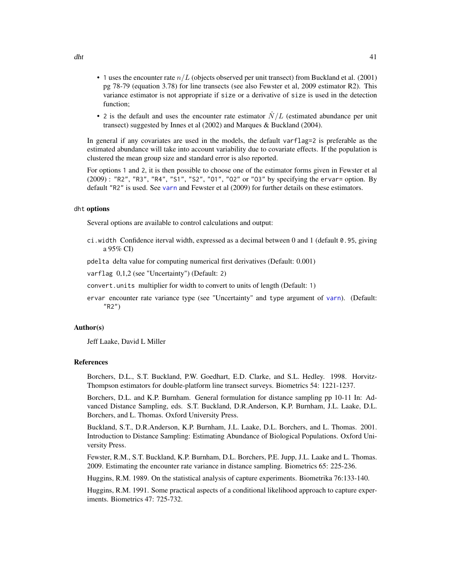- 1 uses the encounter rate  $n/L$  (objects observed per unit transect) from Buckland et al. (2001) pg 78-79 (equation 3.78) for line transects (see also Fewster et al, 2009 estimator R2). This variance estimator is not appropriate if size or a derivative of size is used in the detection function;
- 2 is the default and uses the encounter rate estimator  $\hat{N}/L$  (estimated abundance per unit transect) suggested by Innes et al (2002) and Marques & Buckland (2004).

In general if any covariates are used in the models, the default varflag=2 is preferable as the estimated abundance will take into account variability due to covariate effects. If the population is clustered the mean group size and standard error is also reported.

For options 1 and 2, it is then possible to choose one of the estimator forms given in Fewster et al (2009) : "R2", "R3", "R4", "S1", "S2", "O1", "O2" or "O3" by specifying the ervar= option. By default "R2" is used. See [varn](#page-129-0) and Fewster et al (2009) for further details on these estimators.

#### dht options

Several options are available to control calculations and output:

ci.width Confidence iterval width, expressed as a decimal between 0 and 1 (default 0.95, giving a 95% CI)

pdelta delta value for computing numerical first derivatives (Default: 0.001)

varflag 0,1,2 (see "Uncertainty") (Default: 2)

convert.units multiplier for width to convert to units of length (Default: 1)

ervar encounter rate variance type (see "Uncertainty" and type argument of [varn](#page-129-0)). (Default: "R2")

## Author(s)

Jeff Laake, David L Miller

#### References

Borchers, D.L., S.T. Buckland, P.W. Goedhart, E.D. Clarke, and S.L. Hedley. 1998. Horvitz-Thompson estimators for double-platform line transect surveys. Biometrics 54: 1221-1237.

Borchers, D.L. and K.P. Burnham. General formulation for distance sampling pp 10-11 In: Advanced Distance Sampling, eds. S.T. Buckland, D.R.Anderson, K.P. Burnham, J.L. Laake, D.L. Borchers, and L. Thomas. Oxford University Press.

Buckland, S.T., D.R.Anderson, K.P. Burnham, J.L. Laake, D.L. Borchers, and L. Thomas. 2001. Introduction to Distance Sampling: Estimating Abundance of Biological Populations. Oxford University Press.

Fewster, R.M., S.T. Buckland, K.P. Burnham, D.L. Borchers, P.E. Jupp, J.L. Laake and L. Thomas. 2009. Estimating the encounter rate variance in distance sampling. Biometrics 65: 225-236.

Huggins, R.M. 1989. On the statistical analysis of capture experiments. Biometrika 76:133-140.

Huggins, R.M. 1991. Some practical aspects of a conditional likelihood approach to capture experiments. Biometrics 47: 725-732.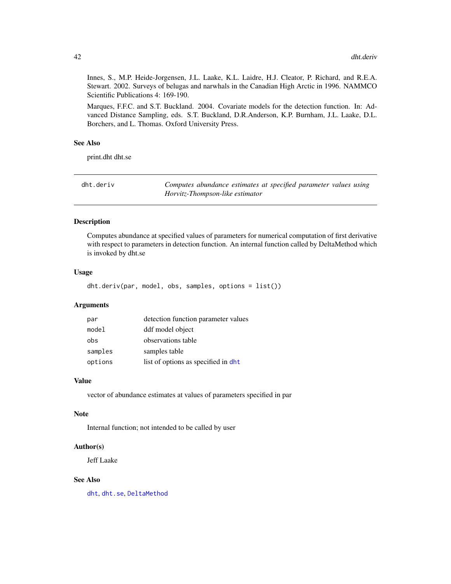Innes, S., M.P. Heide-Jorgensen, J.L. Laake, K.L. Laidre, H.J. Cleator, P. Richard, and R.E.A. Stewart. 2002. Surveys of belugas and narwhals in the Canadian High Arctic in 1996. NAMMCO Scientific Publications 4: 169-190.

Marques, F.F.C. and S.T. Buckland. 2004. Covariate models for the detection function. In: Advanced Distance Sampling, eds. S.T. Buckland, D.R.Anderson, K.P. Burnham, J.L. Laake, D.L. Borchers, and L. Thomas. Oxford University Press.

## See Also

print.dht dht.se

| dht.deriv | Computes abundance estimates at specified parameter values using |
|-----------|------------------------------------------------------------------|
|           | Horvitz-Thompson-like estimator                                  |

#### Description

Computes abundance at specified values of parameters for numerical computation of first derivative with respect to parameters in detection function. An internal function called by DeltaMethod which is invoked by dht.se

#### Usage

dht.deriv(par, model, obs, samples, options = list())

#### Arguments

| par     | detection function parameter values  |
|---------|--------------------------------------|
| model   | ddf model object                     |
| obs     | observations table                   |
| samples | samples table                        |
| options | list of options as specified in dht. |

### Value

vector of abundance estimates at values of parameters specified in par

#### Note

Internal function; not intended to be called by user

## Author(s)

Jeff Laake

#### See Also

[dht](#page-37-0), [dht.se](#page-42-0), [DeltaMethod](#page-32-0)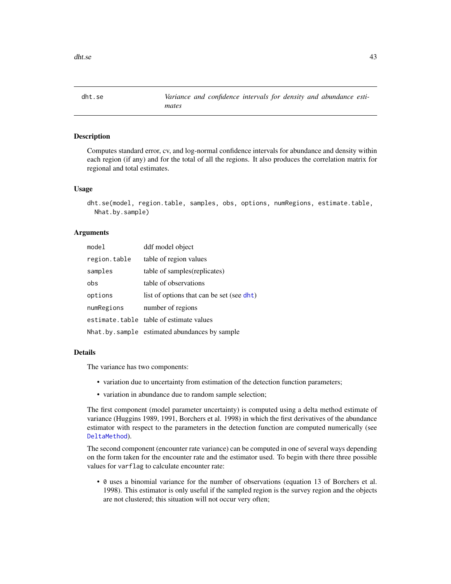<span id="page-42-0"></span>dht.se *Variance and confidence intervals for density and abundance estimates*

## Description

Computes standard error, cv, and log-normal confidence intervals for abundance and density within each region (if any) and for the total of all the regions. It also produces the correlation matrix for regional and total estimates.

#### Usage

```
dht.se(model, region.table, samples, obs, options, numRegions, estimate.table,
 Nhat.by.sample)
```
#### Arguments

| mode1        | ddf model object                              |
|--------------|-----------------------------------------------|
| region.table | table of region values                        |
| samples      | table of samples (replicates)                 |
| obs          | table of observations                         |
| options      | list of options that can be set (see dht)     |
| numRegions   | number of regions                             |
|              | estimate.table table of estimate values       |
|              | Nhat by sample estimated abundances by sample |

#### Details

The variance has two components:

- variation due to uncertainty from estimation of the detection function parameters;
- variation in abundance due to random sample selection;

The first component (model parameter uncertainty) is computed using a delta method estimate of variance (Huggins 1989, 1991, Borchers et al. 1998) in which the first derivatives of the abundance estimator with respect to the parameters in the detection function are computed numerically (see [DeltaMethod](#page-32-0)).

The second component (encounter rate variance) can be computed in one of several ways depending on the form taken for the encounter rate and the estimator used. To begin with there three possible values for varflag to calculate encounter rate:

• 0 uses a binomial variance for the number of observations (equation 13 of Borchers et al. 1998). This estimator is only useful if the sampled region is the survey region and the objects are not clustered; this situation will not occur very often;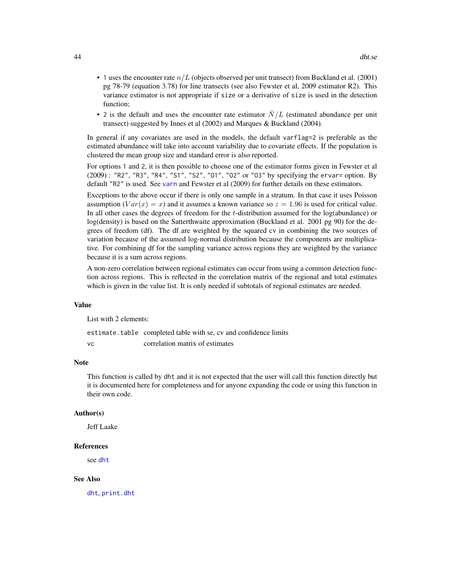- 1 uses the encounter rate  $n/L$  (objects observed per unit transect) from Buckland et al. (2001) pg 78-79 (equation 3.78) for line transects (see also Fewster et al, 2009 estimator R2). This variance estimator is not appropriate if size or a derivative of size is used in the detection function;
- 2 is the default and uses the encounter rate estimator  $N/L$  (estimated abundance per unit transect) suggested by Innes et al (2002) and Marques & Buckland (2004).

In general if any covariates are used in the models, the default varflag=2 is preferable as the estimated abundance will take into account variability due to covariate effects. If the population is clustered the mean group size and standard error is also reported.

For options 1 and 2, it is then possible to choose one of the estimator forms given in Fewster et al (2009) : "R2", "R3", "R4", "S1", "S2", "O1", "O2" or "O3" by specifying the ervar= option. By default "R2" is used. See [varn](#page-129-0) and Fewster et al (2009) for further details on these estimators.

Exceptions to the above occur if there is only one sample in a stratum. In that case it uses Poisson assumption  $(Var(x) = x)$  and it assumes a known variance so  $z = 1.96$  is used for critical value. In all other cases the degrees of freedom for the  $t$ -distribution assumed for the log(abundance) or log(density) is based on the Satterthwaite approximation (Buckland et al. 2001 pg 90) for the degrees of freedom (df). The df are weighted by the squared cv in combining the two sources of variation because of the assumed log-normal distribution because the components are multiplicative. For combining df for the sampling variance across regions they are weighted by the variance because it is a sum across regions.

A non-zero correlation between regional estimates can occur from using a common detection function across regions. This is reflected in the correlation matrix of the regional and total estimates which is given in the value list. It is only needed if subtotals of regional estimates are needed.

#### Value

List with 2 elements:

estimate.table completed table with se, cv and confidence limits

vc correlation matrix of estimates

#### Note

This function is called by dht and it is not expected that the user will call this function directly but it is documented here for completeness and for anyone expanding the code or using this function in their own code.

#### Author(s)

Jeff Laake

#### References

see [dht](#page-37-0)

#### See Also

[dht](#page-37-0), [print.dht](#page-100-0)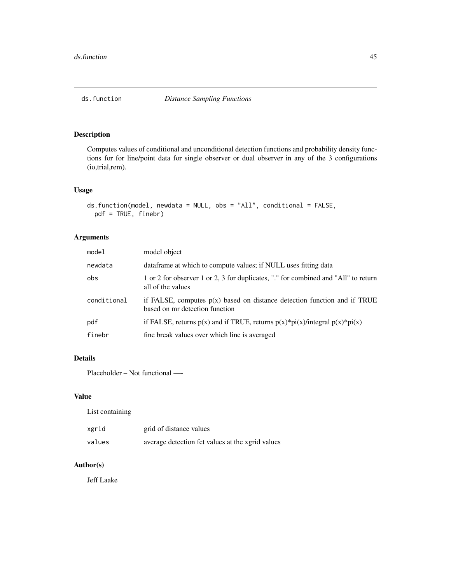Computes values of conditional and unconditional detection functions and probability density functions for for line/point data for single observer or dual observer in any of the 3 configurations (io,trial,rem).

## Usage

```
ds.function(model, newdata = NULL, obs = "All", conditional = FALSE,
 pdf = TRUE, finebr)
```
## Arguments

| model       | model object                                                                                                 |
|-------------|--------------------------------------------------------------------------------------------------------------|
| newdata     | data frame at which to compute values; if NULL uses fitting data                                             |
| obs         | 1 or 2 for observer 1 or 2, 3 for duplicates, "." for combined and "All" to return<br>all of the values      |
| conditional | if FALSE, computes $p(x)$ based on distance detection function and if TRUE<br>based on mr detection function |
| pdf         | if FALSE, returns $p(x)$ and if TRUE, returns $p(x)*pi(x)/integral p(x)*pi(x)$                               |
| finebr      | fine break values over which line is averaged                                                                |

## Details

Placeholder – Not functional —-

#### Value

List containing

| xgrid  | grid of distance values                          |
|--------|--------------------------------------------------|
| values | average detection fct values at the xgrid values |

# Author(s)

Jeff Laake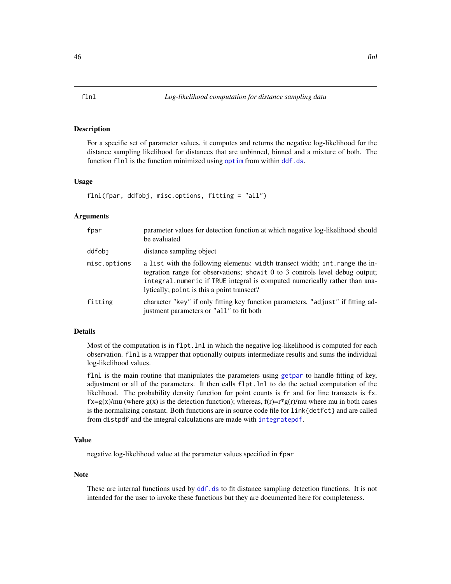<span id="page-45-1"></span><span id="page-45-0"></span>For a specific set of parameter values, it computes and returns the negative log-likelihood for the distance sampling likelihood for distances that are unbinned, binned and a mixture of both. The function flnl is the function minimized using [optim](#page-0-0) from within [ddf.ds](#page-22-0).

#### Usage

flnl(fpar, ddfobj, misc.options, fitting = "all")

### Arguments

| fpar         | parameter values for detection function at which negative log-likelihood should<br>be evaluated                                                                                                                                                                                           |
|--------------|-------------------------------------------------------------------------------------------------------------------------------------------------------------------------------------------------------------------------------------------------------------------------------------------|
| ddfobi       | distance sampling object                                                                                                                                                                                                                                                                  |
| misc.options | a list with the following elements: width transect width; int. range the in-<br>tegration range for observations; show it 0 to 3 controls level debug output;<br>integral.numeric if TRUE integral is computed numerically rather than ana-<br>lytically; point is this a point transect? |
| fitting      | character "key" if only fitting key function parameters, "adjust" if fitting ad-<br>justment parameters or "all" to fit both                                                                                                                                                              |
|              |                                                                                                                                                                                                                                                                                           |

## Details

Most of the computation is in flpt.lnl in which the negative log-likelihood is computed for each observation. flnl is a wrapper that optionally outputs intermediate results and sums the individual log-likelihood values.

flnl is the main routine that manipulates the parameters using [getpar](#page-47-0) to handle fitting of key, adjustment or all of the parameters. It then calls flpt.lnl to do the actual computation of the likelihood. The probability density function for point counts is fr and for line transects is fx.  $f \times = g(x)/mu$  (where  $g(x)$  is the detection function); whereas,  $f(r)=r*g(r)/mu$  where mu in both cases is the normalizing constant. Both functions are in source code file for link{detfct} and are called from distpdf and the integral calculations are made with [integratepdf](#page-52-0).

## Value

negative log-likelihood value at the parameter values specified in fpar

## Note

These are internal functions used by  $\text{d}f$ , ds to fit distance sampling detection functions. It is not intended for the user to invoke these functions but they are documented here for completeness.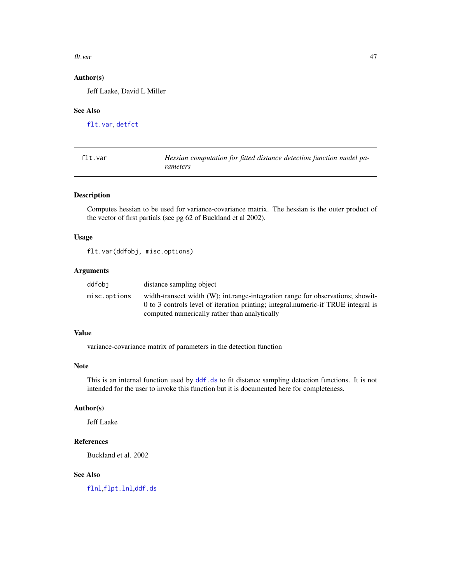#### flt.var 47

# Author(s)

Jeff Laake, David L Miller

## See Also

[flt.var](#page-46-0), [detfct](#page-0-0)

<span id="page-46-0"></span>

| flt.var | Hessian computation for fitted distance detection function model pa- |
|---------|----------------------------------------------------------------------|
|         | rameters                                                             |

## Description

Computes hessian to be used for variance-covariance matrix. The hessian is the outer product of the vector of first partials (see pg 62 of Buckland et al 2002).

#### Usage

flt.var(ddfobj, misc.options)

#### Arguments

| ddfobi       | distance sampling object                                                          |
|--------------|-----------------------------------------------------------------------------------|
| misc.options | width-transect width (W); int.range-integration range for observations; show it-  |
|              | 0 to 3 controls level of iteration printing; integral.numeric-if TRUE integral is |
|              | computed numerically rather than analytically                                     |

## Value

variance-covariance matrix of parameters in the detection function

#### Note

This is an internal function used by  $ddf$ .ds to fit distance sampling detection functions. It is not intended for the user to invoke this function but it is documented here for completeness.

## Author(s)

Jeff Laake

# References

Buckland et al. 2002

## See Also

[flnl](#page-45-0),[flpt.lnl](#page-45-1),[ddf.ds](#page-22-0)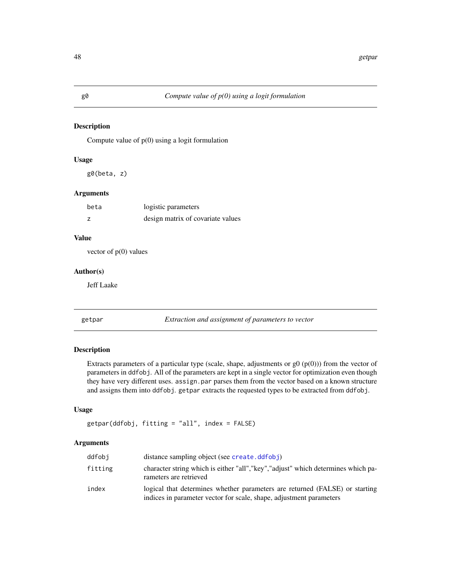Compute value of  $p(0)$  using a logit formulation

#### Usage

g0(beta, z)

## Arguments

| beta | logistic parameters               |
|------|-----------------------------------|
|      | design matrix of covariate values |

## Value

vector of  $p(0)$  values

## Author(s)

Jeff Laake

## <span id="page-47-0"></span>getpar *Extraction and assignment of parameters to vector*

## Description

Extracts parameters of a particular type (scale, shape, adjustments or  $g($  $p(0))$ ) from the vector of parameters in ddfobj. All of the parameters are kept in a single vector for optimization even though they have very different uses. assign.par parses them from the vector based on a known structure and assigns them into ddfobj. getpar extracts the requested types to be extracted from ddfobj.

## Usage

getpar(ddfobj, fitting = "all", index = FALSE)

#### Arguments

| ddfobi  | distance sampling object (see create.ddfobj)                                                                                                       |
|---------|----------------------------------------------------------------------------------------------------------------------------------------------------|
| fitting | character string which is either "all", "key", "adjust" which determines which pa-<br>rameters are retrieved                                       |
| index   | logical that determines whether parameters are returned (FALSE) or starting<br>indices in parameter vector for scale, shape, adjustment parameters |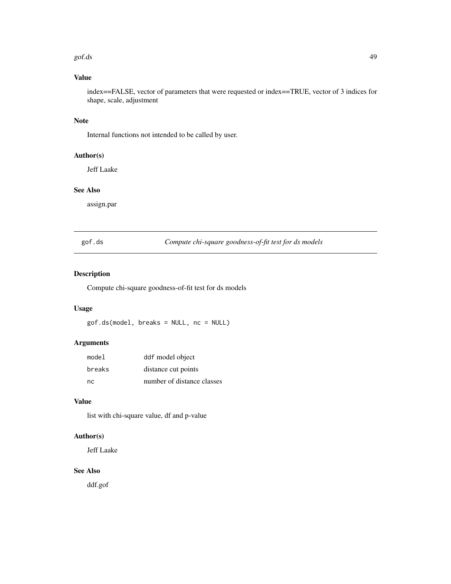#### $g \circ f$ .ds 49

# Value

index==FALSE, vector of parameters that were requested or index==TRUE, vector of 3 indices for shape, scale, adjustment

## Note

Internal functions not intended to be called by user.

## Author(s)

Jeff Laake

## See Also

assign.par

gof.ds *Compute chi-square goodness-of-fit test for ds models*

## Description

Compute chi-square goodness-of-fit test for ds models

## Usage

gof.ds(model, breaks = NULL, nc = NULL)

## Arguments

| model  | ddf model object           |
|--------|----------------------------|
| breaks | distance cut points        |
| nc.    | number of distance classes |

# Value

list with chi-square value, df and p-value

# Author(s)

Jeff Laake

# See Also

ddf.gof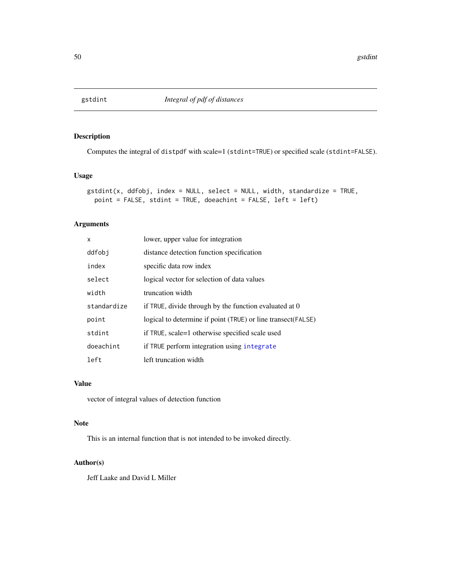Computes the integral of distpdf with scale=1 (stdint=TRUE) or specified scale (stdint=FALSE).

## Usage

```
gstdint(x, ddfobj, index = NULL, select = NULL, width, standardize = TRUE,
 point = FALSE, stdint = TRUE, doeachint = FALSE, left = left)
```
## Arguments

| X           | lower, upper value for integration                            |
|-------------|---------------------------------------------------------------|
| ddfobi      | distance detection function specification                     |
| index       | specific data row index                                       |
| select      | logical vector for selection of data values                   |
| width       | truncation width                                              |
| standardize | if TRUE, divide through by the function evaluated at 0        |
| point       | logical to determine if point (TRUE) or line transect (FALSE) |
| stdint      | if TRUE, scale=1 otherwise specified scale used               |
| doeachint   | if TRUE perform integration using integrate                   |
| left        | left truncation width                                         |

#### Value

vector of integral values of detection function

#### Note

This is an internal function that is not intended to be invoked directly.

## Author(s)

Jeff Laake and David L Miller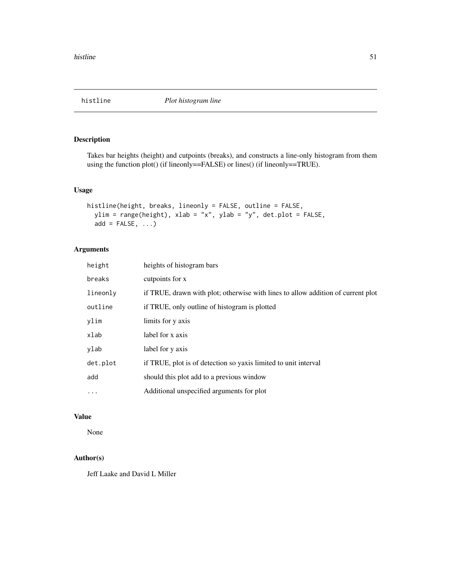Takes bar heights (height) and cutpoints (breaks), and constructs a line-only histogram from them using the function plot() (if lineonly==FALSE) or lines() (if lineonly==TRUE).

## Usage

```
histline(height, breaks, lineonly = FALSE, outline = FALSE,
  ylim = range(height), xlab = "x", ylab = "y", det.plot = FALSE,
  add = FALSE, \ldots)
```
## Arguments

| height   | heights of histogram bars                                                        |
|----------|----------------------------------------------------------------------------------|
| breaks   | cutpoints for x                                                                  |
| lineonly | if TRUE, drawn with plot; otherwise with lines to allow addition of current plot |
| outline  | if TRUE, only outline of histogram is plotted                                    |
| ylim     | limits for y axis                                                                |
| xlab     | label for x axis                                                                 |
| ylab     | label for y axis                                                                 |
| det.plot | if TRUE, plot is of detection so yaxis limited to unit interval                  |
| add      | should this plot add to a previous window                                        |
| $\cdots$ | Additional unspecified arguments for plot                                        |

### Value

None

# Author(s)

Jeff Laake and David L Miller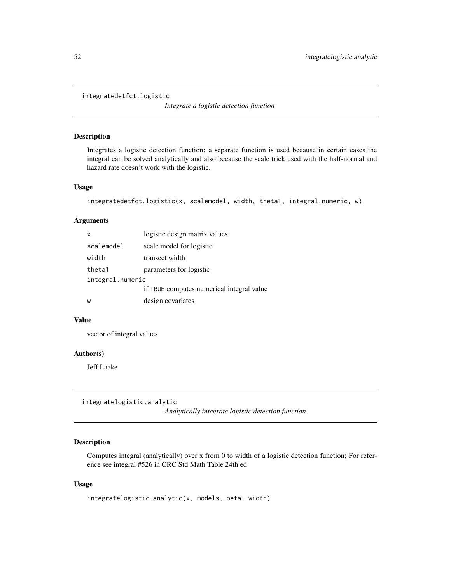integratedetfct.logistic

*Integrate a logistic detection function*

#### Description

Integrates a logistic detection function; a separate function is used because in certain cases the integral can be solved analytically and also because the scale trick used with the half-normal and hazard rate doesn't work with the logistic.

## Usage

```
integratedetfct.logistic(x, scalemodel, width, theta1, integral.numeric, w)
```
## Arguments

|                  | x          | logistic design matrix values             |
|------------------|------------|-------------------------------------------|
|                  | scalemodel | scale model for logistic                  |
|                  | width      | transect width                            |
|                  | theta1     | parameters for logistic                   |
| integral.numeric |            |                                           |
|                  |            | if TRUE computes numerical integral value |
|                  | W          | design covariates                         |

## Value

vector of integral values

#### Author(s)

Jeff Laake

integratelogistic.analytic

*Analytically integrate logistic detection function*

## Description

Computes integral (analytically) over x from 0 to width of a logistic detection function; For reference see integral #526 in CRC Std Math Table 24th ed

#### Usage

```
integratelogistic.analytic(x, models, beta, width)
```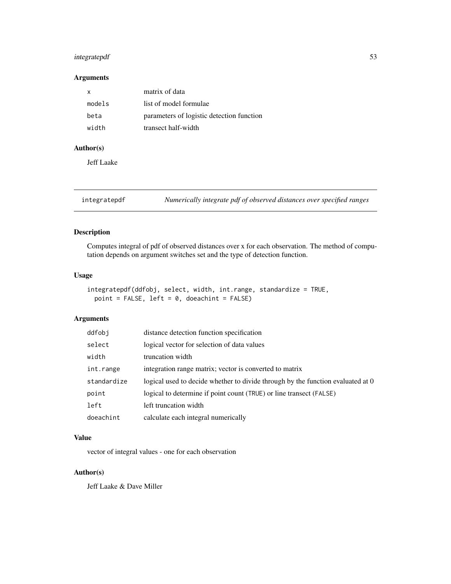## integratepdf 53

## Arguments

| x      | matrix of data                            |
|--------|-------------------------------------------|
| models | list of model formulae                    |
| beta   | parameters of logistic detection function |
| width  | transect half-width                       |

## Author(s)

Jeff Laake

<span id="page-52-0"></span>integratepdf *Numerically integrate pdf of observed distances over specified ranges*

## Description

Computes integral of pdf of observed distances over x for each observation. The method of computation depends on argument switches set and the type of detection function.

## Usage

```
integratepdf(ddfobj, select, width, int.range, standardize = TRUE,
 point = FALSE, left = 0, doeachint = FALSE)
```
## Arguments

| ddfobj      | distance detection function specification                                       |
|-------------|---------------------------------------------------------------------------------|
| select      | logical vector for selection of data values                                     |
| width       | truncation width                                                                |
| int.range   | integration range matrix; vector is converted to matrix                         |
| standardize | logical used to decide whether to divide through by the function evaluated at 0 |
| point       | logical to determine if point count (TRUE) or line transect (FALSE)             |
| left        | left truncation width                                                           |
| doeachint   | calculate each integral numerically                                             |

## Value

vector of integral values - one for each observation

## Author(s)

Jeff Laake & Dave Miller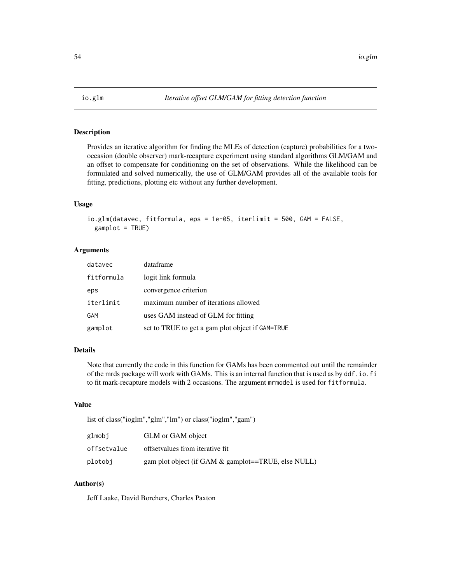Provides an iterative algorithm for finding the MLEs of detection (capture) probabilities for a twooccasion (double observer) mark-recapture experiment using standard algorithms GLM/GAM and an offset to compensate for conditioning on the set of observations. While the likelihood can be formulated and solved numerically, the use of GLM/GAM provides all of the available tools for fitting, predictions, plotting etc without any further development.

#### Usage

```
io.glm(datavec, fitformula, eps = 1e-05, iterlimit = 500, GAM = FALSE,
 gamplot = TRUE)
```
#### Arguments

| datavec    | dataframe                                        |
|------------|--------------------------------------------------|
| fitformula | logit link formula                               |
| eps        | convergence criterion                            |
| iterlimit  | maximum number of iterations allowed             |
| GAM        | uses GAM instead of GLM for fitting              |
| gamplot    | set to TRUE to get a gam plot object if GAM=TRUE |

#### Details

Note that currently the code in this function for GAMs has been commented out until the remainder of the mrds package will work with GAMs. This is an internal function that is used as by ddf.io.fi to fit mark-recapture models with 2 occasions. The argument mrmodel is used for fitformula.

## Value

list of class("ioglm","glm","lm") or class("ioglm","gam")

| glmobi      | GLM or GAM object                                      |
|-------------|--------------------------------------------------------|
| offsetvalue | offsetvalues from iterative fit.                       |
| plotobi     | gam plot object (if GAM $\&$ gamplot==TRUE, else NULL) |

## Author(s)

Jeff Laake, David Borchers, Charles Paxton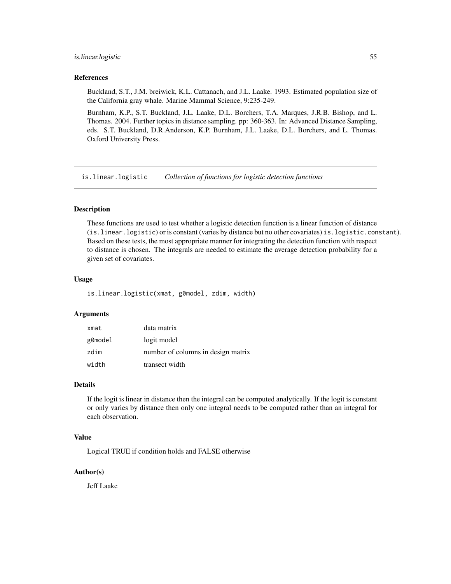#### is.linear.logistic 55

#### References

Buckland, S.T., J.M. breiwick, K.L. Cattanach, and J.L. Laake. 1993. Estimated population size of the California gray whale. Marine Mammal Science, 9:235-249.

Burnham, K.P., S.T. Buckland, J.L. Laake, D.L. Borchers, T.A. Marques, J.R.B. Bishop, and L. Thomas. 2004. Further topics in distance sampling. pp: 360-363. In: Advanced Distance Sampling, eds. S.T. Buckland, D.R.Anderson, K.P. Burnham, J.L. Laake, D.L. Borchers, and L. Thomas. Oxford University Press.

is.linear.logistic *Collection of functions for logistic detection functions*

#### Description

These functions are used to test whether a logistic detection function is a linear function of distance (is.linear.logistic) or is constant (varies by distance but no other covariates) is.logistic.constant). Based on these tests, the most appropriate manner for integrating the detection function with respect to distance is chosen. The integrals are needed to estimate the average detection probability for a given set of covariates.

## Usage

is.linear.logistic(xmat, g0model, zdim, width)

#### Arguments

| xmat    | data matrix                        |
|---------|------------------------------------|
| g0model | logit model                        |
| zdim    | number of columns in design matrix |
| width   | transect width                     |

#### Details

If the logit is linear in distance then the integral can be computed analytically. If the logit is constant or only varies by distance then only one integral needs to be computed rather than an integral for each observation.

## Value

Logical TRUE if condition holds and FALSE otherwise

### Author(s)

Jeff Laake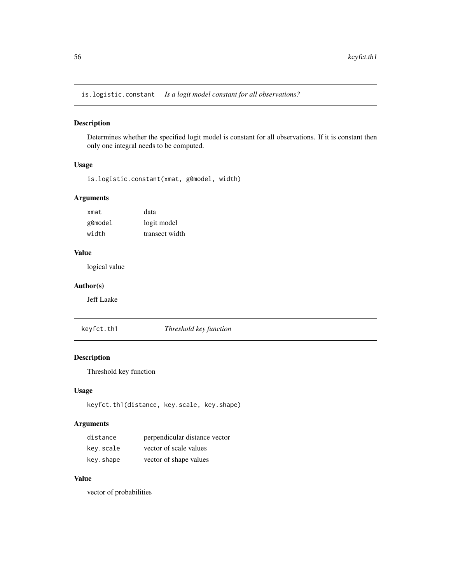is.logistic.constant *Is a logit model constant for all observations?*

## Description

Determines whether the specified logit model is constant for all observations. If it is constant then only one integral needs to be computed.

#### Usage

is.logistic.constant(xmat, g0model, width)

## Arguments

| xmat    | data           |
|---------|----------------|
| g0model | logit model    |
| width   | transect width |

## Value

logical value

## Author(s)

Jeff Laake

keyfct.th1 *Threshold key function*

# Description

Threshold key function

## Usage

keyfct.th1(distance, key.scale, key.shape)

## Arguments

| distance  | perpendicular distance vector |
|-----------|-------------------------------|
| key.scale | vector of scale values        |
| key.shape | vector of shape values        |

## Value

vector of probabilities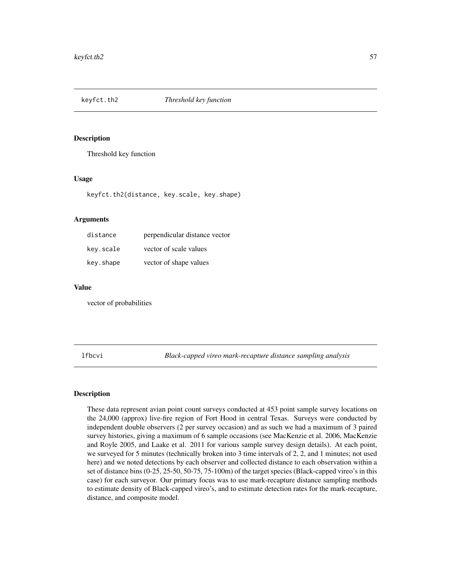Threshold key function

## Usage

keyfct.th2(distance, key.scale, key.shape)

#### Arguments

| distance  | perpendicular distance vector |
|-----------|-------------------------------|
| key.scale | vector of scale values        |
| key.shape | vector of shape values        |

## Value

vector of probabilities

lfbcvi *Black-capped vireo mark-recapture distance sampling analysis*

## Description

These data represent avian point count surveys conducted at 453 point sample survey locations on the 24,000 (approx) live-fire region of Fort Hood in central Texas. Surveys were conducted by independent double observers (2 per survey occasion) and as such we had a maximum of 3 paired survey histories, giving a maximum of 6 sample occasions (see MacKenzie et al. 2006, MacKenzie and Royle 2005, and Laake et al. 2011 for various sample survey design details). At each point, we surveyed for 5 minutes (technically broken into 3 time intervals of 2, 2, and 1 minutes; not used here) and we noted detections by each observer and collected distance to each observation within a set of distance bins (0-25, 25-50, 50-75, 75-100m) of the target species (Black-capped vireo's in this case) for each surveyor. Our primary focus was to use mark-recapture distance sampling methods to estimate density of Black-capped vireo's, and to estimate detection rates for the mark-recapture, distance, and composite model.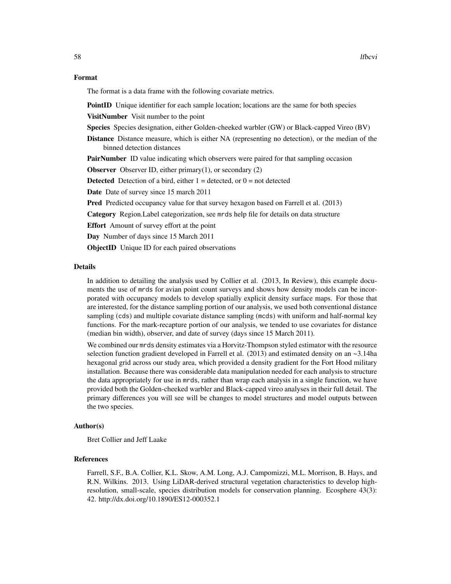#### Format

The format is a data frame with the following covariate metrics.

**PointID** Unique identifier for each sample location; locations are the same for both species

VisitNumber Visit number to the point

Species Species designation, either Golden-cheeked warbler (GW) or Black-capped Vireo (BV)

Distance Distance measure, which is either NA (representing no detection), or the median of the binned detection distances

**PairNumber** ID value indicating which observers were paired for that sampling occasion

**Observer** Observer ID, either primary $(1)$ , or secondary  $(2)$ 

**Detected** Detection of a bird, either  $1 =$  detected, or  $0 =$  not detected

Date Date of survey since 15 march 2011

Pred Predicted occupancy value for that survey hexagon based on Farrell et al. (2013)

Category Region.Label categorization, see mrds help file for details on data structure

Effort Amount of survey effort at the point

Day Number of days since 15 March 2011

ObjectID Unique ID for each paired observations

## Details

In addition to detailing the analysis used by Collier et al. (2013, In Review), this example documents the use of mrds for avian point count surveys and shows how density models can be incorporated with occupancy models to develop spatially explicit density surface maps. For those that are interested, for the distance sampling portion of our analysis, we used both conventional distance sampling (cds) and multiple covariate distance sampling (mcds) with uniform and half-normal key functions. For the mark-recapture portion of our analysis, we tended to use covariates for distance (median bin width), observer, and date of survey (days since 15 March 2011).

We combined our mrds density estimates via a Horvitz-Thompson styled estimator with the resource selection function gradient developed in Farrell et al.  $(2013)$  and estimated density on an  $\sim$ 3.14ha hexagonal grid across our study area, which provided a density gradient for the Fort Hood military installation. Because there was considerable data manipulation needed for each analysis to structure the data appropriately for use in mrds, rather than wrap each analysis in a single function, we have provided both the Golden-cheeked warbler and Black-capped vireo analyses in their full detail. The primary differences you will see will be changes to model structures and model outputs between the two species.

### Author(s)

Bret Collier and Jeff Laake

#### References

Farrell, S.F., B.A. Collier, K.L. Skow, A.M. Long, A.J. Campomizzi, M.L. Morrison, B. Hays, and R.N. Wilkins. 2013. Using LiDAR-derived structural vegetation characteristics to develop highresolution, small-scale, species distribution models for conservation planning. Ecosphere 43(3): 42. http://dx.doi.org/10.1890/ES12-000352.1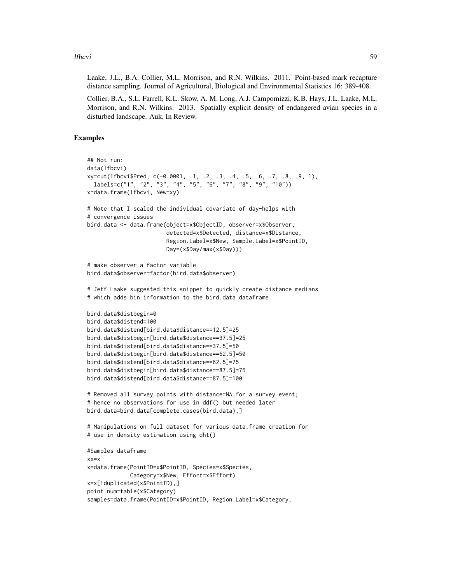#### lfbcvi 59

Laake, J.L., B.A. Collier, M.L. Morrison, and R.N. Wilkins. 2011. Point-based mark recapture distance sampling. Journal of Agricultural, Biological and Environmental Statistics 16: 389-408.

Collier, B.A., S.L. Farrell, K.L. Skow, A. M. Long, A.J. Campomizzi, K.B. Hays, J.L. Laake, M.L. Morrison, and R.N. Wilkins. 2013. Spatially explicit density of endangered avian species in a disturbed landscape. Auk, In Review.

## Examples

```
## Not run:
data(lfbcvi)
xy=cut(lfbcvi$Pred, c(-0.0001, .1, .2, .3, .4, .5, .6, .7, .8, .9, 1),
 labels=c("1", "2", "3", "4", "5", "6", "7", "8", "9", "10"))
x=data.frame(lfbcvi, New=xy)
# Note that I scaled the individual covariate of day-helps with
# convergence issues
bird.data <- data.frame(object=x$ObjectID, observer=x$Observer,
                        detected=x$Detected, distance=x$Distance,
                        Region.Label=x$New, Sample.Label=x$PointID,
                        Day=(x$Day/max(x$Day)))
# make observer a factor variable
bird.data$observer=factor(bird.data$observer)
# Jeff Laake suggested this snippet to quickly create distance medians
# which adds bin information to the bird.data dataframe
bird.data$distbegin=0
bird.data$distend=100
bird.data$distend[bird.data$distance==12.5]=25
bird.data$distbegin[bird.data$distance==37.5]=25
bird.data$distend[bird.data$distance==37.5]=50
bird.data$distbegin[bird.data$distance==62.5]=50
bird.data$distend[bird.data$distance==62.5]=75
bird.data$distbegin[bird.data$distance==87.5]=75
bird.data$distend[bird.data$distance==87.5]=100
# Removed all survey points with distance=NA for a survey event;
# hence no observations for use in ddf() but needed later
bird.data=bird.data[complete.cases(bird.data),]
# Manipulations on full dataset for various data.frame creation for
# use in density estimation using dht()
#Samples dataframe
xx=x
x=data.frame(PointID=x$PointID, Species=x$Species,
            Category=x$New, Effort=x$Effort)
x=x[!duplicated(x$PointID),]
point.num=table(x$Category)
samples=data.frame(PointID=x$PointID, Region.Label=x$Category,
```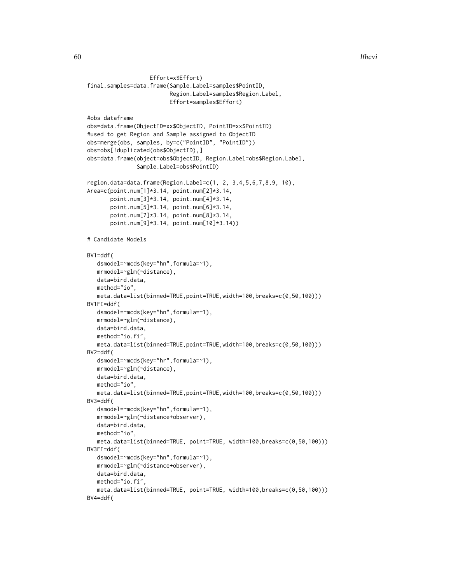```
Effort=x$Effort)
final.samples=data.frame(Sample.Label=samples$PointID,
                         Region.Label=samples$Region.Label,
                         Effort=samples$Effort)
#obs dataframe
obs=data.frame(ObjectID=xx$ObjectID, PointID=xx$PointID)
#used to get Region and Sample assigned to ObjectID
obs=merge(obs, samples, by=c("PointID", "PointID"))
obs=obs[!duplicated(obs$ObjectID),]
obs=data.frame(object=obs$ObjectID, Region.Label=obs$Region.Label,
               Sample.Label=obs$PointID)
region.data=data.frame(Region.Label=c(1, 2, 3,4,5,6,7,8,9, 10),
Area=c(point.num[1]*3.14, point.num[2]*3.14,
      point.num[3]*3.14, point.num[4]*3.14,
      point.num[5]*3.14, point.num[6]*3.14,
      point.num[7]*3.14, point.num[8]*3.14,
      point.num[9]*3.14, point.num[10]*3.14))
# Candidate Models
BY1 = ddf(dsmodel=~mcds(key="hn",formula=~1),
  mrmodel=~glm(~distance),
  data=bird.data,
  method="io",
  meta.data=list(binned=TRUE,point=TRUE,width=100,breaks=c(0,50,100)))
BV1FI=ddf(
  dsmodel=~mcds(key="hn",formula=~1),
  mrmodel=~glm(~distance),
  data=bird.data,
  method="io.fi",
  meta.data=list(binned=TRUE,point=TRUE,width=100,breaks=c(0,50,100)))
BV2=ddf(
  dsmodel=~mcds(key="hr",formula=~1),
  mrmodel=~glm(~distance),
  data=bird.data,
  method="io",
  meta.data=list(binned=TRUE,point=TRUE,width=100,breaks=c(0,50,100)))
BV3=ddf(
   dsmodel=~mcds(key="hn",formula=~1),
  mrmodel=~glm(~distance+observer),
  data=bird.data,
  method="io",
  meta.data=list(binned=TRUE, point=TRUE, width=100,breaks=c(0,50,100)))
BV3FI=ddf(
  dsmodel=~mcds(key="hn",formula=~1),
  mrmodel=~glm(~distance+observer),
  data=bird.data,
  method="io.fi",
  meta.data=list(binned=TRUE, point=TRUE, width=100,breaks=c(0,50,100)))
BV4=ddf(
```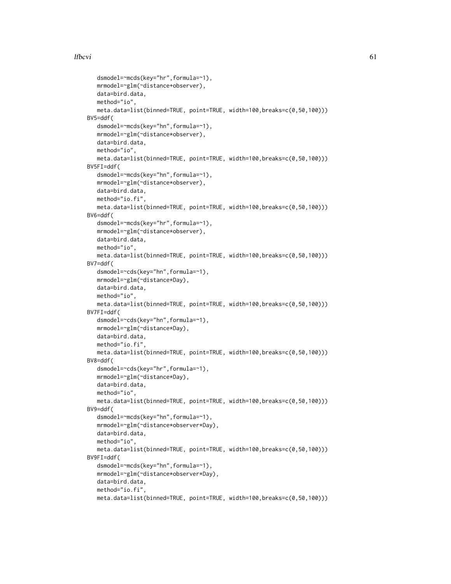## lfbcvi 61

```
dsmodel=~mcds(key="hr",formula=~1),
  mrmodel=~glm(~distance+observer),
  data=bird.data,
  method="io",
  meta.data=list(binned=TRUE, point=TRUE, width=100,breaks=c(0,50,100)))
BV5=ddf(
  dsmodel=~mcds(key="hn",formula=~1),
  mrmodel=~glm(~distance*observer),
  data=bird.data,
  method="io",
  meta.data=list(binned=TRUE, point=TRUE, width=100,breaks=c(0,50,100)))
BV5FI=ddf(
  dsmodel=~mcds(key="hn",formula=~1),
  mrmodel=~glm(~distance*observer),
  data=bird.data,
  method="io.fi",
  meta.data=list(binned=TRUE, point=TRUE, width=100,breaks=c(0,50,100)))
BV6=ddf(
  dsmodel=~mcds(key="hr",formula=~1),
  mrmodel=~glm(~distance*observer),
  data=bird.data,
  method="io",
  meta.data=list(binned=TRUE, point=TRUE, width=100,breaks=c(0,50,100)))
BV7=ddf(
  dsmodel=~cds(key="hn",formula=~1),
  mrmodel=~glm(~distance*Day),
  data=bird.data,
  method="io",
  meta.data=list(binned=TRUE, point=TRUE, width=100,breaks=c(0,50,100)))
BV7FI=ddf(
  dsmodel=~cds(key="hn",formula=~1),
  mrmodel=~glm(~distance*Day),
  data=bird.data,
  method="io.fi",
  meta.data=list(binned=TRUE, point=TRUE, width=100,breaks=c(0,50,100)))
BV8=ddf(
  dsmodel=~cds(key="hr",formula=~1),
  mrmodel=~glm(~distance*Day),
  data=bird.data,
  method="io",
  meta.data=list(binned=TRUE, point=TRUE, width=100,breaks=c(0,50,100)))
BV9=ddf(
  dsmodel=~mcds(key="hn",formula=~1),
  mrmodel=~glm(~distance*observer*Day),
  data=bird.data,
  method="io",
  meta.data=list(binned=TRUE, point=TRUE, width=100,breaks=c(0,50,100)))
BV9FI=ddf(
  dsmodel=~mcds(key="hn",formula=~1),
  mrmodel=~glm(~distance*observer*Day),
  data=bird.data,
  method="io.fi"
  meta.data=list(binned=TRUE, point=TRUE, width=100,breaks=c(0,50,100)))
```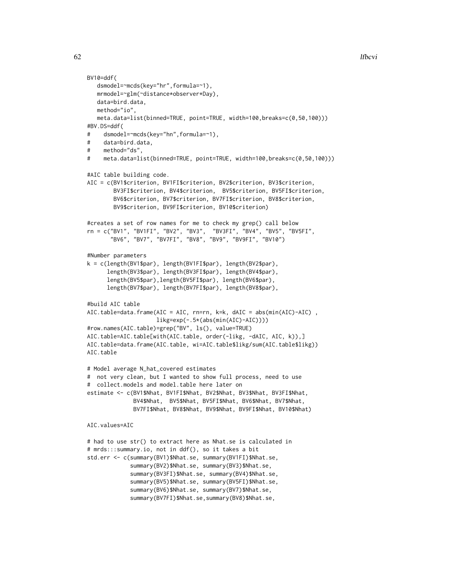```
62 lfbcvi
```

```
BV10=ddf(
   dsmodel=~mcds(key="hr",formula=~1),
   mrmodel=~glm(~distance*observer*Day),
   data=bird.data,
   method="io",
   meta.data=list(binned=TRUE, point=TRUE, width=100,breaks=c(0,50,100)))
#BV.DS=ddf(
# dsmodel=~mcds(key="hn",formula=~1),
# data=bird.data,
# method="ds",
# meta.data=list(binned=TRUE, point=TRUE, width=100,breaks=c(0,50,100)))
#AIC table building code.
AIC = c(BV1$criterion, BV1FI$criterion, BV2$criterion, BV3$criterion,
        BV3FI$criterion, BV4$criterion, BV5$criterion, BV5FI$criterion,
        BV6$criterion, BV7$criterion, BV7FI$criterion, BV8$criterion,
        BV9$criterion, BV9FI$criterion, BV10$criterion)
#creates a set of row names for me to check my grep() call below
rn = c("BV1", "BV1FI", "BV2", "BV3", "BV3FI", "BV4", "BV5", "BV5FI",
       "BV6", "BV7", "BV7FI", "BV8", "BV9", "BV9FI", "BV10")
#Number parameters
k = c(length(BV1$par), length(BV1FI$par), length(BV2$par),
      length(BV3$par), length(BV3FI$par), length(BV4$par),
      length(BV5$par),length(BV5FI$par), length(BV6$par),
      length(BV7$par), length(BV7FI$par), length(BV8$par),
#build AIC table
AIC.table=data.frame(AIC = AIC, rn=rn, k=k, dAIC = abs(min(AIC)-AIC) ,
                     likg=exp(-.5*(abs(min(AIC)-AIC))))
#row.names(AIC.table)=grep("BV", ls(), value=TRUE)
AIC.table=AIC.table[with(AIC.table, order(-likg, -dAIC, AIC, k)),]
AIC.table=data.frame(AIC.table, wi=AIC.table$likg/sum(AIC.table$likg))
AIC.table
# Model average N_hat_covered estimates
# not very clean, but I wanted to show full process, need to use
# collect.models and model.table here later on
estimate <- c(BV1$Nhat, BV1FI$Nhat, BV2$Nhat, BV3$Nhat, BV3FI$Nhat,
              BV4$Nhat, BV5$Nhat, BV5FI$Nhat, BV6$Nhat, BV7$Nhat,
              BV7FI$Nhat, BV8$Nhat, BV9$Nhat, BV9FI$Nhat, BV10$Nhat)
AIC.values=AIC
# had to use str() to extract here as Nhat.se is calculated in
# mrds:::summary.io, not in ddf(), so it takes a bit
std.err <- c(summary(BV1)$Nhat.se, summary(BV1FI)$Nhat.se,
             summary(BV2)$Nhat.se, summary(BV3)$Nhat.se,
             summary(BV3FI)$Nhat.se, summary(BV4)$Nhat.se,
             summary(BV5)$Nhat.se, summary(BV5FI)$Nhat.se,
             summary(BV6)$Nhat.se, summary(BV7)$Nhat.se,
             summary(BV7FI)$Nhat.se,summary(BV8)$Nhat.se,
```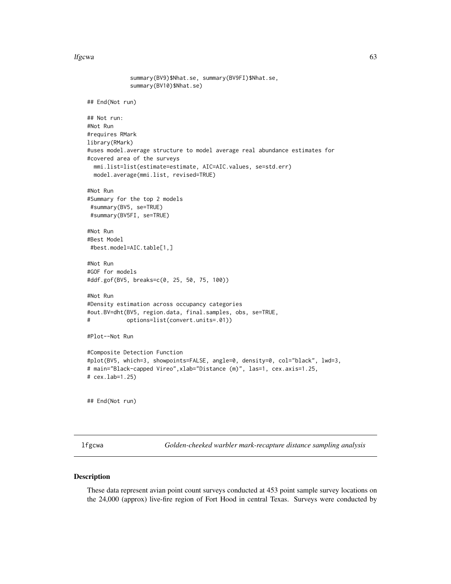#### lfgcwa 63

```
summary(BV9)$Nhat.se, summary(BV9FI)$Nhat.se,
             summary(BV10)$Nhat.se)
## End(Not run)
## Not run:
#Not Run
#requires RMark
library(RMark)
#uses model.average structure to model average real abundance estimates for
#covered area of the surveys
 mmi.list=list(estimate=estimate, AIC=AIC.values, se=std.err)
 model.average(mmi.list, revised=TRUE)
#Not Run
#Summary for the top 2 models
#summary(BV5, se=TRUE)
#summary(BV5FI, se=TRUE)
#Not Run
#Best Model
#best.model=AIC.table[1,]
#Not Run
#GOF for models
#ddf.gof(BV5, breaks=c(0, 25, 50, 75, 100))
#Not Run
#Density estimation across occupancy categories
#out.BV=dht(BV5, region.data, final.samples, obs, se=TRUE,
# options=list(convert.units=.01))
#Plot--Not Run
#Composite Detection Function
#plot(BV5, which=3, showpoints=FALSE, angle=0, density=0, col="black", lwd=3,
# main="Black-capped Vireo",xlab="Distance (m)", las=1, cex.axis=1.25,
# cex.lab=1.25)
## End(Not run)
```
lfgcwa *Golden-cheeked warbler mark-recapture distance sampling analysis*

#### Description

These data represent avian point count surveys conducted at 453 point sample survey locations on the 24,000 (approx) live-fire region of Fort Hood in central Texas. Surveys were conducted by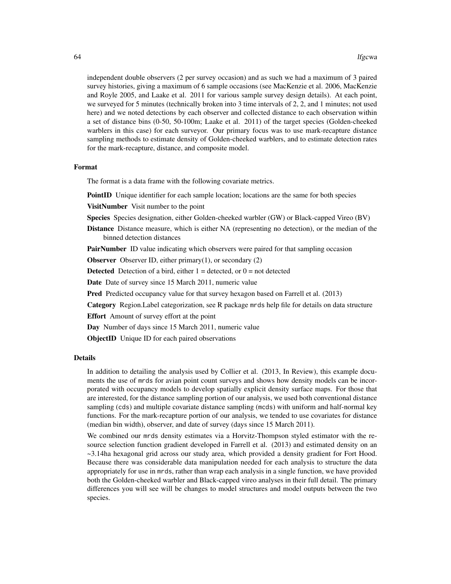independent double observers (2 per survey occasion) and as such we had a maximum of 3 paired survey histories, giving a maximum of 6 sample occasions (see MacKenzie et al. 2006, MacKenzie and Royle 2005, and Laake et al. 2011 for various sample survey design details). At each point, we surveyed for 5 minutes (technically broken into 3 time intervals of 2, 2, and 1 minutes; not used here) and we noted detections by each observer and collected distance to each observation within a set of distance bins (0-50, 50-100m; Laake et al. 2011) of the target species (Golden-cheeked warblers in this case) for each surveyor. Our primary focus was to use mark-recapture distance sampling methods to estimate density of Golden-cheeked warblers, and to estimate detection rates for the mark-recapture, distance, and composite model.

#### Format

The format is a data frame with the following covariate metrics.

**PointID** Unique identifier for each sample location; locations are the same for both species

VisitNumber Visit number to the point

Species Species designation, either Golden-cheeked warbler (GW) or Black-capped Vireo (BV)

Distance Distance measure, which is either NA (representing no detection), or the median of the binned detection distances

**PairNumber** ID value indicating which observers were paired for that sampling occasion

**Observer** Observer ID, either primary $(1)$ , or secondary  $(2)$ 

**Detected** Detection of a bird, either  $1 =$  detected, or  $0 =$  not detected

Date Date of survey since 15 March 2011, numeric value

**Pred** Predicted occupancy value for that survey hexagon based on Farrell et al. (2013)

Category Region.Label categorization, see R package mrds help file for details on data structure

Effort Amount of survey effort at the point

Day Number of days since 15 March 2011, numeric value

**ObjectID** Unique ID for each paired observations

#### Details

In addition to detailing the analysis used by Collier et al. (2013, In Review), this example documents the use of mrds for avian point count surveys and shows how density models can be incorporated with occupancy models to develop spatially explicit density surface maps. For those that are interested, for the distance sampling portion of our analysis, we used both conventional distance sampling (cds) and multiple covariate distance sampling (mcds) with uniform and half-normal key functions. For the mark-recapture portion of our analysis, we tended to use covariates for distance (median bin width), observer, and date of survey (days since 15 March 2011).

We combined our mrds density estimates via a Horvitz-Thompson styled estimator with the resource selection function gradient developed in Farrell et al. (2013) and estimated density on an ~3.14ha hexagonal grid across our study area, which provided a density gradient for Fort Hood. Because there was considerable data manipulation needed for each analysis to structure the data appropriately for use in mrds, rather than wrap each analysis in a single function, we have provided both the Golden-cheeked warbler and Black-capped vireo analyses in their full detail. The primary differences you will see will be changes to model structures and model outputs between the two species.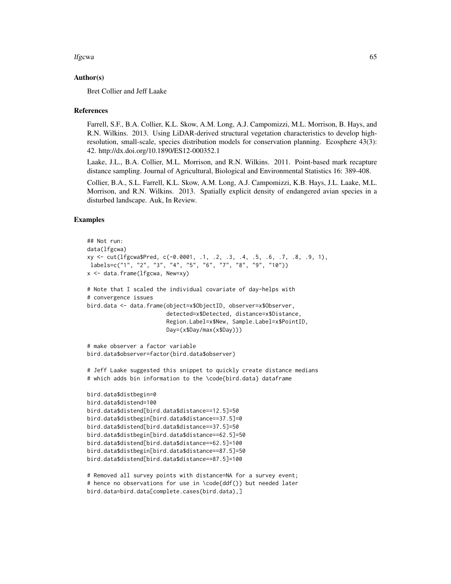#### lfgcwa 65

### Author(s)

Bret Collier and Jeff Laake

#### References

Farrell, S.F., B.A. Collier, K.L. Skow, A.M. Long, A.J. Campomizzi, M.L. Morrison, B. Hays, and R.N. Wilkins. 2013. Using LiDAR-derived structural vegetation characteristics to develop highresolution, small-scale, species distribution models for conservation planning. Ecosphere 43(3): 42. http://dx.doi.org/10.1890/ES12-000352.1

Laake, J.L., B.A. Collier, M.L. Morrison, and R.N. Wilkins. 2011. Point-based mark recapture distance sampling. Journal of Agricultural, Biological and Environmental Statistics 16: 389-408.

Collier, B.A., S.L. Farrell, K.L. Skow, A.M. Long, A.J. Campomizzi, K.B. Hays, J.L. Laake, M.L. Morrison, and R.N. Wilkins. 2013. Spatially explicit density of endangered avian species in a disturbed landscape. Auk, In Review.

#### Examples

```
## Not run:
data(lfgcwa)
xy <- cut(lfgcwa$Pred, c(-0.0001, .1, .2, .3, .4, .5, .6, .7, .8, .9, 1),
 labels=c("1", "2", "3", "4", "5", "6", "7", "8", "9", "10"))
x <- data.frame(lfgcwa, New=xy)
# Note that I scaled the individual covariate of day-helps with
# convergence issues
bird.data <- data.frame(object=x$ObjectID, observer=x$Observer,
                        detected=x$Detected, distance=x$Distance,
                        Region.Label=x$New, Sample.Label=x$PointID,
                        Day=(x$Day/max(x$Day)))
# make observer a factor variable
bird.data$observer=factor(bird.data$observer)
# Jeff Laake suggested this snippet to quickly create distance medians
# which adds bin information to the \code{bird.data} dataframe
bird.data$distbegin=0
bird.data$distend=100
bird.data$distend[bird.data$distance==12.5]=50
bird.data$distbegin[bird.data$distance==37.5]=0
bird.data$distend[bird.data$distance==37.5]=50
bird.data$distbegin[bird.data$distance==62.5]=50
bird.data$distend[bird.data$distance==62.5]=100
bird.data$distbegin[bird.data$distance==87.5]=50
bird.data$distend[bird.data$distance==87.5]=100
# Removed all survey points with distance=NA for a survey event;
# hence no observations for use in \code{ddf()} but needed later
bird.data=bird.data[complete.cases(bird.data),]
```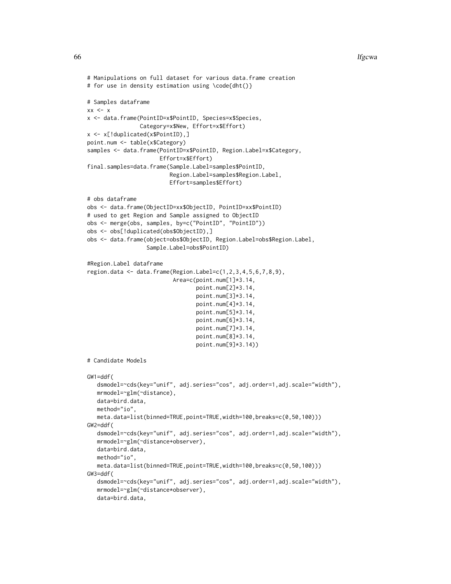```
# Manipulations on full dataset for various data.frame creation
# for use in density estimation using \code{dht()}
# Samples dataframe
xx < - xx <- data.frame(PointID=x$PointID, Species=x$Species,
                Category=x$New, Effort=x$Effort)
x <- x[!duplicated(x$PointID),]
point.num <- table(x$Category)
samples <- data.frame(PointID=x$PointID, Region.Label=x$Category,
                      Effort=x$Effort)
final.samples=data.frame(Sample.Label=samples$PointID,
                         Region.Label=samples$Region.Label,
                         Effort=samples$Effort)
# obs dataframe
obs <- data.frame(ObjectID=xx$ObjectID, PointID=xx$PointID)
# used to get Region and Sample assigned to ObjectID
obs <- merge(obs, samples, by=c("PointID", "PointID"))
obs <- obs[!duplicated(obs$ObjectID),]
obs <- data.frame(object=obs$ObjectID, Region.Label=obs$Region.Label,
                  Sample.Label=obs$PointID)
#Region.Label dataframe
region.data <- data.frame(Region.Label=c(1,2,3,4,5,6,7,8,9),
                          Area=c(point.num[1]*3.14,
                                 point.num[2]*3.14,
                                 point.num[3]*3.14,
                                 point.num[4]*3.14,
                                 point.num[5]*3.14,
                                 point.num[6]*3.14,
                                 point.num[7]*3.14,
                                 point.num[8]*3.14,
                                 point.num[9]*3.14))
# Candidate Models
GW1=ddf(
   dsmodel=~cds(key="unif", adj.series="cos", adj.order=1,adj.scale="width"),
   mrmodel=~glm(~distance),
   data=bird.data,
   method="io",
   meta.data=list(binned=TRUE,point=TRUE,width=100,breaks=c(0,50,100)))
GW2=ddf(
   dsmodel=~cds(key="unif", adj.series="cos", adj.order=1,adj.scale="width"),
   mrmodel=~glm(~distance+observer),
   data=bird.data,
   method="io",
   meta.data=list(binned=TRUE,point=TRUE,width=100,breaks=c(0,50,100)))
GW3=ddf(
   dsmodel=~cds(key="unif", adj.series="cos", adj.order=1,adj.scale="width"),
   mrmodel=~glm(~distance*observer),
   data=bird.data,
```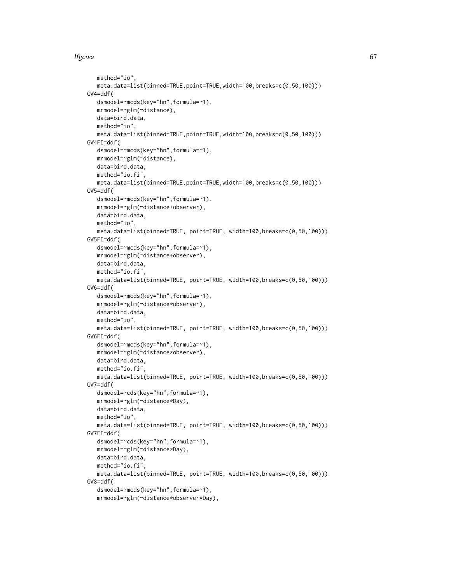## lfgcwa 67

```
method="io",
  meta.data=list(binned=TRUE,point=TRUE,width=100,breaks=c(0,50,100)))
GW4=ddf(
  dsmodel=~mcds(key="hn",formula=~1),
  mrmodel=~glm(~distance),
  data=bird.data,
  method="io",
  meta.data=list(binned=TRUE,point=TRUE,width=100,breaks=c(0,50,100)))
GW4FI=ddf(
  dsmodel=~mcds(key="hn",formula=~1),
  mrmodel=~glm(~distance),
  data=bird.data,
  method="io.fi",
  meta.data=list(binned=TRUE,point=TRUE,width=100,breaks=c(0,50,100)))
GW5=ddf(
   dsmodel=~mcds(key="hn",formula=~1),
  mrmodel=~glm(~distance+observer),
  data=bird.data,
  method="io",
  meta.data=list(binned=TRUE, point=TRUE, width=100,breaks=c(0,50,100)))
GW5FI=ddf(
  dsmodel=~mcds(key="hn",formula=~1),
  mrmodel=~glm(~distance+observer),
  data=bird.data,
  method="io.fi",
  meta.data=list(binned=TRUE, point=TRUE, width=100,breaks=c(0,50,100)))
GW6=ddf(
  dsmodel=~mcds(key="hn",formula=~1),
  mrmodel=~glm(~distance*observer),
  data=bird.data,
  method="io",
  meta.data=list(binned=TRUE, point=TRUE, width=100,breaks=c(0,50,100)))
GW6FI=ddf(
  dsmodel=~mcds(key="hn",formula=~1),
  mrmodel=~glm(~distance*observer),
  data=bird.data.
  method="io.fi",
  meta.data=list(binned=TRUE, point=TRUE, width=100,breaks=c(0,50,100)))
GW7=ddf(
   dsmodel=~cds(key="hn",formula=~1),
  mrmodel=~glm(~distance*Day),
  data=bird.data,
  method="io",
  meta.data=list(binned=TRUE, point=TRUE, width=100,breaks=c(0,50,100)))
GW7FI=ddf(
  dsmodel=~cds(key="hn",formula=~1),
  mrmodel=~glm(~distance*Day),
  data=bird.data,
  method="io.fi",
  meta.data=list(binned=TRUE, point=TRUE, width=100,breaks=c(0,50,100)))
GW8=ddf(
  dsmodel=~mcds(key="hn",formula=~1),
  mrmodel=~glm(~distance*observer*Day),
```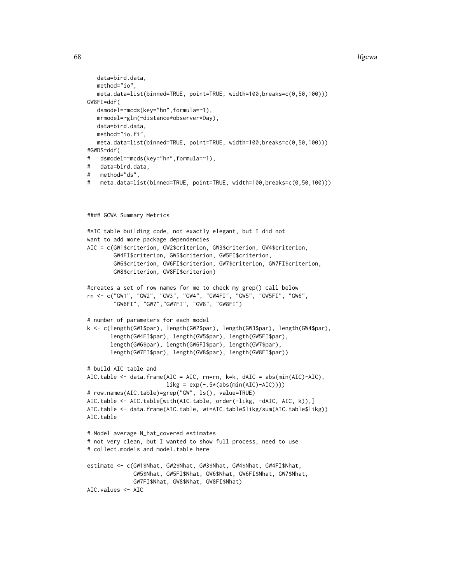#### 68 lfgcwa and the state of the state of the state of the state of the state of the state of the state of the state of the state of the state of the state of the state of the state of the state of the state of the state of

```
data=bird.data,
   method="io",
   meta.data=list(binned=TRUE, point=TRUE, width=100,breaks=c(0,50,100)))
GW8FI=ddf(
   dsmodel=~mcds(key="hn",formula=~1),
   mrmodel=~glm(~distance*observer*Day),
   data=bird.data,
   method="io.fi",
   meta.data=list(binned=TRUE, point=TRUE, width=100,breaks=c(0,50,100)))
#GWDS=ddf(
# dsmodel=~mcds(key="hn",formula=~1),
# data=bird.data,
# method="ds",
# meta.data=list(binned=TRUE, point=TRUE, width=100,breaks=c(0,50,100)))
#### GCWA Summary Metrics
#AIC table building code, not exactly elegant, but I did not
want to add more package dependencies
AIC = c(GW1$criterion, GW2$criterion, GW3$criterion, GW4$criterion,
        GW4FI$criterion, GW5$criterion, GW5FI$criterion,
        GW6$criterion, GW6FI$criterion, GW7$criterion, GW7FI$criterion,
        GW8$criterion, GW8FI$criterion)
#creates a set of row names for me to check my grep() call below
rn <- c("GW1", "GW2", "GW3", "GW4", "GW4FI", "GW5", "GW5FI", "GW6",
        "GW6FI", "GW7","GW7FI", "GW8", "GW8FI")
# number of parameters for each model
k <- c(length(GW1$par), length(GW2$par), length(GW3$par), length(GW4$par),
       length(GW4FI$par), length(GW5$par), length(GW5FI$par),
       length(GW6$par), length(GW6FI$par), length(GW7$par),
       length(GW7FI$par), length(GW8$par), length(GW8FI$par))
# build AIC table and
AIC.table <- data.frame(AIC = AIC, rn=rn, k=k, dAIC = abs(min(AIC)-AIC),
                        likg = exp(-.5*(abs(min(AIC)-AIC))))# row.names(AIC.table)=grep("GW", ls(), value=TRUE)
AIC.table <- AIC.table[with(AIC.table, order(-likg, -dAIC, AIC, k)),]
AIC.table <- data.frame(AIC.table, wi=AIC.table$likg/sum(AIC.table$likg))
AIC.table
# Model average N_hat_covered estimates
# not very clean, but I wanted to show full process, need to use
# collect.models and model.table here
estimate <- c(GW1$Nhat, GW2$Nhat, GW3$Nhat, GW4$Nhat, GW4FI$Nhat,
              GW5$Nhat, GW5FI$Nhat, GW6$Nhat, GW6FI$Nhat, GW7$Nhat,
              GW7FI$Nhat, GW8$Nhat, GW8FI$Nhat)
AIC.values <- AIC
```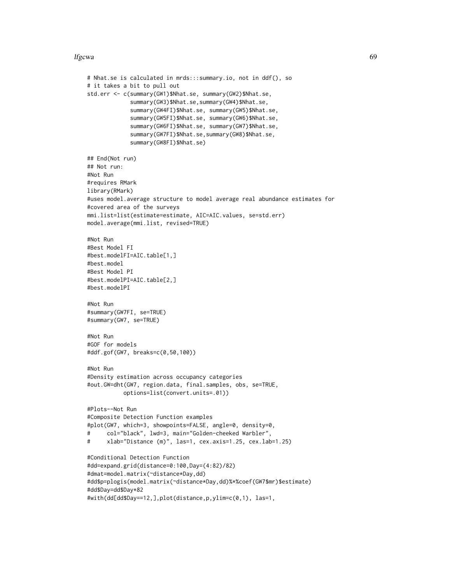#### lfgcwa 69

```
# Nhat.se is calculated in mrds:::summary.io, not in ddf(), so
# it takes a bit to pull out
std.err <- c(summary(GW1)$Nhat.se, summary(GW2)$Nhat.se,
             summary(GW3)$Nhat.se,summary(GW4)$Nhat.se,
             summary(GW4FI)$Nhat.se, summary(GW5)$Nhat.se,
             summary(GW5FI)$Nhat.se, summary(GW6)$Nhat.se,
             summary(GW6FI)$Nhat.se, summary(GW7)$Nhat.se,
             summary(GW7FI)$Nhat.se,summary(GW8)$Nhat.se,
             summary(GW8FI)$Nhat.se)
## End(Not run)
## Not run:
#Not Run
#requires RMark
library(RMark)
#uses model.average structure to model average real abundance estimates for
#covered area of the surveys
mmi.list=list(estimate=estimate, AIC=AIC.values, se=std.err)
model.average(mmi.list, revised=TRUE)
#Not Run
#Best Model FI
#best.modelFI=AIC.table[1,]
#best.model
#Best Model PI
#best.modelPI=AIC.table[2,]
#best.modelPI
#Not Run
#summary(GW7FI, se=TRUE)
#summary(GW7, se=TRUE)
#Not Run
#GOF for models
#ddf.gof(GW7, breaks=c(0,50,100))
#Not Run
#Density estimation across occupancy categories
#out.GW=dht(GW7, region.data, final.samples, obs, se=TRUE,
           options=list(convert.units=.01))
#Plots--Not Run
#Composite Detection Function examples
#plot(GW7, which=3, showpoints=FALSE, angle=0, density=0,
# col="black", lwd=3, main="Golden-cheeked Warbler",
# xlab="Distance (m)", las=1, cex.axis=1.25, cex.lab=1.25)
#Conditional Detection Function
#dd=expand.grid(distance=0:100,Day=(4:82)/82)
#dmat=model.matrix(~distance*Day,dd)
#dd$p=plogis(model.matrix(~distance*Day,dd)%*%coef(GW7$mr)$estimate)
#dd$Day=dd$Day*82
#with(dd[dd$Day==12,],plot(distance,p,ylim=c(0,1), las=1,
```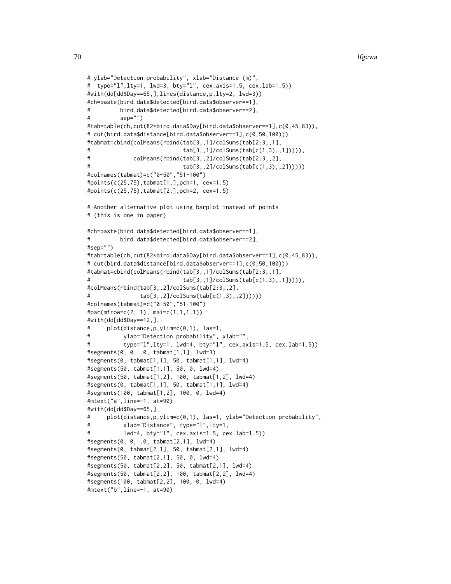```
# ylab="Detection probability", xlab="Distance (m)",
# type="l",lty=1, lwd=3, bty="l", cex.axis=1.5, cex.lab=1.5))
#with(dd[dd$Day==65,],lines(distance,p,lty=2, lwd=3))
#ch=paste(bird.data$detected[bird.data$observer==1],
# bird.data$detected[bird.data$observer==2],
# sep="")
#tab=table(ch,cut(82*bird.data$Day[bird.data$observer==1],c(0,45,83)),
# cut(bird.data$distance[bird.data$observer==1],c(0,50,100)))
#tabmat=cbind(colMeans(rbind(tab[3,,1]/colSums(tab[2:3,,1],
                           tab[3,1]/colSums(tab[c(1,3),1]))),# colMeans(rbind(tab[3,,2]/colSums(tab[2:3,,2],
# tab[3,,2]/colSums(tab[c(1,3),,2])))))
#colnames(tabmat)=c("0-50","51-100")
#points(c(25,75),tabmat[1,],pch=1, cex=1.5)
#points(c(25,75),tabmat[2,],pch=2, cex=1.5)
# Another alternative plot using barplot instead of points
# (this is one in paper)
#ch=paste(bird.data$detected[bird.data$observer==1],
# bird.data$detected[bird.data$observer==2],
#sep="")
#tab=table(ch,cut(82*bird.data$Day[bird.data$observer==1],c(0,45,83)),
# cut(bird.data$distance[bird.data$observer==1],c(0,50,100)))
#tabmat=cbind(colMeans(rbind(tab[3,,1]/colSums(tab[2:3,,1],
                           tab[3,1]/colSums(tab[c(1,3),1]))),#colMeans(rbind(tab[3,,2]/colSums(tab[2:3,,2],
# tab[3,,2]/colSums(tab[c(1,3),,2])))))
#colnames(tabmat)=c("0-50","51-100")
#par(mfrow=c(2, 1), mai=c(1,1,1,1))
#with(dd[dd$Day==12,],
# plot(distance,p,ylim=c(0,1), las=1,
# ylab="Detection probability", xlab="",
          type="l",lty=1, lwd=4, bty="l", cex.axis=1.5, cex.lab=1.5))
#segments(0, 0, .0, tabmat[1,1], lwd=3)
#segments(0, tabmat[1,1], 50, tabmat[1,1], lwd=4)
#segments(50, tabmat[1,1], 50, 0, lwd=4)
#segments(50, tabmat[1,2], 100, tabmat[1,2], lwd=4)
#segments(0, tabmat[1,1], 50, tabmat[1,1], lwd=4)
#segments(100, tabmat[1,2], 100, 0, lwd=4)
#mtext("a",line=-1, at=90)
#with(dd[dd$Day==65,],
# plot(distance,p,ylim=c(0,1), las=1, ylab="Detection probability",
# xlab="Distance", type="l",lty=1,
# lwd=4, bty="l", cex.axis=1.5, cex.lab=1.5))
#segments(0, 0, .0, tabmat[2,1], lwd=4)
#segments(0, tabmat[2,1], 50, tabmat[2,1], lwd=4)
#segments(50, tabmat[2,1], 50, 0, lwd=4)
#segments(50, tabmat[2,2], 50, tabmat[2,1], lwd=4)
#segments(50, tabmat[2,2], 100, tabmat[2,2], lwd=4)
#segments(100, tabmat[2,2], 100, 0, lwd=4)
#mtext("b",line=-1, at=90)
```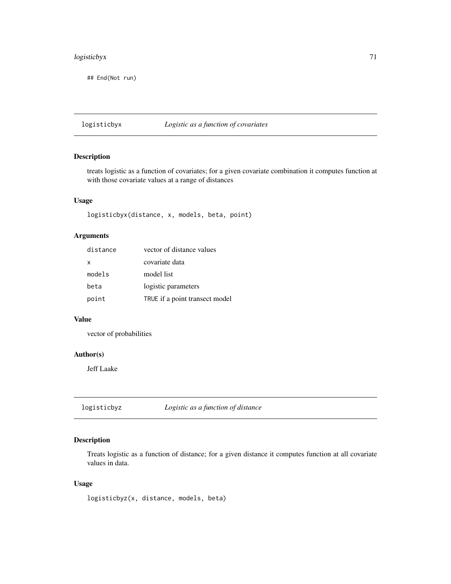## logisticbyx 71

## End(Not run)

logisticbyx *Logistic as a function of covariates*

## Description

treats logistic as a function of covariates; for a given covariate combination it computes function at with those covariate values at a range of distances

#### Usage

logisticbyx(distance, x, models, beta, point)

## Arguments

| distance | vector of distance values      |
|----------|--------------------------------|
| x        | covariate data                 |
| models   | model list                     |
| beta     | logistic parameters            |
| point    | TRUE if a point transect model |

## Value

vector of probabilities

## Author(s)

Jeff Laake

logisticbyz *Logistic as a function of distance*

## Description

Treats logistic as a function of distance; for a given distance it computes function at all covariate values in data.

## Usage

logisticbyz(x, distance, models, beta)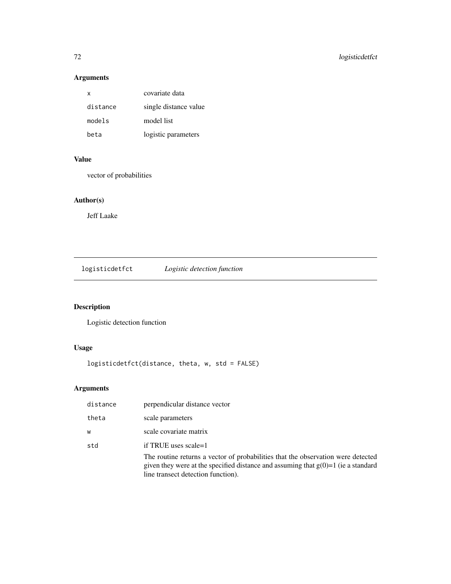# Arguments

| x        | covariate data        |
|----------|-----------------------|
| distance | single distance value |
| models   | model list            |
| beta     | logistic parameters   |

# Value

vector of probabilities

# Author(s)

Jeff Laake

logisticdetfct *Logistic detection function*

# Description

Logistic detection function

# Usage

logisticdetfct(distance, theta, w, std = FALSE)

# Arguments

| distance | perpendicular distance vector                                                                                                                                                                                 |
|----------|---------------------------------------------------------------------------------------------------------------------------------------------------------------------------------------------------------------|
| theta    | scale parameters                                                                                                                                                                                              |
| W        | scale covariate matrix                                                                                                                                                                                        |
| std      | if TRUE uses scale=1                                                                                                                                                                                          |
|          | The routine returns a vector of probabilities that the observation were detected<br>given they were at the specified distance and assuming that $g(0)=1$ (ie a standard<br>line transect detection function). |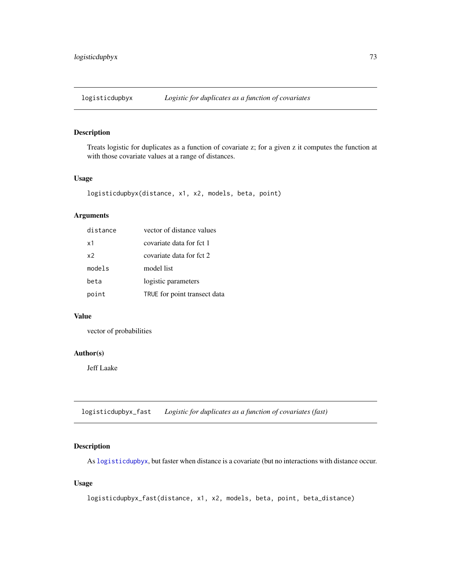<span id="page-72-0"></span>

Treats logistic for duplicates as a function of covariate z; for a given z it computes the function at with those covariate values at a range of distances.

# Usage

```
logisticdupbyx(distance, x1, x2, models, beta, point)
```
# Arguments

| distance       | vector of distance values    |
|----------------|------------------------------|
| x1             | covariate data for fct 1     |
| x <sub>2</sub> | covariate data for fct 2     |
| models         | model list                   |
| beta           | logistic parameters          |
| point          | TRUE for point transect data |

# Value

vector of probabilities

#### Author(s)

Jeff Laake

logisticdupbyx\_fast *Logistic for duplicates as a function of covariates (fast)*

# Description

As [logisticdupbyx](#page-72-0), but faster when distance is a covariate (but no interactions with distance occur.

## Usage

```
logisticdupbyx_fast(distance, x1, x2, models, beta, point, beta_distance)
```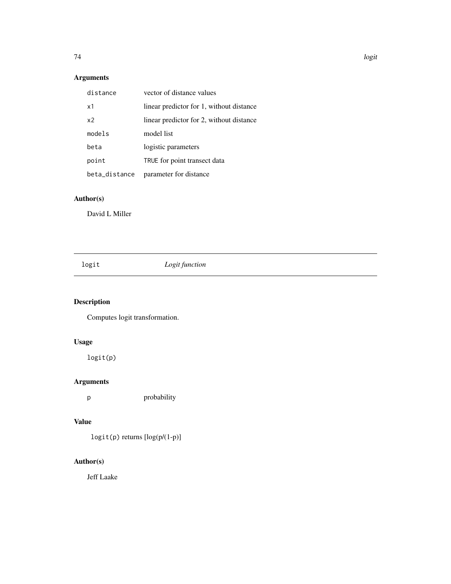# Arguments

| distance       | vector of distance values                |
|----------------|------------------------------------------|
| $\times$ 1     | linear predictor for 1, without distance |
| x <sub>2</sub> | linear predictor for 2, without distance |
| models         | model list                               |
| beta           | logistic parameters                      |
| point          | TRUE for point transect data             |
| beta_distance  | parameter for distance                   |

# Author(s)

David L Miller

logit *Logit function*

# Description

Computes logit transformation.

# Usage

logit(p)

# Arguments

p probability

# Value

logit(p) returns [log(p/(1-p)]

# Author(s)

Jeff Laake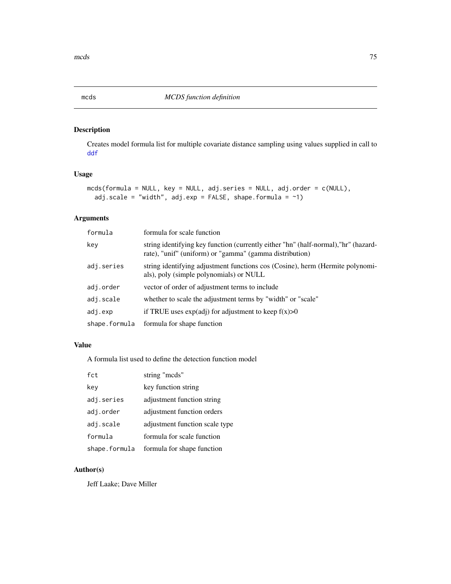Creates model formula list for multiple covariate distance sampling using values supplied in call to [ddf](#page-17-0)

# Usage

```
mcds(formula = NULL, key = NULL, adj.series = NULL, adj.order = c(NULL),
  adj.scale = "width", adj.exp = FALSE, shape.formula = \sim1)
```
# Arguments

| formula       | formula for scale function                                                                                                                     |
|---------------|------------------------------------------------------------------------------------------------------------------------------------------------|
| key           | string identifying key function (currently either "hn" (half-normal), "hr" (hazard-<br>rate), "unif" (uniform) or "gamma" (gamma distribution) |
| adj.series    | string identifying adjustment functions cos (Cosine), herm (Hermite polynomi-<br>als), poly (simple polynomials) or NULL                       |
| adj.order     | vector of order of adjustment terms to include                                                                                                 |
| adj.scale     | whether to scale the adjustment terms by "width" or "scale"                                                                                    |
| adj.exp       | if TRUE uses $exp(adj)$ for adjustment to keep $f(x) > 0$                                                                                      |
| shape.formula | formula for shape function                                                                                                                     |

## Value

A formula list used to define the detection function model

| fct           | string "mcds"                  |
|---------------|--------------------------------|
| key           | key function string            |
| adj.series    | adjustment function string     |
| adj.order     | adjustment function orders     |
| adj.scale     | adjustment function scale type |
| formula       | formula for scale function     |
| shape.formula | formula for shape function     |

# Author(s)

Jeff Laake; Dave Miller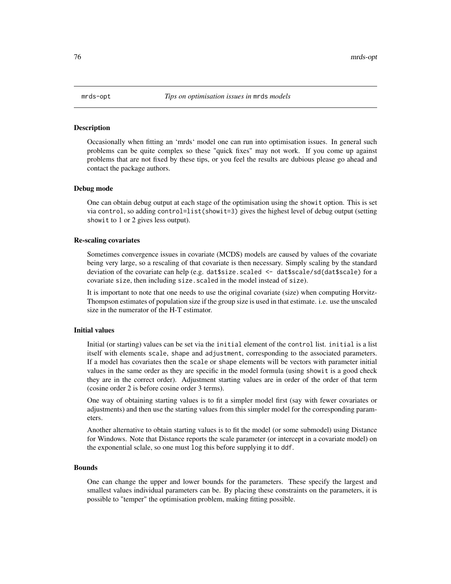Occasionally when fitting an 'mrds' model one can run into optimisation issues. In general such problems can be quite complex so these "quick fixes" may not work. If you come up against problems that are not fixed by these tips, or you feel the results are dubious please go ahead and contact the package authors.

#### Debug mode

One can obtain debug output at each stage of the optimisation using the showit option. This is set via control, so adding control=list(showit=3) gives the highest level of debug output (setting showit to 1 or 2 gives less output).

#### Re-scaling covariates

Sometimes convergence issues in covariate (MCDS) models are caused by values of the covariate being very large, so a rescaling of that covariate is then necessary. Simply scaling by the standard deviation of the covariate can help (e.g. dat\$size.scaled <- dat\$scale/sd(dat\$scale) for a covariate size, then including size. scaled in the model instead of size).

It is important to note that one needs to use the original covariate (size) when computing Horvitz-Thompson estimates of population size if the group size is used in that estimate. i.e. use the unscaled size in the numerator of the H-T estimator.

#### Initial values

Initial (or starting) values can be set via the initial element of the control list. initial is a list itself with elements scale, shape and adjustment, corresponding to the associated parameters. If a model has covariates then the scale or shape elements will be vectors with parameter initial values in the same order as they are specific in the model formula (using showit is a good check they are in the correct order). Adjustment starting values are in order of the order of that term (cosine order 2 is before cosine order 3 terms).

One way of obtaining starting values is to fit a simpler model first (say with fewer covariates or adjustments) and then use the starting values from this simpler model for the corresponding parameters.

Another alternative to obtain starting values is to fit the model (or some submodel) using Distance for Windows. Note that Distance reports the scale parameter (or intercept in a covariate model) on the exponential sclale, so one must log this before supplying it to ddf.

#### Bounds

One can change the upper and lower bounds for the parameters. These specify the largest and smallest values individual parameters can be. By placing these constraints on the parameters, it is possible to "temper" the optimisation problem, making fitting possible.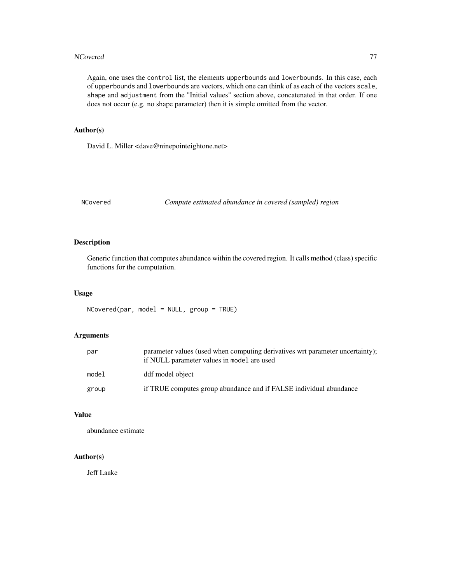#### NCovered 277

Again, one uses the control list, the elements upperbounds and lowerbounds. In this case, each of upperbounds and lowerbounds are vectors, which one can think of as each of the vectors scale, shape and adjustment from the "Initial values" section above, concatenated in that order. If one does not occur (e.g. no shape parameter) then it is simple omitted from the vector.

# Author(s)

David L. Miller <dave@ninepointeightone.net>

NCovered *Compute estimated abundance in covered (sampled) region*

## Description

Generic function that computes abundance within the covered region. It calls method (class) specific functions for the computation.

## Usage

 $NCovered(par, model = NULL, group = TRUE)$ 

# Arguments

| par   | parameter values (used when computing derivatives wrt parameter uncertainty);<br>if NULL parameter values in model are used |
|-------|-----------------------------------------------------------------------------------------------------------------------------|
| model | ddf model object                                                                                                            |
| group | if TRUE computes group abundance and if FALSE individual abundance                                                          |

# Value

abundance estimate

#### Author(s)

Jeff Laake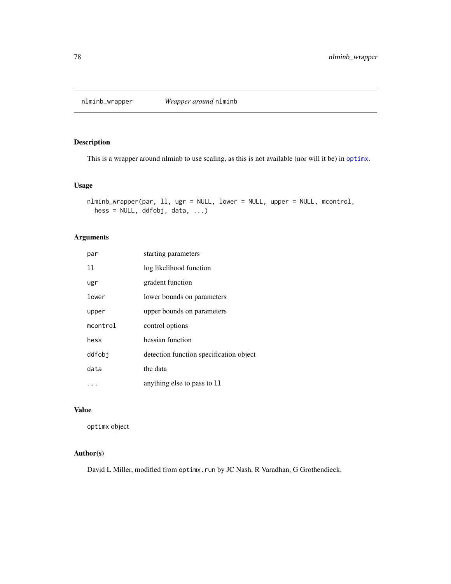nlminb\_wrapper *Wrapper around* nlminb

# Description

This is a wrapper around nlminb to use scaling, as this is not available (nor will it be) in [optimx](#page-0-0).

# Usage

```
nlminb_wrapper(par, ll, ugr = NULL, lower = NULL, upper = NULL, mcontrol,
 hess = NULL, ddfobj, data, ...)
```
# Arguments

| par      | starting parameters                     |
|----------|-----------------------------------------|
| 11       | log likelihood function                 |
| ugr      | gradent function                        |
| lower    | lower bounds on parameters              |
| upper    | upper bounds on parameters              |
| mcontrol | control options                         |
| hess     | hessian function                        |
| ddfobi   | detection function specification object |
| data     | the data                                |
| .        | anything else to pass to 11             |

# Value

optimx object

#### Author(s)

David L Miller, modified from optimx.run by JC Nash, R Varadhan, G Grothendieck.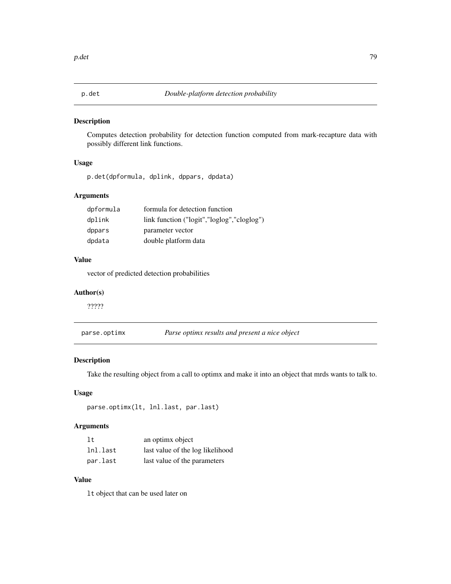Computes detection probability for detection function computed from mark-recapture data with possibly different link functions.

# Usage

p.det(dpformula, dplink, dppars, dpdata)

# Arguments

| dpformula | formula for detection function             |
|-----------|--------------------------------------------|
| dplink    | link function ("logit","loglog","cloglog") |
| dppars    | parameter vector                           |
| dpdata    | double platform data                       |

# Value

vector of predicted detection probabilities

## Author(s)

?????

| parse.optimx | Parse optimx results and present a nice object |  |
|--------------|------------------------------------------------|--|
|              |                                                |  |

# Description

Take the resulting object from a call to optimx and make it into an object that mrds wants to talk to.

# Usage

```
parse.optimx(lt, lnl.last, par.last)
```
# Arguments

| 1t       | an optimx object                 |
|----------|----------------------------------|
| lnl.last | last value of the log likelihood |
| par.last | last value of the parameters     |

# Value

lt object that can be used later on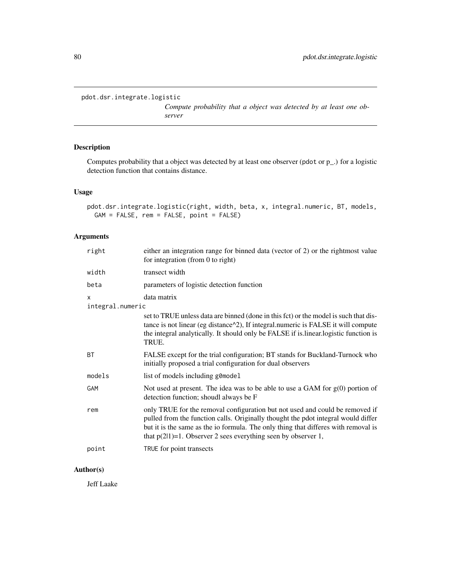```
pdot.dsr.integrate.logistic
```
*Compute probability that a object was detected by at least one observer*

# Description

Computes probability that a object was detected by at least one observer (pdot or p\_.) for a logistic detection function that contains distance.

## Usage

pdot.dsr.integrate.logistic(right, width, beta, x, integral.numeric, BT, models, GAM = FALSE, rem = FALSE, point = FALSE)

# Arguments

| right            | either an integration range for binned data (vector of 2) or the rightmost value<br>for integration (from 0 to right)                                                                                                                                                                                                       |
|------------------|-----------------------------------------------------------------------------------------------------------------------------------------------------------------------------------------------------------------------------------------------------------------------------------------------------------------------------|
| width            | transect width                                                                                                                                                                                                                                                                                                              |
| beta             | parameters of logistic detection function                                                                                                                                                                                                                                                                                   |
| X                | data matrix                                                                                                                                                                                                                                                                                                                 |
| integral.numeric |                                                                                                                                                                                                                                                                                                                             |
|                  | set to TRUE unless data are binned (done in this fct) or the model is such that dis-<br>tance is not linear (eg distance $\alpha$ 2), If integral numeric is FALSE it will compute<br>the integral analytically. It should only be FALSE if is linear logistic function is<br>TRUE.                                         |
| BT               | FALSE except for the trial configuration; BT stands for Buckland-Turnock who<br>initially proposed a trial configuration for dual observers                                                                                                                                                                                 |
| models           | list of models including g0model                                                                                                                                                                                                                                                                                            |
| GAM              | Not used at present. The idea was to be able to use a GAM for $g(0)$ portion of<br>detection function; shoudl always be F                                                                                                                                                                                                   |
| rem              | only TRUE for the removal configuration but not used and could be removed if<br>pulled from the function calls. Originally thought the pdot integral would differ<br>but it is the same as the io formula. The only thing that differes with removal is<br>that $p(2 1)=1$ . Observer 2 sees everything seen by observer 1, |
| point            | TRUE for point transects                                                                                                                                                                                                                                                                                                    |

# Author(s)

Jeff Laake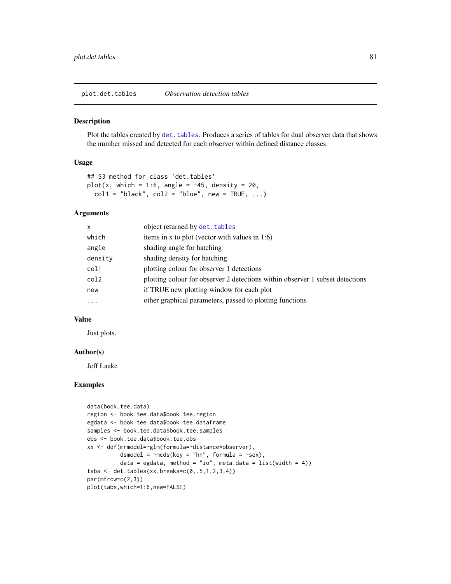<span id="page-80-0"></span>plot.det.tables *Observation detection tables*

#### Description

Plot the tables created by det. tables. Produces a series of tables for dual observer data that shows the number missed and detected for each observer within defined distance classes.

# Usage

```
## S3 method for class 'det.tables'
plot(x, which = 1:6, angle = -45, density = 20,
 coll = "black", col2 = "blue", new = TRUE, ...)
```
#### Arguments

| x          | object returned by det. tables                                                |
|------------|-------------------------------------------------------------------------------|
| which      | items in x to plot (vector with values in $1:6$ )                             |
| angle      | shading angle for hatching                                                    |
| density    | shading density for hatching                                                  |
| col1       | plotting colour for observer 1 detections                                     |
| col2       | plotting colour for observer 2 detections within observer 1 subset detections |
| new        | if TRUE new plotting window for each plot                                     |
| $\ddots$ . | other graphical parameters, passed to plotting functions                      |
|            |                                                                               |

## Value

Just plots.

#### Author(s)

Jeff Laake

## Examples

```
data(book.tee.data)
region <- book.tee.data$book.tee.region
egdata <- book.tee.data$book.tee.dataframe
samples <- book.tee.data$book.tee.samples
obs <- book.tee.data$book.tee.obs
xx <- ddf(mrmodel=~glm(formula=~distance*observer),
          dsmodel = \negmcds(key = "hn", formula = \negsex),
          data = egdata, method = "io", meta.data = list(width = 4))
tabs \leq det.tables(xx, breaks=c(0,.5,1,2,3,4))
par(mfrow=c(2,3))
plot(tabs,which=1:6,new=FALSE)
```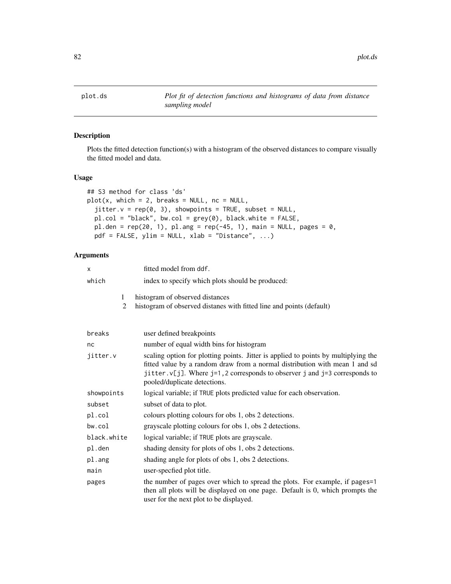<span id="page-81-0"></span>

Plots the fitted detection function(s) with a histogram of the observed distances to compare visually the fitted model and data.

## Usage

```
## S3 method for class 'ds'
plot(x, which = 2, breaks = NULL, nc = NULL,jitter.v = rep(0, 3), showpoints = TRUE, subset = NULL,pl.col = "black", bw.col = grey(0), black.white = FALSE,
 pl.den = rep(20, 1), pl.ang = rep(-45, 1), main = NULL, pages = 0,pdf = FALSE, ylim = NULL, xlab = "Distance", ...)
```

| x           | fitted model from ddf.                                                                                                                                                                                                                                                              |
|-------------|-------------------------------------------------------------------------------------------------------------------------------------------------------------------------------------------------------------------------------------------------------------------------------------|
| which       | index to specify which plots should be produced:                                                                                                                                                                                                                                    |
| 1<br>2      | histogram of observed distances<br>histogram of observed distanes with fitted line and points (default)                                                                                                                                                                             |
| breaks      | user defined breakpoints                                                                                                                                                                                                                                                            |
| nc          | number of equal width bins for histogram                                                                                                                                                                                                                                            |
| jitter.v    | scaling option for plotting points. Jitter is applied to points by multiplying the<br>fitted value by a random draw from a normal distribution with mean 1 and sd<br>jitter. $v[j]$ . Where j=1, 2 corresponds to observer j and j=3 corresponds to<br>pooled/duplicate detections. |
| showpoints  | logical variable; if TRUE plots predicted value for each observation.                                                                                                                                                                                                               |
| subset      | subset of data to plot.                                                                                                                                                                                                                                                             |
| pl.col      | colours plotting colours for obs 1, obs 2 detections.                                                                                                                                                                                                                               |
| bw.col      | grayscale plotting colours for obs 1, obs 2 detections.                                                                                                                                                                                                                             |
| black.white | logical variable; if TRUE plots are grayscale.                                                                                                                                                                                                                                      |
| pl.den      | shading density for plots of obs 1, obs 2 detections.                                                                                                                                                                                                                               |
| pl.ang      | shading angle for plots of obs 1, obs 2 detections.                                                                                                                                                                                                                                 |
| main        | user-specfied plot title.                                                                                                                                                                                                                                                           |
| pages       | the number of pages over which to spread the plots. For example, if pages=1<br>then all plots will be displayed on one page. Default is 0, which prompts the<br>user for the next plot to be displayed.                                                                             |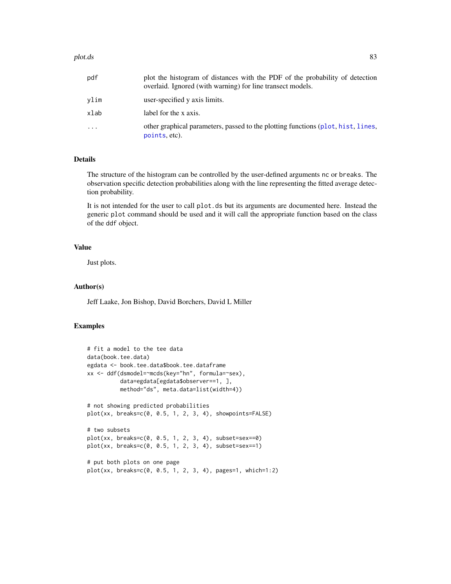#### plot.ds 83

| pdf      | plot the histogram of distances with the PDF of the probability of detection<br>overlaid. Ignored (with warning) for line transect models. |
|----------|--------------------------------------------------------------------------------------------------------------------------------------------|
| vlim     | user-specified y axis limits.                                                                                                              |
| xlab     | label for the x axis.                                                                                                                      |
| $\cdots$ | other graphical parameters, passed to the plotting functions (plot, hist, lines,<br>points, etc).                                          |

## Details

The structure of the histogram can be controlled by the user-defined arguments nc or breaks. The observation specific detection probabilities along with the line representing the fitted average detection probability.

It is not intended for the user to call plot.ds but its arguments are documented here. Instead the generic plot command should be used and it will call the appropriate function based on the class of the ddf object.

#### Value

Just plots.

# Author(s)

Jeff Laake, Jon Bishop, David Borchers, David L Miller

#### Examples

```
# fit a model to the tee data
data(book.tee.data)
egdata <- book.tee.data$book.tee.dataframe
xx <- ddf(dsmodel=~mcds(key="hn", formula=~sex),
          data=egdata[egdata$observer==1, ],
          method="ds", meta.data=list(width=4))
# not showing predicted probabilities
plot(xx, breaks=c(0, 0.5, 1, 2, 3, 4), showpoints=FALSE)
# two subsets
plot(xx, breaks=c(0, 0.5, 1, 2, 3, 4), subset=sex==0)
plot(xx, breaks=c(0, 0.5, 1, 2, 3, 4), subset=sex==1)
# put both plots on one page
plot(xx, breaks=c(0, 0.5, 1, 2, 3, 4), pages=1, which=1:2)
```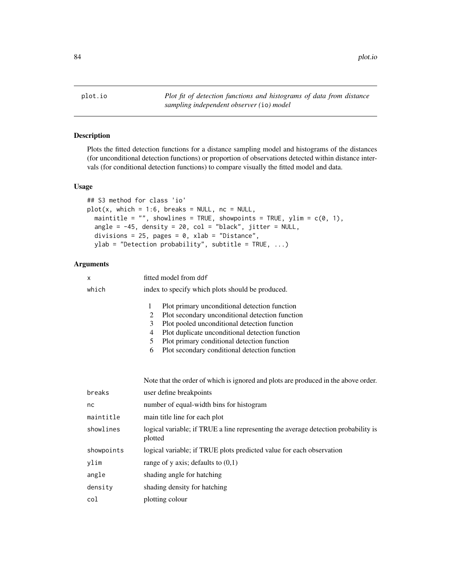84 plot.io

plot.io *Plot fit of detection functions and histograms of data from distance sampling independent observer (*io*) model*

#### Description

Plots the fitted detection functions for a distance sampling model and histograms of the distances (for unconditional detection functions) or proportion of observations detected within distance intervals (for conditional detection functions) to compare visually the fitted model and data.

## Usage

```
## S3 method for class 'io'
plot(x, which = 1:6, breaks = NULL, nc = NULL,maintitle = "", showlines = TRUE, showpoints = TRUE, ylim = c(\theta, 1),
  angle = -45, density = 20, col = "black", jitter = NULL,
  divisions = 25, pages = 0, xlab = "Distance",
 ylab = "Detection probability", subtitle = TRUE, \ldots)
```

| X          | fitted model from ddf                                                                                                                                                                                                                                                                                                                                     |  |
|------------|-----------------------------------------------------------------------------------------------------------------------------------------------------------------------------------------------------------------------------------------------------------------------------------------------------------------------------------------------------------|--|
| which      | index to specify which plots should be produced.                                                                                                                                                                                                                                                                                                          |  |
|            | $\mathbf{1}$<br>Plot primary unconditional detection function<br>Plot secondary unconditional detection function<br>2<br>3<br>Plot pooled unconditional detection function<br>Plot duplicate unconditional detection function<br>$\overline{4}$<br>Plot primary conditional detection function<br>5<br>Plot secondary conditional detection function<br>6 |  |
|            | Note that the order of which is ignored and plots are produced in the above order.                                                                                                                                                                                                                                                                        |  |
| breaks     | user define breakpoints                                                                                                                                                                                                                                                                                                                                   |  |
| nc         | number of equal-width bins for histogram                                                                                                                                                                                                                                                                                                                  |  |
| maintitle  | main title line for each plot                                                                                                                                                                                                                                                                                                                             |  |
| showlines  | logical variable; if TRUE a line representing the average detection probability is<br>plotted                                                                                                                                                                                                                                                             |  |
| showpoints | logical variable; if TRUE plots predicted value for each observation                                                                                                                                                                                                                                                                                      |  |
| ylim       | range of y axis; defaults to $(0,1)$                                                                                                                                                                                                                                                                                                                      |  |
| angle      | shading angle for hatching                                                                                                                                                                                                                                                                                                                                |  |
| density    | shading density for hatching                                                                                                                                                                                                                                                                                                                              |  |
| col        | plotting colour                                                                                                                                                                                                                                                                                                                                           |  |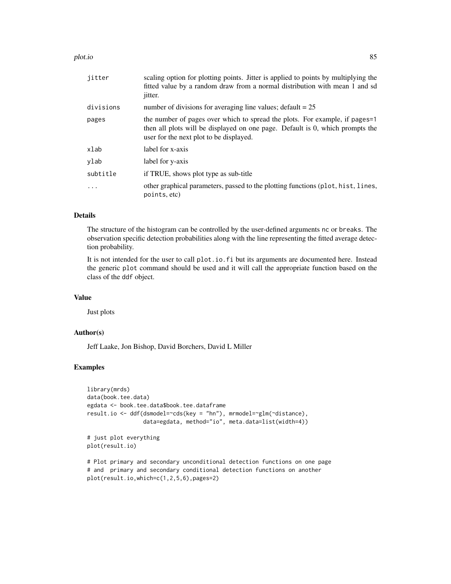#### plot.io and the set of the set of the set of the set of the set of the set of the set of the set of the set of

| jitter    | scaling option for plotting points. Jitter is applied to points by multiplying the<br>fitted value by a random draw from a normal distribution with mean 1 and sd<br><i>jitter.</i>                     |
|-----------|---------------------------------------------------------------------------------------------------------------------------------------------------------------------------------------------------------|
| divisions | number of divisions for averaging line values; $\text{default} = 25$                                                                                                                                    |
| pages     | the number of pages over which to spread the plots. For example, if pages=1<br>then all plots will be displayed on one page. Default is 0, which prompts the<br>user for the next plot to be displayed. |
| xlab      | label for x-axis                                                                                                                                                                                        |
| vlab      | label for y-axis                                                                                                                                                                                        |
| subtitle  | if TRUE, shows plot type as sub-title                                                                                                                                                                   |
|           | other graphical parameters, passed to the plotting functions (plot, hist, lines,<br>points, etc)                                                                                                        |

# Details

The structure of the histogram can be controlled by the user-defined arguments nc or breaks. The observation specific detection probabilities along with the line representing the fitted average detection probability.

It is not intended for the user to call plot.io.fi but its arguments are documented here. Instead the generic plot command should be used and it will call the appropriate function based on the class of the ddf object.

#### Value

Just plots

## Author(s)

Jeff Laake, Jon Bishop, David Borchers, David L Miller

#### Examples

```
library(mrds)
data(book.tee.data)
egdata <- book.tee.data$book.tee.dataframe
result.io <- ddf(dsmodel=~cds(key = "hn"), mrmodel=~glm(~distance),
                 data=egdata, method="io", meta.data=list(width=4))
# just plot everything
plot(result.io)
# Plot primary and secondary unconditional detection functions on one page
# and primary and secondary conditional detection functions on another
```
plot(result.io,which=c(1,2,5,6),pages=2)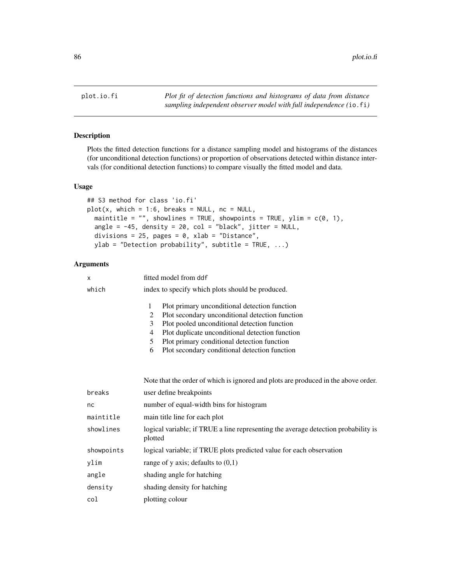Plots the fitted detection functions for a distance sampling model and histograms of the distances (for unconditional detection functions) or proportion of observations detected within distance intervals (for conditional detection functions) to compare visually the fitted model and data.

#### Usage

```
## S3 method for class 'io.fi'
plot(x, which = 1:6, breaks = NULL, nc = NULL,maintitle = "", showlines = TRUE, showpoints = TRUE, ylim = c(0, 1),
  angle = -45, density = 20, col = "black", jitter = NULL,
  divisions = 25, pages = 0, xlab = "Distance",
 ylab = "Detection probability", subtitle = TRUE, \ldots)
```

| x          | fitted model from ddf                                                                                                                                                                                                                                                                                                             |  |
|------------|-----------------------------------------------------------------------------------------------------------------------------------------------------------------------------------------------------------------------------------------------------------------------------------------------------------------------------------|--|
| which      | index to specify which plots should be produced.                                                                                                                                                                                                                                                                                  |  |
|            | Plot primary unconditional detection function<br>1<br>Plot secondary unconditional detection function<br>2<br>Plot pooled unconditional detection function<br>3<br>Plot duplicate unconditional detection function<br>4<br>Plot primary conditional detection function<br>5<br>Plot secondary conditional detection function<br>6 |  |
|            | Note that the order of which is ignored and plots are produced in the above order.                                                                                                                                                                                                                                                |  |
| breaks     | user define breakpoints                                                                                                                                                                                                                                                                                                           |  |
| nc         | number of equal-width bins for histogram                                                                                                                                                                                                                                                                                          |  |
| maintitle  | main title line for each plot                                                                                                                                                                                                                                                                                                     |  |
| showlines  | logical variable; if TRUE a line representing the average detection probability is<br>plotted                                                                                                                                                                                                                                     |  |
| showpoints | logical variable; if TRUE plots predicted value for each observation                                                                                                                                                                                                                                                              |  |
| ylim       | range of y axis; defaults to $(0,1)$                                                                                                                                                                                                                                                                                              |  |
| angle      | shading angle for hatching                                                                                                                                                                                                                                                                                                        |  |
| density    | shading density for hatching                                                                                                                                                                                                                                                                                                      |  |
| col        | plotting colour                                                                                                                                                                                                                                                                                                                   |  |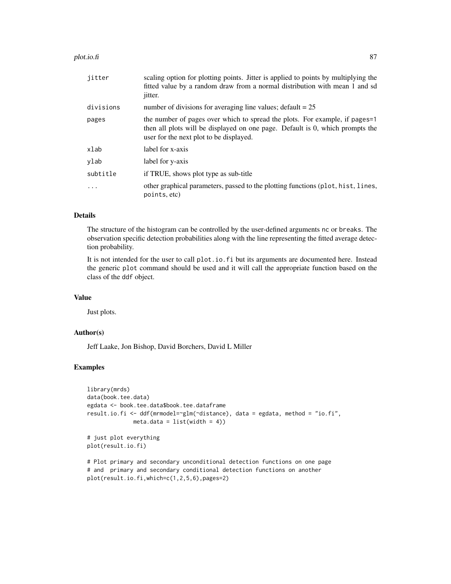#### plot.io.fi 87 and 87 and 87 and 887 and 887 and 887 and 887 and 887 and 887 and 887 and 887 and 887 and 887 and 887 and 887 and 887 and 887 and 887 and 887 and 887 and 887 and 887 and 887 and 888 and 888 and 888 and 888 an

| jitter    | scaling option for plotting points. Jitter is applied to points by multiplying the<br>fitted value by a random draw from a normal distribution with mean 1 and sd<br><i>jitter.</i>                     |
|-----------|---------------------------------------------------------------------------------------------------------------------------------------------------------------------------------------------------------|
| divisions | number of divisions for averaging line values; $\text{default} = 25$                                                                                                                                    |
| pages     | the number of pages over which to spread the plots. For example, if pages=1<br>then all plots will be displayed on one page. Default is 0, which prompts the<br>user for the next plot to be displayed. |
| xlab      | label for x-axis                                                                                                                                                                                        |
| ylab      | label for y-axis                                                                                                                                                                                        |
| subtitle  | if TRUE, shows plot type as sub-title                                                                                                                                                                   |
|           | other graphical parameters, passed to the plotting functions (plot, hist, lines,<br>points, etc)                                                                                                        |

# Details

The structure of the histogram can be controlled by the user-defined arguments nc or breaks. The observation specific detection probabilities along with the line representing the fitted average detection probability.

It is not intended for the user to call plot.io.fi but its arguments are documented here. Instead the generic plot command should be used and it will call the appropriate function based on the class of the ddf object.

#### Value

Just plots.

## Author(s)

Jeff Laake, Jon Bishop, David Borchers, David L Miller

plot(result.io.fi,which=c(1,2,5,6),pages=2)

#### Examples

```
library(mrds)
data(book.tee.data)
egdata <- book.tee.data$book.tee.dataframe
result.io.fi <- ddf(mrmodel=~glm(~distance), data = egdata, method = "io.fi",
             meta.data = list(width = 4)# just plot everything
plot(result.io.fi)
# Plot primary and secondary unconditional detection functions on one page
# and primary and secondary conditional detection functions on another
```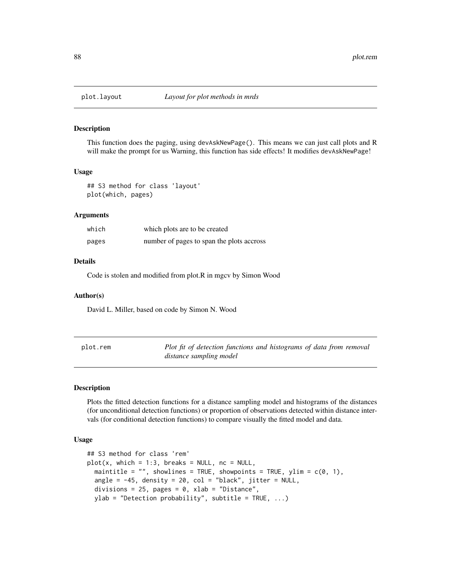This function does the paging, using devAskNewPage(). This means we can just call plots and R will make the prompt for us Warning, this function has side effects! It modifies devAskNewPage!

#### Usage

## S3 method for class 'layout' plot(which, pages)

#### Arguments

| which | which plots are to be created             |
|-------|-------------------------------------------|
| pages | number of pages to span the plots accross |

#### Details

Code is stolen and modified from plot.R in mgcv by Simon Wood

#### Author(s)

David L. Miller, based on code by Simon N. Wood

| plot.rem | Plot fit of detection functions and histograms of data from removal |
|----------|---------------------------------------------------------------------|
|          | distance sampling model                                             |

#### Description

Plots the fitted detection functions for a distance sampling model and histograms of the distances (for unconditional detection functions) or proportion of observations detected within distance intervals (for conditional detection functions) to compare visually the fitted model and data.

#### Usage

```
## S3 method for class 'rem'
plot(x, which = 1:3, breaks = NULL, nc = NULL,maintitle = ", showlines = TRUE, showpoints = TRUE, ylim = c(0, 1),
  angle = -45, density = 20, col = "black", jitter = NULL,
  divisions = 25, pages = 0, xlab = "Distance",
  ylab = "Detection probability", subtitle = TRUE, ...)
```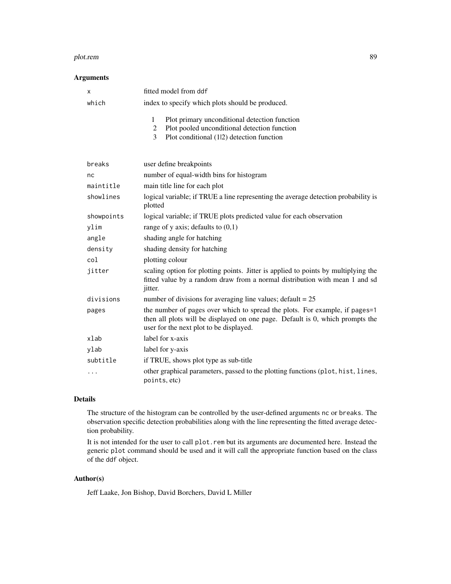#### plot.rem 89

#### Arguments

| x          | fitted model from ddf                                                                                                                                                                                   |
|------------|---------------------------------------------------------------------------------------------------------------------------------------------------------------------------------------------------------|
| which      | index to specify which plots should be produced.                                                                                                                                                        |
|            | $\mathbf{1}$<br>Plot primary unconditional detection function<br>Plot pooled unconditional detection function<br>$\overline{c}$<br>3<br>Plot conditional (1 2) detection function                       |
| breaks     | user define breakpoints                                                                                                                                                                                 |
| nc         | number of equal-width bins for histogram                                                                                                                                                                |
| maintitle  | main title line for each plot                                                                                                                                                                           |
| showlines  | logical variable; if TRUE a line representing the average detection probability is<br>plotted                                                                                                           |
| showpoints | logical variable; if TRUE plots predicted value for each observation                                                                                                                                    |
| ylim       | range of y axis; defaults to $(0,1)$                                                                                                                                                                    |
| angle      | shading angle for hatching                                                                                                                                                                              |
| density    | shading density for hatching                                                                                                                                                                            |
| col        | plotting colour                                                                                                                                                                                         |
| jitter     | scaling option for plotting points. Jitter is applied to points by multiplying the<br>fitted value by a random draw from a normal distribution with mean 1 and sd<br>jitter.                            |
| divisions  | number of divisions for averaging line values; $default = 25$                                                                                                                                           |
| pages      | the number of pages over which to spread the plots. For example, if pages=1<br>then all plots will be displayed on one page. Default is 0, which prompts the<br>user for the next plot to be displayed. |
| xlab       | label for x-axis                                                                                                                                                                                        |
| ylab       | label for y-axis                                                                                                                                                                                        |
| subtitle   | if TRUE, shows plot type as sub-title                                                                                                                                                                   |
| $\cdots$   | other graphical parameters, passed to the plotting functions (plot, hist, lines,<br>points, etc)                                                                                                        |

## Details

The structure of the histogram can be controlled by the user-defined arguments nc or breaks. The observation specific detection probabilities along with the line representing the fitted average detection probability.

It is not intended for the user to call plot.rem but its arguments are documented here. Instead the generic plot command should be used and it will call the appropriate function based on the class of the ddf object.

# Author(s)

Jeff Laake, Jon Bishop, David Borchers, David L Miller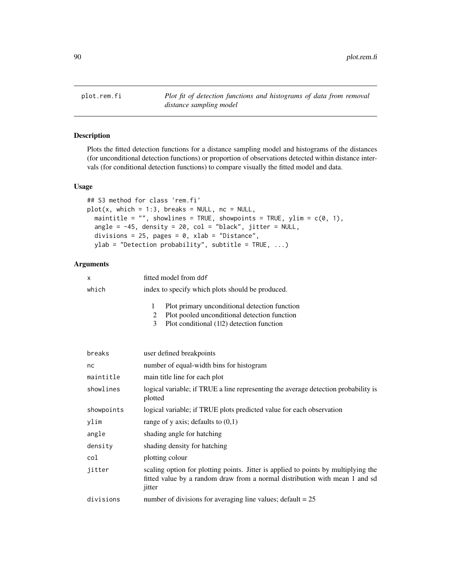plot.rem.fi *Plot fit of detection functions and histograms of data from removal distance sampling model*

#### Description

Plots the fitted detection functions for a distance sampling model and histograms of the distances (for unconditional detection functions) or proportion of observations detected within distance intervals (for conditional detection functions) to compare visually the fitted model and data.

#### Usage

```
## S3 method for class 'rem.fi'
plot(x, which = 1:3, breaks = NULL, nc = NULL,maintitle = "", showlines = TRUE, showpoints = TRUE, ylim = c(0, 1),
  angle = -45, density = 20, col = "black", jitter = NULL,
  divisions = 25, pages = 0, xlab = "Distance",
 ylab = "Detection probability", subtitle = TRUE, ...)
```

| X          | fitted model from ddf                                                                                                                                                       |
|------------|-----------------------------------------------------------------------------------------------------------------------------------------------------------------------------|
| which      | index to specify which plots should be produced.                                                                                                                            |
|            | $\mathbf{1}$<br>Plot primary unconditional detection function<br>Plot pooled unconditional detection function<br>2<br>3<br>Plot conditional (12) detection function         |
| breaks     | user defined breakpoints                                                                                                                                                    |
| nc         | number of equal-width bins for histogram                                                                                                                                    |
| maintitle  | main title line for each plot                                                                                                                                               |
| showlines  | logical variable; if TRUE a line representing the average detection probability is<br>plotted                                                                               |
| showpoints | logical variable; if TRUE plots predicted value for each observation                                                                                                        |
| ylim       | range of y axis; defaults to $(0,1)$                                                                                                                                        |
| angle      | shading angle for hatching                                                                                                                                                  |
| density    | shading density for hatching                                                                                                                                                |
| col        | plotting colour                                                                                                                                                             |
| jitter     | scaling option for plotting points. Jitter is applied to points by multiplying the<br>fitted value by a random draw from a normal distribution with mean 1 and sd<br>jitter |
| divisions  | number of divisions for averaging line values; $\text{default} = 25$                                                                                                        |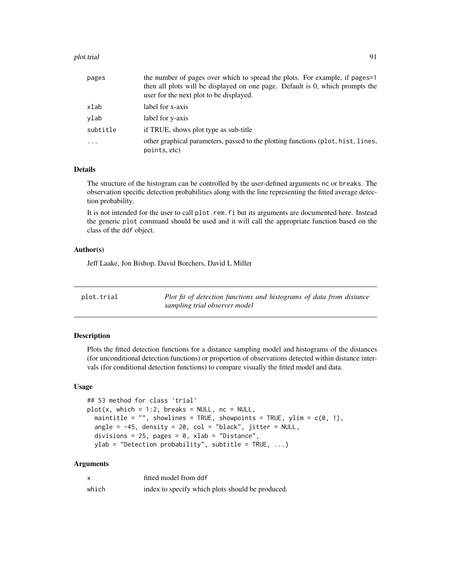#### plot.trial 91

| pages                   | the number of pages over which to spread the plots. For example, if pages=1<br>then all plots will be displayed on one page. Default is 0, which prompts the<br>user for the next plot to be displayed. |
|-------------------------|---------------------------------------------------------------------------------------------------------------------------------------------------------------------------------------------------------|
| xlab                    | label for x-axis                                                                                                                                                                                        |
| ylab                    | label for y-axis                                                                                                                                                                                        |
| subtitle                | if TRUE, shows plot type as sub-title                                                                                                                                                                   |
| $\cdot$ $\cdot$ $\cdot$ | other graphical parameters, passed to the plotting functions (plot, hist, lines,<br>points, etc)                                                                                                        |

## Details

The structure of the histogram can be controlled by the user-defined arguments nc or breaks. The observation specific detection probabilities along with the line representing the fitted average detection probability.

It is not intended for the user to call plot.rem.fi but its arguments are documented here. Instead the generic plot command should be used and it will call the appropriate function based on the class of the ddf object.

#### Author(s)

Jeff Laake, Jon Bishop, David Borchers, David L Miller

| plot.trial | Plot fit of detection functions and histograms of data from distance |
|------------|----------------------------------------------------------------------|
|            | sampling trial observer model                                        |

# Description

Plots the fitted detection functions for a distance sampling model and histograms of the distances (for unconditional detection functions) or proportion of observations detected within distance intervals (for conditional detection functions) to compare visually the fitted model and data.

#### Usage

```
## S3 method for class 'trial'
plot(x, which = 1:2, breaks = NULL, nc = NULL,maintitle = ", showlines = TRUE, showpoints = TRUE, ylim = c(0, 1),
 angle = -45, density = 20, col = "black", jitter = NULL,
 divisions = 25, pages = 0, xlab = "Distance",
 ylab = "Detection probability", subtitle = TRUE, ...)
```

| $\boldsymbol{\mathsf{x}}$ | fitted model from ddf                            |
|---------------------------|--------------------------------------------------|
| which                     | index to specify which plots should be produced. |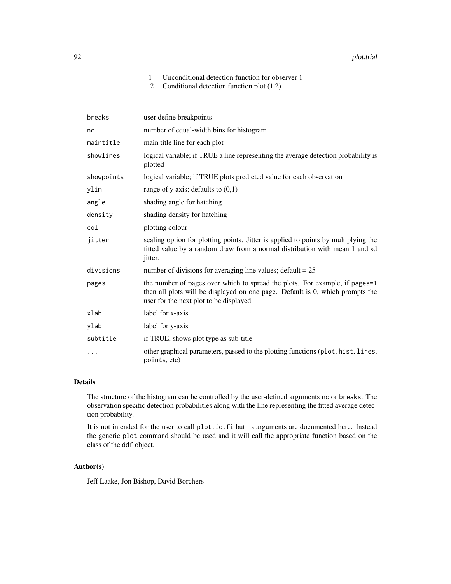#### 92 plot.trial

# 1 Unconditional detection function for observer 1

2 Conditional detection function plot (1|2)

| breaks     | user define breakpoints                                                                                                                                                                                 |
|------------|---------------------------------------------------------------------------------------------------------------------------------------------------------------------------------------------------------|
| nc         | number of equal-width bins for histogram                                                                                                                                                                |
| maintitle  | main title line for each plot                                                                                                                                                                           |
| showlines  | logical variable; if TRUE a line representing the average detection probability is<br>plotted                                                                                                           |
| showpoints | logical variable; if TRUE plots predicted value for each observation                                                                                                                                    |
| ylim       | range of y axis; defaults to $(0,1)$                                                                                                                                                                    |
| angle      | shading angle for hatching                                                                                                                                                                              |
| density    | shading density for hatching                                                                                                                                                                            |
| col        | plotting colour                                                                                                                                                                                         |
| jitter     | scaling option for plotting points. Jitter is applied to points by multiplying the<br>fitted value by a random draw from a normal distribution with mean 1 and sd<br>jitter.                            |
| divisions  | number of divisions for averaging line values; $\text{default} = 25$                                                                                                                                    |
| pages      | the number of pages over which to spread the plots. For example, if pages=1<br>then all plots will be displayed on one page. Default is 0, which prompts the<br>user for the next plot to be displayed. |
| xlab       | label for x-axis                                                                                                                                                                                        |
| ylab       | label for y-axis                                                                                                                                                                                        |
| subtitle   | if TRUE, shows plot type as sub-title                                                                                                                                                                   |
|            | other graphical parameters, passed to the plotting functions (plot, hist, lines,<br>points, etc)                                                                                                        |

# Details

The structure of the histogram can be controlled by the user-defined arguments nc or breaks. The observation specific detection probabilities along with the line representing the fitted average detection probability.

It is not intended for the user to call plot.io.fi but its arguments are documented here. Instead the generic plot command should be used and it will call the appropriate function based on the class of the ddf object.

## Author(s)

Jeff Laake, Jon Bishop, David Borchers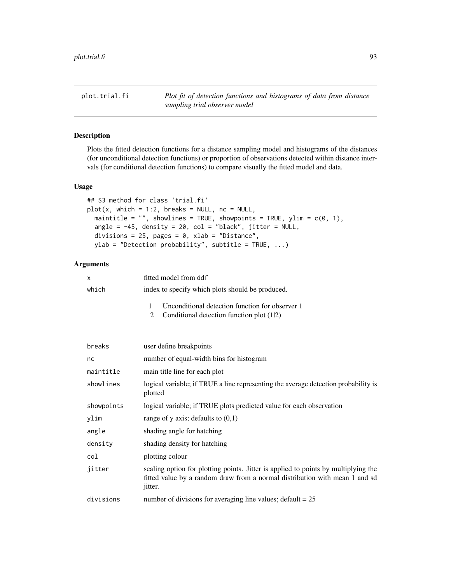plot.trial.fi *Plot fit of detection functions and histograms of data from distance sampling trial observer model*

#### Description

Plots the fitted detection functions for a distance sampling model and histograms of the distances (for unconditional detection functions) or proportion of observations detected within distance intervals (for conditional detection functions) to compare visually the fitted model and data.

## Usage

```
## S3 method for class 'trial.fi'
plot(x, which = 1:2, breaks = NULL, nc = NULL,maintitle = "", showlines = TRUE, showpoints = TRUE, ylim = c(0, 1),
  angle = -45, density = 20, col = "black", jitter = NULL,
  divisions = 25, pages = 0, xlab = "Distance",
 ylab = "Detection probability", subtitle = TRUE, \ldots)
```

| X          | fitted model from ddf                                                                                                                                                               |  |  |
|------------|-------------------------------------------------------------------------------------------------------------------------------------------------------------------------------------|--|--|
| which      | index to specify which plots should be produced.                                                                                                                                    |  |  |
|            | 1<br>Unconditional detection function for observer 1<br>2<br>Conditional detection function plot (12)                                                                               |  |  |
| breaks     | user define breakpoints                                                                                                                                                             |  |  |
| nc         | number of equal-width bins for histogram                                                                                                                                            |  |  |
| maintitle  | main title line for each plot                                                                                                                                                       |  |  |
| showlines  | logical variable; if TRUE a line representing the average detection probability is<br>plotted                                                                                       |  |  |
| showpoints | logical variable; if TRUE plots predicted value for each observation                                                                                                                |  |  |
| ylim       | range of y axis; defaults to $(0,1)$                                                                                                                                                |  |  |
| angle      | shading angle for hatching                                                                                                                                                          |  |  |
| density    | shading density for hatching                                                                                                                                                        |  |  |
| col        | plotting colour                                                                                                                                                                     |  |  |
| jitter     | scaling option for plotting points. Jitter is applied to points by multiplying the<br>fitted value by a random draw from a normal distribution with mean 1 and sd<br><i>jitter.</i> |  |  |
| divisions  | number of divisions for averaging line values; $\text{default} = 25$                                                                                                                |  |  |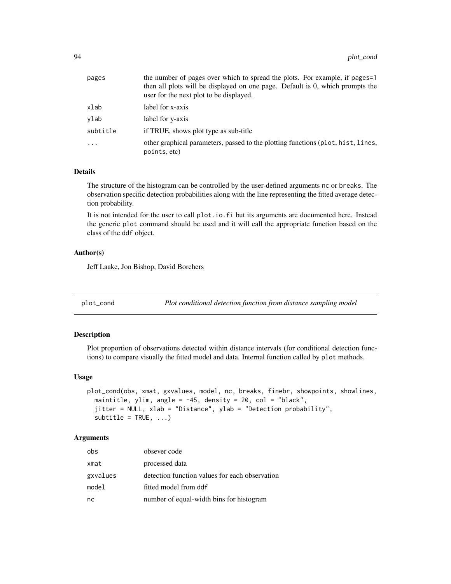| the number of pages over which to spread the plots. For example, if pages=1<br>then all plots will be displayed on one page. Default is 0, which prompts the<br>user for the next plot to be displayed. |
|---------------------------------------------------------------------------------------------------------------------------------------------------------------------------------------------------------|
| label for x-axis                                                                                                                                                                                        |
| label for y-axis                                                                                                                                                                                        |
| if TRUE, shows plot type as sub-title                                                                                                                                                                   |
| other graphical parameters, passed to the plotting functions (plot, hist, lines,<br>points, etc)                                                                                                        |
|                                                                                                                                                                                                         |

# Details

The structure of the histogram can be controlled by the user-defined arguments nc or breaks. The observation specific detection probabilities along with the line representing the fitted average detection probability.

It is not intended for the user to call plot.io.fi but its arguments are documented here. Instead the generic plot command should be used and it will call the appropriate function based on the class of the ddf object.

#### Author(s)

Jeff Laake, Jon Bishop, David Borchers

plot\_cond *Plot conditional detection function from distance sampling model*

#### Description

Plot proportion of observations detected within distance intervals (for conditional detection functions) to compare visually the fitted model and data. Internal function called by plot methods.

#### Usage

```
plot_cond(obs, xmat, gxvalues, model, nc, breaks, finebr, showpoints, showlines,
 maintitle, ylim, angle = -45, density = 20, col = "black",
  jitter = NULL, xlab = "Distance", ylab = "Detection probability",
  subtitle = TRUE, ...
```

| obs      | obsever code                                   |
|----------|------------------------------------------------|
| xmat     | processed data                                 |
| gxvalues | detection function values for each observation |
| model    | fitted model from ddf                          |
| nc       | number of equal-width bins for histogram       |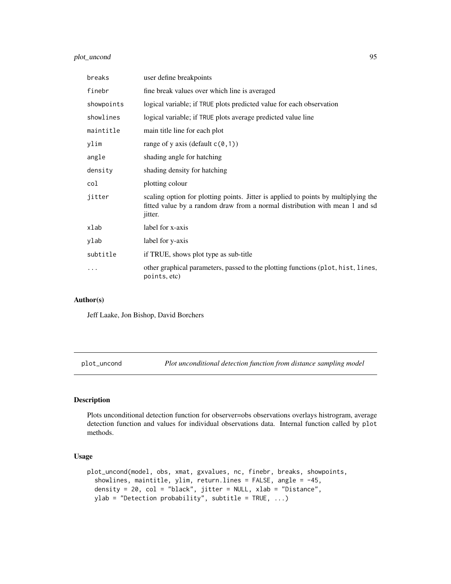# plot\_uncond 95

| breaks     | user define breakpoints                                                                                                                                                      |
|------------|------------------------------------------------------------------------------------------------------------------------------------------------------------------------------|
| finebr     | fine break values over which line is averaged                                                                                                                                |
| showpoints | logical variable; if TRUE plots predicted value for each observation                                                                                                         |
| showlines  | logical variable; if TRUE plots average predicted value line                                                                                                                 |
| maintitle  | main title line for each plot                                                                                                                                                |
| ylim       | range of y axis (default $c(0,1)$ )                                                                                                                                          |
| angle      | shading angle for hatching                                                                                                                                                   |
| density    | shading density for hatching                                                                                                                                                 |
| col        | plotting colour                                                                                                                                                              |
| jitter     | scaling option for plotting points. Jitter is applied to points by multiplying the<br>fitted value by a random draw from a normal distribution with mean 1 and sd<br>jitter. |
| xlab       | label for x-axis                                                                                                                                                             |
| ylab       | label for y-axis                                                                                                                                                             |
| subtitle   | if TRUE, shows plot type as sub-title                                                                                                                                        |
| .          | other graphical parameters, passed to the plotting functions (plot, hist, lines,<br>points, etc)                                                                             |

## Author(s)

Jeff Laake, Jon Bishop, David Borchers

plot\_uncond *Plot unconditional detection function from distance sampling model*

# Description

Plots unconditional detection function for observer=obs observations overlays histrogram, average detection function and values for individual observations data. Internal function called by plot methods.

#### Usage

```
plot_uncond(model, obs, xmat, gxvalues, nc, finebr, breaks, showpoints,
  showlines, maintitle, ylim, return.lines = FALSE, angle = -45,
  density = 20, col = "black", jitter = NULL, xlab = "Distance",
 ylab = "Detection probability", subtitle = TRUE, ...)
```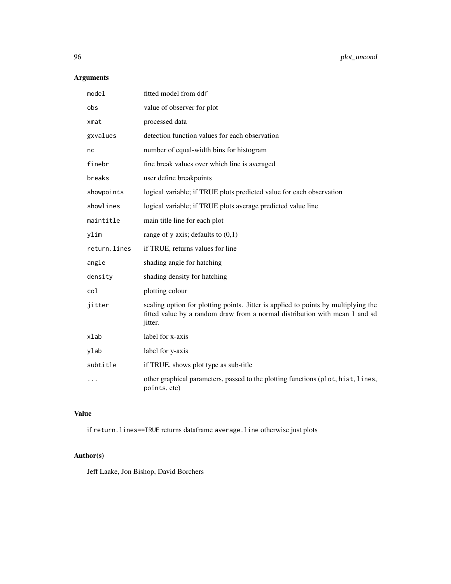# Arguments

| mode1        | fitted model from ddf                                                                                                                                                        |
|--------------|------------------------------------------------------------------------------------------------------------------------------------------------------------------------------|
| obs          | value of observer for plot                                                                                                                                                   |
| xmat         | processed data                                                                                                                                                               |
| gxvalues     | detection function values for each observation                                                                                                                               |
| nc           | number of equal-width bins for histogram                                                                                                                                     |
| finebr       | fine break values over which line is averaged                                                                                                                                |
| breaks       | user define breakpoints                                                                                                                                                      |
| showpoints   | logical variable; if TRUE plots predicted value for each observation                                                                                                         |
| showlines    | logical variable; if TRUE plots average predicted value line                                                                                                                 |
| maintitle    | main title line for each plot                                                                                                                                                |
| ylim         | range of y axis; defaults to $(0,1)$                                                                                                                                         |
| return.lines | if TRUE, returns values for line                                                                                                                                             |
| angle        | shading angle for hatching                                                                                                                                                   |
| density      | shading density for hatching                                                                                                                                                 |
| col          | plotting colour                                                                                                                                                              |
| jitter       | scaling option for plotting points. Jitter is applied to points by multiplying the<br>fitted value by a random draw from a normal distribution with mean 1 and sd<br>jitter. |
| xlab         | label for x-axis                                                                                                                                                             |
| ylab         | label for y-axis                                                                                                                                                             |
| subtitle     | if TRUE, shows plot type as sub-title                                                                                                                                        |
|              | other graphical parameters, passed to the plotting functions (plot, hist, lines,<br>points, etc)                                                                             |

# Value

if return.lines==TRUE returns dataframe average.line otherwise just plots

# Author(s)

Jeff Laake, Jon Bishop, David Borchers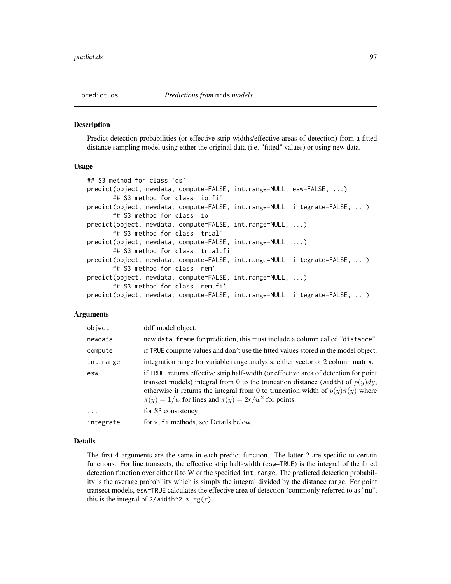Predict detection probabilities (or effective strip widths/effective areas of detection) from a fitted distance sampling model using either the original data (i.e. "fitted" values) or using new data.

#### Usage

```
## S3 method for class 'ds'
predict(object, newdata, compute=FALSE, int.range=NULL, esw=FALSE, ...)
       ## S3 method for class 'io.fi'
predict(object, newdata, compute=FALSE, int.range=NULL, integrate=FALSE, ...)
       ## S3 method for class 'io'
predict(object, newdata, compute=FALSE, int.range=NULL, ...)
       ## S3 method for class 'trial'
predict(object, newdata, compute=FALSE, int.range=NULL, ...)
       ## S3 method for class 'trial.fi'
predict(object, newdata, compute=FALSE, int.range=NULL, integrate=FALSE, ...)
       ## S3 method for class 'rem'
predict(object, newdata, compute=FALSE, int.range=NULL, ...)
       ## S3 method for class 'rem.fi'
predict(object, newdata, compute=FALSE, int.range=NULL, integrate=FALSE, ...)
```
#### Arguments

| object    | ddf model object.                                                                                                                                                                                                                                                                                                              |
|-----------|--------------------------------------------------------------------------------------------------------------------------------------------------------------------------------------------------------------------------------------------------------------------------------------------------------------------------------|
| newdata   | new data. frame for prediction, this must include a column called "distance".                                                                                                                                                                                                                                                  |
| compute   | if TRUE compute values and don't use the fitted values stored in the model object.                                                                                                                                                                                                                                             |
| int.range | integration range for variable range analysis; either vector or 2 column matrix.                                                                                                                                                                                                                                               |
| esw       | if TRUE, returns effective strip half-width (or effective area of detection for point<br>transect models) integral from 0 to the truncation distance (width) of $p(y)dy$ ;<br>otherwise it returns the integral from 0 to truncation width of $p(y)\pi(y)$ where<br>$\pi(y) = 1/w$ for lines and $\pi(y) = 2r/w^2$ for points. |
| $\ddots$  | for S3 consistency                                                                                                                                                                                                                                                                                                             |
| integrate | for $\star$ . Fi methods, see Details below.                                                                                                                                                                                                                                                                                   |

#### Details

The first 4 arguments are the same in each predict function. The latter 2 are specific to certain functions. For line transects, the effective strip half-width (esw=TRUE) is the integral of the fitted detection function over either 0 to W or the specified int. range. The predicted detection probability is the average probability which is simply the integral divided by the distance range. For point transect models, esw=TRUE calculates the effective area of detection (commonly referred to as "nu", this is the integral of  $2$ /width<sup>2</sup> \* rg(r).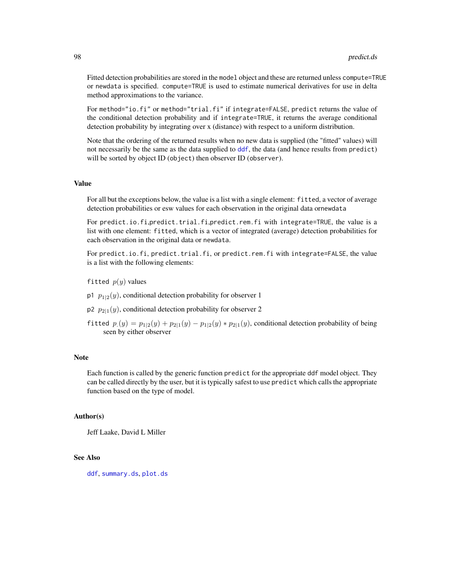Fitted detection probabilities are stored in the model object and these are returned unless compute=TRUE or newdata is specified. compute=TRUE is used to estimate numerical derivatives for use in delta method approximations to the variance.

For method="io.fi" or method="trial.fi" if integrate=FALSE, predict returns the value of the conditional detection probability and if integrate=TRUE, it returns the average conditional detection probability by integrating over x (distance) with respect to a uniform distribution.

Note that the ordering of the returned results when no new data is supplied (the "fitted" values) will not necessarily be the same as the data supplied to [ddf](#page-17-0), the data (and hence results from predict) will be sorted by object ID (object) then observer ID (observer).

#### Value

For all but the exceptions below, the value is a list with a single element: fitted, a vector of average detection probabilities or esw values for each observation in the original data ornewdata

For predict.io.fi,predict.trial.fi,predict.rem.fi with integrate=TRUE, the value is a list with one element: fitted, which is a vector of integrated (average) detection probabilities for each observation in the original data or newdata.

For predict.io.fi, predict.trial.fi, or predict.rem.fi with integrate=FALSE, the value is a list with the following elements:

- fitted  $p(y)$  values
- p1  $p_{1|2}(y)$ , conditional detection probability for observer 1
- $p_2$   $p_{2|1}(y)$ , conditional detection probability for observer 2
- fitted  $p_1(y) = p_{1|2}(y) + p_{2|1}(y) p_{1|2}(y) * p_{2|1}(y)$ , conditional detection probability of being seen by either observer

#### Note

Each function is called by the generic function predict for the appropriate ddf model object. They can be called directly by the user, but it is typically safest to use predict which calls the appropriate function based on the type of model.

#### Author(s)

Jeff Laake, David L Miller

## See Also

[ddf](#page-17-0), [summary.ds](#page-121-0), [plot.ds](#page-81-0)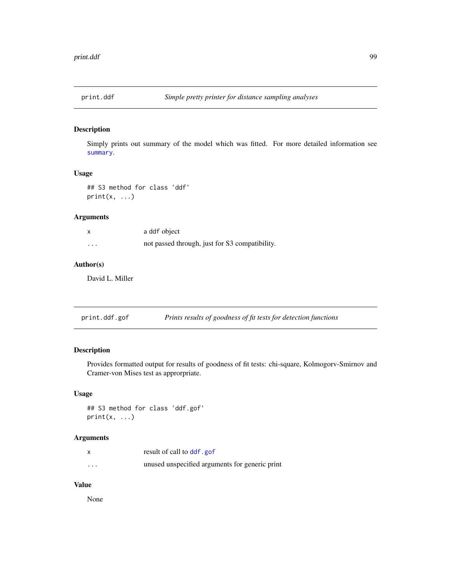Simply prints out summary of the model which was fitted. For more detailed information see [summary](#page-0-0).

#### Usage

```
## S3 method for class 'ddf'
print(x, \ldots)
```
# Arguments

|          | a ddf object                                   |
|----------|------------------------------------------------|
| $\cdots$ | not passed through, just for S3 compatibility. |

# Author(s)

David L. Miller

| print.ddf.gof |  | Prints results of goodness of fit tests for detection functions |
|---------------|--|-----------------------------------------------------------------|
|               |  |                                                                 |

# Description

Provides formatted output for results of goodness of fit tests: chi-square, Kolmogorv-Smirnov and Cramer-von Mises test as approrpriate.

## Usage

## S3 method for class 'ddf.gof'  $print(x, \ldots)$ 

# Arguments

|          | result of call to ddf.gof                      |
|----------|------------------------------------------------|
| $\cdots$ | unused unspecified arguments for generic print |

#### Value

None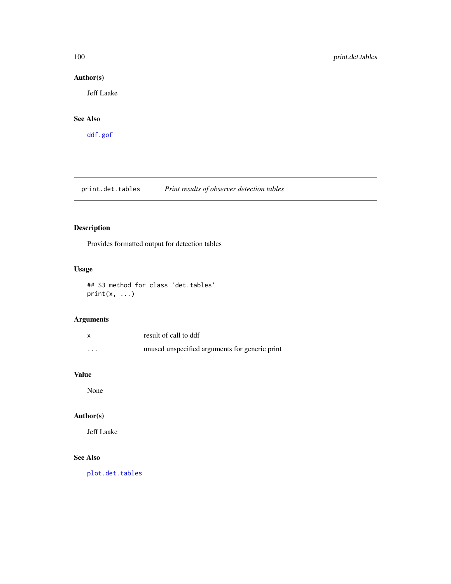# Author(s)

Jeff Laake

# See Also

[ddf.gof](#page-23-0)

print.det.tables *Print results of observer detection tables*

# Description

Provides formatted output for detection tables

# Usage

## S3 method for class 'det.tables'  $print(x, \ldots)$ 

# Arguments

|         | result of call to ddf                          |
|---------|------------------------------------------------|
| $\cdot$ | unused unspecified arguments for generic print |

# Value

None

# Author(s)

Jeff Laake

# See Also

[plot.det.tables](#page-80-0)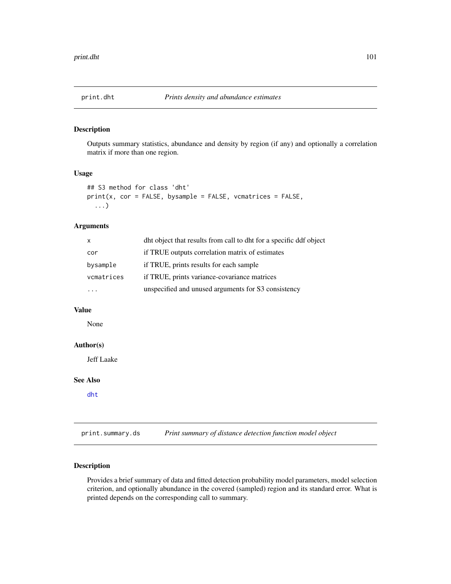Outputs summary statistics, abundance and density by region (if any) and optionally a correlation matrix if more than one region.

#### Usage

```
## S3 method for class 'dht'
print(x, cor = FALSE, bysample = FALSE, vematics = FALSE,...)
```
# Arguments

| X          | dht object that results from call to dht for a specific ddf object |
|------------|--------------------------------------------------------------------|
| cor        | if TRUE outputs correlation matrix of estimates                    |
| bysample   | if TRUE, prints results for each sample                            |
| vcmatrices | if TRUE, prints variance-covariance matrices                       |
|            | unspecified and unused arguments for S3 consistency                |

# Value

None

# Author(s)

Jeff Laake

## See Also

[dht](#page-37-0)

print.summary.ds *Print summary of distance detection function model object*

# Description

Provides a brief summary of data and fitted detection probability model parameters, model selection criterion, and optionally abundance in the covered (sampled) region and its standard error. What is printed depends on the corresponding call to summary.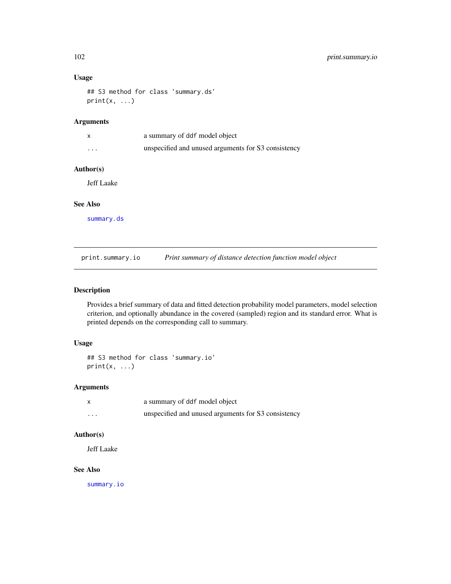## Usage

```
## S3 method for class 'summary.ds'
print(x, \ldots)
```
# Arguments

|          | a summary of ddf model object                       |
|----------|-----------------------------------------------------|
| $\cdots$ | unspecified and unused arguments for S3 consistency |

#### Author(s)

Jeff Laake

#### See Also

[summary.ds](#page-121-0)

print.summary.io *Print summary of distance detection function model object*

# Description

Provides a brief summary of data and fitted detection probability model parameters, model selection criterion, and optionally abundance in the covered (sampled) region and its standard error. What is printed depends on the corresponding call to summary.

# Usage

```
## S3 method for class 'summary.io'
print(x, \ldots)
```
#### Arguments

|          | a summary of ddf model object                       |
|----------|-----------------------------------------------------|
| $\cdots$ | unspecified and unused arguments for S3 consistency |

# Author(s)

Jeff Laake

### See Also

[summary.io](#page-122-0)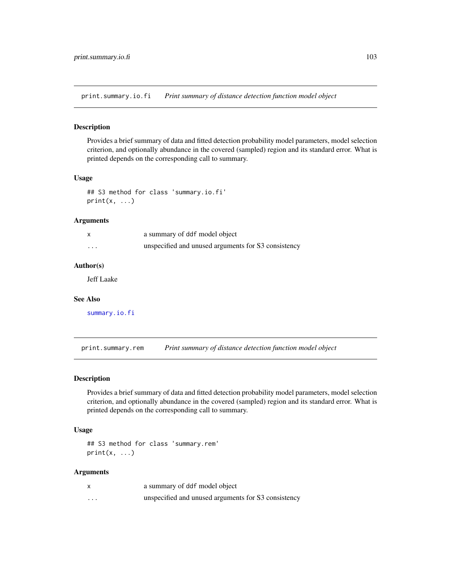print.summary.io.fi *Print summary of distance detection function model object*

## Description

Provides a brief summary of data and fitted detection probability model parameters, model selection criterion, and optionally abundance in the covered (sampled) region and its standard error. What is printed depends on the corresponding call to summary.

#### Usage

```
## S3 method for class 'summary.io.fi'
print(x, \ldots)
```
#### Arguments

|          | a summary of ddf model object                       |
|----------|-----------------------------------------------------|
| $\cdots$ | unspecified and unused arguments for S3 consistency |

## Author(s)

Jeff Laake

#### See Also

[summary.io.fi](#page-123-0)

print.summary.rem *Print summary of distance detection function model object*

#### Description

Provides a brief summary of data and fitted detection probability model parameters, model selection criterion, and optionally abundance in the covered (sampled) region and its standard error. What is printed depends on the corresponding call to summary.

#### Usage

```
## S3 method for class 'summary.rem'
print(x, \ldots)
```

|          | a summary of ddf model object                       |
|----------|-----------------------------------------------------|
| $\cdots$ | unspecified and unused arguments for S3 consistency |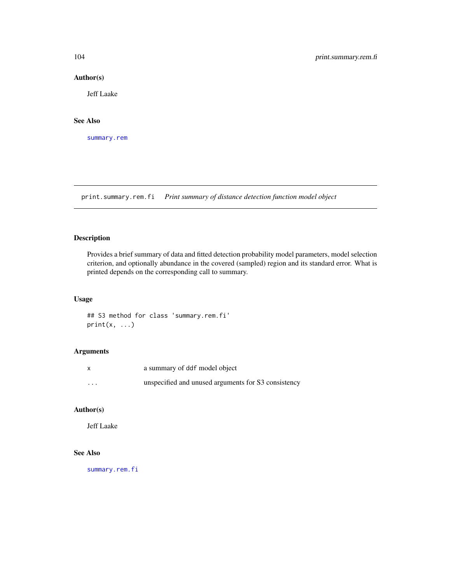#### Author(s)

Jeff Laake

### See Also

[summary.rem](#page-124-0)

print.summary.rem.fi *Print summary of distance detection function model object*

# Description

Provides a brief summary of data and fitted detection probability model parameters, model selection criterion, and optionally abundance in the covered (sampled) region and its standard error. What is printed depends on the corresponding call to summary.

#### Usage

## S3 method for class 'summary.rem.fi'  $print(x, \ldots)$ 

## Arguments

| $\mathsf{x}$ | a summary of ddf model object                       |
|--------------|-----------------------------------------------------|
| $\cdots$     | unspecified and unused arguments for S3 consistency |

# Author(s)

Jeff Laake

#### See Also

[summary.rem.fi](#page-125-0)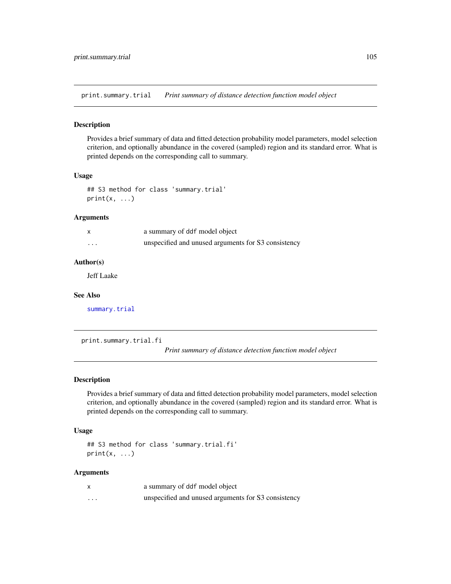print.summary.trial *Print summary of distance detection function model object*

#### Description

Provides a brief summary of data and fitted detection probability model parameters, model selection criterion, and optionally abundance in the covered (sampled) region and its standard error. What is printed depends on the corresponding call to summary.

#### Usage

```
## S3 method for class 'summary.trial'
print(x, \ldots)
```
#### Arguments

|          | a summary of ddf model object                       |
|----------|-----------------------------------------------------|
| $\cdots$ | unspecified and unused arguments for S3 consistency |

#### Author(s)

Jeff Laake

#### See Also

[summary.trial](#page-126-0)

print.summary.trial.fi

*Print summary of distance detection function model object*

#### Description

Provides a brief summary of data and fitted detection probability model parameters, model selection criterion, and optionally abundance in the covered (sampled) region and its standard error. What is printed depends on the corresponding call to summary.

#### Usage

```
## S3 method for class 'summary.trial.fi'
print(x, \ldots)
```

|          | a summary of ddf model object                       |
|----------|-----------------------------------------------------|
| $\cdots$ | unspecified and unused arguments for S3 consistency |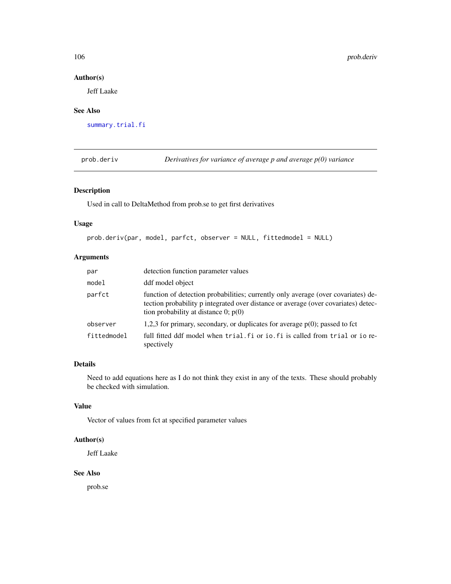## Author(s)

Jeff Laake

#### See Also

[summary.trial.fi](#page-127-0)

prob.deriv *Derivatives for variance of average p and average p(0) variance*

# Description

Used in call to DeltaMethod from prob.se to get first derivatives

## Usage

```
prob.deriv(par, model, parfct, observer = NULL, fittedmodel = NULL)
```
# Arguments

| par         | detection function parameter values                                                                                                                                                                               |
|-------------|-------------------------------------------------------------------------------------------------------------------------------------------------------------------------------------------------------------------|
| model       | ddf model object                                                                                                                                                                                                  |
| parfct      | function of detection probabilities; currently only average (over covariates) de-<br>tection probability p integrated over distance or average (over covariates) detec-<br>tion probability at distance 0; $p(0)$ |
| observer    | 1,2,3 for primary, secondary, or duplicates for average $p(0)$ ; passed to fct                                                                                                                                    |
| fittedmodel | full fitted ddf model when trial. fi or io. fi is called from trial or io re-<br>spectively                                                                                                                       |

## Details

Need to add equations here as I do not think they exist in any of the texts. These should probably be checked with simulation.

# Value

Vector of values from fct at specified parameter values

## Author(s)

Jeff Laake

#### See Also

prob.se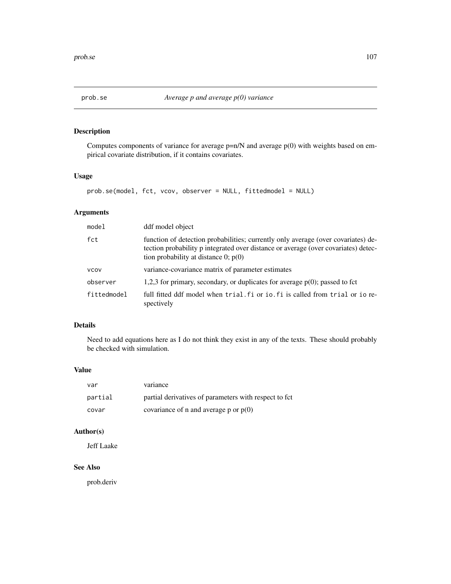Computes components of variance for average  $p=n/N$  and average  $p(0)$  with weights based on empirical covariate distribution, if it contains covariates.

# Usage

```
prob.se(model, fct, vcov, observer = NULL, fittedmodel = NULL)
```
# Arguments

| model       | ddf model object                                                                                                                                                                                                  |
|-------------|-------------------------------------------------------------------------------------------------------------------------------------------------------------------------------------------------------------------|
| fct         | function of detection probabilities; currently only average (over covariates) de-<br>tection probability p integrated over distance or average (over covariates) detec-<br>tion probability at distance 0; $p(0)$ |
| <b>VCOV</b> | variance-covariance matrix of parameter estimates                                                                                                                                                                 |
| observer    | 1,2,3 for primary, secondary, or duplicates for average $p(0)$ ; passed to fct                                                                                                                                    |
| fittedmodel | full fitted ddf model when trial. Fi or io. Fi is called from trial or io re-<br>spectively                                                                                                                       |

# Details

Need to add equations here as I do not think they exist in any of the texts. These should probably be checked with simulation.

#### Value

| var     | variance                                               |
|---------|--------------------------------------------------------|
| partial | partial derivatives of parameters with respect to fct. |
| covar   | covariance of n and average p or $p(0)$                |

# Author(s)

Jeff Laake

## See Also

prob.deriv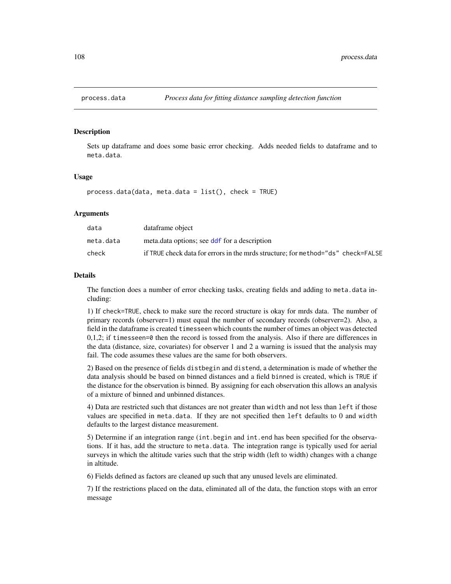Sets up dataframe and does some basic error checking. Adds needed fields to dataframe and to meta.data.

#### Usage

process.data(data, meta.data = list(), check = TRUE)

#### Arguments

| data      | dataframe object                                                                 |
|-----------|----------------------------------------------------------------------------------|
| meta.data | meta.data options; see ddf for a description                                     |
| check     | if TRUE check data for errors in the mrds structure: for method="ds" check=FALSE |

#### Details

The function does a number of error checking tasks, creating fields and adding to meta.data including:

1) If check=TRUE, check to make sure the record structure is okay for mrds data. The number of primary records (observer=1) must equal the number of secondary records (observer=2). Also, a field in the dataframe is created timesseen which counts the number of times an object was detected  $0,1,2$ ; if timesseen=0 then the record is tossed from the analysis. Also if there are differences in the data (distance, size, covariates) for observer 1 and 2 a warning is issued that the analysis may fail. The code assumes these values are the same for both observers.

2) Based on the presence of fields distbegin and distend, a determination is made of whether the data analysis should be based on binned distances and a field binned is created, which is TRUE if the distance for the observation is binned. By assigning for each observation this allows an analysis of a mixture of binned and unbinned distances.

4) Data are restricted such that distances are not greater than width and not less than left if those values are specified in meta.data. If they are not specified then left defaults to 0 and width defaults to the largest distance measurement.

5) Determine if an integration range (int.begin and int.end has been specified for the observations. If it has, add the structure to meta.data. The integration range is typically used for aerial surveys in which the altitude varies such that the strip width (left to width) changes with a change in altitude.

6) Fields defined as factors are cleaned up such that any unused levels are eliminated.

7) If the restrictions placed on the data, eliminated all of the data, the function stops with an error message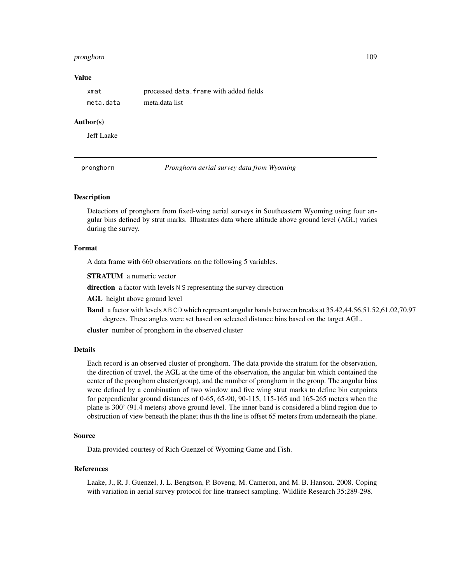#### <span id="page-108-0"></span>pronghorn 109

# Value

| xmat      | processed data. frame with added fields |
|-----------|-----------------------------------------|
| meta.data | meta.data list                          |

#### Author(s)

Jeff Laake

pronghorn *Pronghorn aerial survey data from Wyoming*

### Description

Detections of pronghorn from fixed-wing aerial surveys in Southeastern Wyoming using four angular bins defined by strut marks. Illustrates data where altitude above ground level (AGL) varies during the survey.

# Format

A data frame with 660 observations on the following 5 variables.

STRATUM a numeric vector

direction a factor with levels N S representing the survey direction

AGL height above ground level

Band a factor with levels A B C D which represent angular bands between breaks at 35.42,44.56,51.52,61.02,70.97 degrees. These angles were set based on selected distance bins based on the target AGL.

cluster number of pronghorn in the observed cluster

# Details

Each record is an observed cluster of pronghorn. The data provide the stratum for the observation, the direction of travel, the AGL at the time of the observation, the angular bin which contained the center of the pronghorn cluster(group), and the number of pronghorn in the group. The angular bins were defined by a combination of two window and five wing strut marks to define bin cutpoints for perpendicular ground distances of 0-65, 65-90, 90-115, 115-165 and 165-265 meters when the plane is 300' (91.4 meters) above ground level. The inner band is considered a blind region due to obstruction of view beneath the plane; thus th the line is offset 65 meters from underneath the plane.

#### Source

Data provided courtesy of Rich Guenzel of Wyoming Game and Fish.

#### References

Laake, J., R. J. Guenzel, J. L. Bengtson, P. Boveng, M. Cameron, and M. B. Hanson. 2008. Coping with variation in aerial survey protocol for line-transect sampling. Wildlife Research 35:289-298.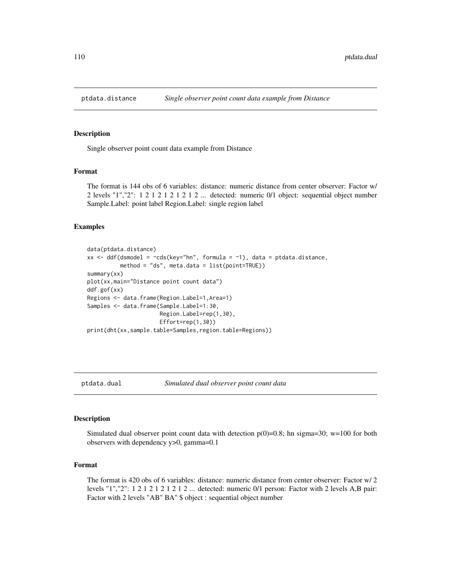<span id="page-109-0"></span>

Single observer point count data example from Distance

#### Format

The format is 144 obs of 6 variables: distance: numeric distance from center observer: Factor w/ 2 levels "1","2":  $1\ 2\ 1\ 2\ 1\ 2\ 1\ 2\ 1\ 2\ 1\ 2\ 1\ 2\ 1\ 2\ 1\ 2\ 1\ 2\ 1\ 2\ 1\ 2\ 1\ 2\ 1\ 2\ 1\ 2\ 1\ 2\ 1\ 2\ 1\ 2\ 1\ 2\ 1\ 2\ 1\ 2\ 1\ 2\ 1\ 2\ 1\ 2\ 1\ 2\ 1\ 2\ 1\ 2\ 1\ 2\ 1\ 2\ 1\ 2\ 1\ 2\ 1\ 2\ 1\ 2\ 1\ 2$ Sample.Label: point label Region.Label: single region label

# Examples

```
data(ptdata.distance)
xx <- ddf(dsmodel = \simcds(key="hn", formula = \sim1), data = ptdata.distance,
          method = "ds", meta.data = list(point=TRUE))
summary(xx)
plot(xx,main="Distance point count data")
ddf.gof(xx)
Regions <- data.frame(Region.Label=1,Area=1)
Samples <- data.frame(Sample.Label=1:30,
                      Region.Label=rep(1,30),
                      Effort=rep(1,30))
print(dht(xx,sample.table=Samples,region.table=Regions))
```

```
ptdata.dual Simulated dual observer point count data
```
#### **Description**

Simulated dual observer point count data with detection  $p(0)=0.8$ ; hn sigma=30; w=100 for both observers with dependency y>0, gamma=0.1

#### Format

The format is 420 obs of 6 variables: distance: numeric distance from center observer: Factor w/ 2 levels "1","2": 1 2 1 2 1 2 1 2 1 2 ... detected: numeric 0/1 person: Factor with 2 levels A,B pair: Factor with 2 levels "AB" BA" \$ object : sequential object number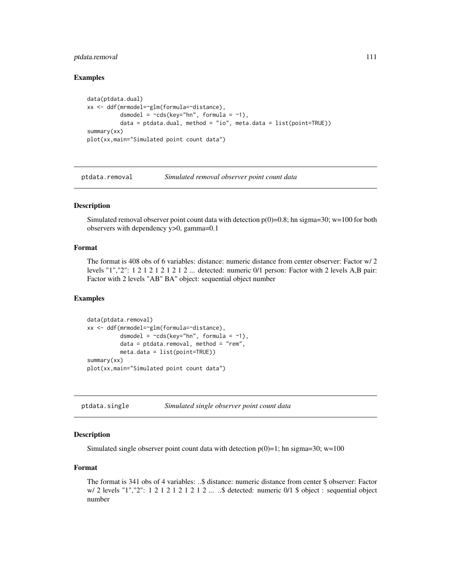# <span id="page-110-0"></span>ptdata.removal 111

# Examples

```
data(ptdata.dual)
xx <- ddf(mrmodel=~glm(formula=~distance),
         dsmodel = -cds(key="hn", formula = ~1),data = ptdata.dual, method = "io", meta.data = list(point=True))summary(xx)
plot(xx,main="Simulated point count data")
```
ptdata.removal *Simulated removal observer point count data*

# Description

Simulated removal observer point count data with detection  $p(0)=0.8$ ; hn sigma=30; w=100 for both observers with dependency y>0, gamma=0.1

# Format

The format is 408 obs of 6 variables: distance: numeric distance from center observer: Factor w/ 2 levels "1","2": 1 2 1 2 1 2 1 2 1 2 ... detected: numeric 0/1 person: Factor with 2 levels A,B pair: Factor with 2 levels "AB" BA" object: sequential object number

#### Examples

```
data(ptdata.removal)
xx <- ddf(mrmodel=~glm(formula=~distance),
          dsmodel = -cds(key="hn", formula = ~1),data = ptdata.removal, method = "rem",
         meta.data = list(point=TRUE))
summary(xx)
plot(xx,main="Simulated point count data")
```
ptdata.single *Simulated single observer point count data*

### Description

Simulated single observer point count data with detection  $p(0)=1$ ; hn sigma=30; w=100

# Format

The format is 341 obs of 4 variables: ..\$ distance: numeric distance from center \$ observer: Factor w/ 2 levels "1","2": 1 2 1 2 1 2 1 2 1 2 ... ..\$ detected: numeric 0/1 \$ object : sequential object number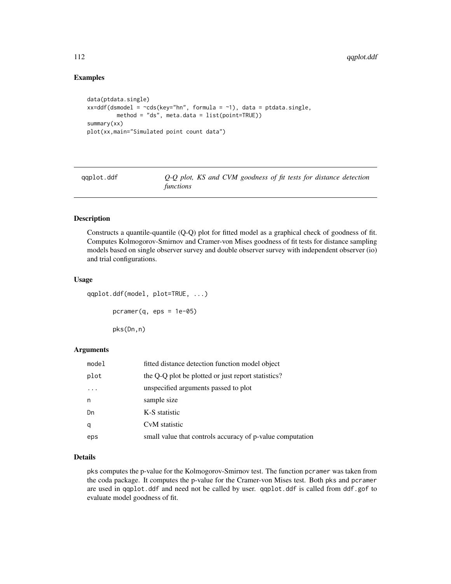# Examples

```
data(ptdata.single)
xx=ddf(dsmooth = <math>\sim</math>cds(key="hn", formula = <math>\sim</math>1), data = ptdata.single,method = "ds", meta.data = list(point=TRUE))
summary(xx)
plot(xx,main="Simulated point count data")
```
qqplot.ddf *Q-Q plot, KS and CVM goodness of fit tests for distance detection functions*

# Description

Constructs a quantile-quantile (Q-Q) plot for fitted model as a graphical check of goodness of fit. Computes Kolmogorov-Smirnov and Cramer-von Mises goodness of fit tests for distance sampling models based on single observer survey and double observer survey with independent observer (io) and trial configurations.

#### Usage

```
qqplot.ddf(model, plot=TRUE, ...)
      pcramer(q,eps = 1e-05)pks(Dn,n)
```
# Arguments

| model | fitted distance detection function model object           |
|-------|-----------------------------------------------------------|
| plot  | the Q-Q plot be plotted or just report statistics?        |
|       | unspecified arguments passed to plot                      |
| n     | sample size                                               |
| Dn    | K-S statistic                                             |
| q     | CvM statistic                                             |
| eps   | small value that controls accuracy of p-value computation |

#### Details

pks computes the p-value for the Kolmogorov-Smirnov test. The function pcramer was taken from the coda package. It computes the p-value for the Cramer-von Mises test. Both pks and pcramer are used in qqplot.ddf and need not be called by user. qqplot.ddf is called from ddf.gof to evaluate model goodness of fit.

<span id="page-111-0"></span>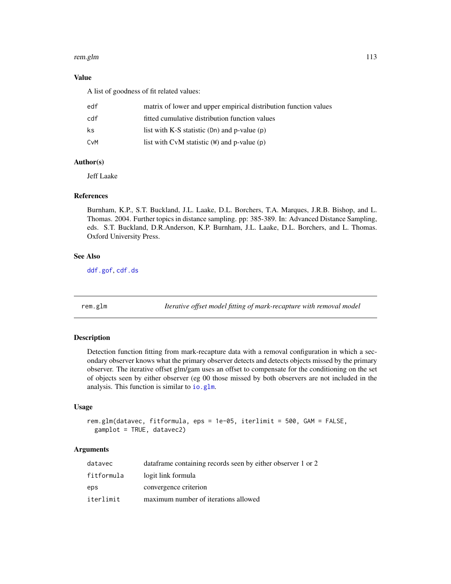#### <span id="page-112-0"></span>rem.glm and the state of the state of the state of the state of the state of the state of the state of the state of the state of the state of the state of the state of the state of the state of the state of the state of th

# Value

A list of goodness of fit related values:

| edf | matrix of lower and upper empirical distribution function values |
|-----|------------------------------------------------------------------|
| cdf | fitted cumulative distribution function values                   |
| ks  | list with K-S statistic $(Dn)$ and p-value $(p)$                 |
| CvM | list with CvM statistic $(W)$ and p-value $(p)$                  |

# Author(s)

Jeff Laake

#### References

Burnham, K.P., S.T. Buckland, J.L. Laake, D.L. Borchers, T.A. Marques, J.R.B. Bishop, and L. Thomas. 2004. Further topics in distance sampling. pp: 385-389. In: Advanced Distance Sampling, eds. S.T. Buckland, D.R.Anderson, K.P. Burnham, J.L. Laake, D.L. Borchers, and L. Thomas. Oxford University Press.

# See Also

[ddf.gof](#page-23-0), [cdf.ds](#page-8-0)

rem.glm *Iterative offset model fitting of mark-recapture with removal model*

# Description

Detection function fitting from mark-recapture data with a removal configuration in which a secondary observer knows what the primary observer detects and detects objects missed by the primary observer. The iterative offset glm/gam uses an offset to compensate for the conditioning on the set of objects seen by either observer (eg 00 those missed by both observers are not included in the analysis. This function is similar to [io.glm](#page-53-0).

### Usage

```
rem.glm(datavec, fitformula, eps = 1e-05, iterlimit = 500, GAM = FALSE,
 gamplot = TRUE, datavec2)
```
# Arguments

| datavec    | data frame containing records seen by either observer 1 or 2 |
|------------|--------------------------------------------------------------|
| fitformula | logit link formula                                           |
| eps        | convergence criterion                                        |
| iterlimit  | maximum number of iterations allowed                         |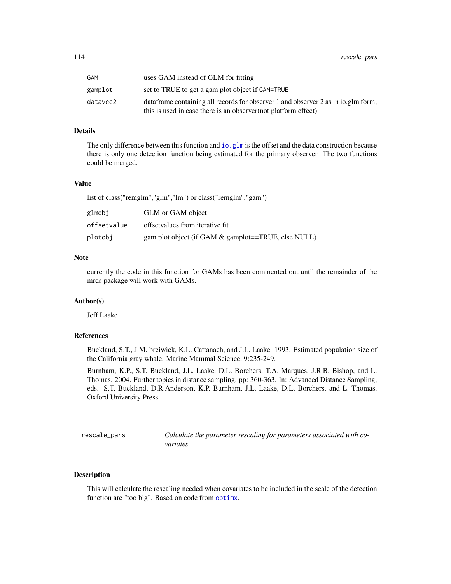<span id="page-113-0"></span>

| GAM      | uses GAM instead of GLM for fitting                                                |
|----------|------------------------------------------------------------------------------------|
| gamplot  | set to TRUE to get a gam plot object if GAM=TRUE                                   |
| datavec2 | data frame containing all records for observer 1 and observer 2 as in io.glm form; |
|          | this is used in case there is an observer (not platform effect)                    |

# Details

The only difference between this function and io.  $g\ln x$  is the offset and the data construction because there is only one detection function being estimated for the primary observer. The two functions could be merged.

# Value

list of class("remglm","glm","lm") or class("remglm","gam")

| glmobj      | GLM or GAM object                                   |
|-------------|-----------------------------------------------------|
| offsetvalue | offsetvalues from iterative fit.                    |
| plotobi     | gam plot object (if GAM & gamplot==TRUE, else NULL) |

# Note

currently the code in this function for GAMs has been commented out until the remainder of the mrds package will work with GAMs.

#### Author(s)

Jeff Laake

#### References

Buckland, S.T., J.M. breiwick, K.L. Cattanach, and J.L. Laake. 1993. Estimated population size of the California gray whale. Marine Mammal Science, 9:235-249.

Burnham, K.P., S.T. Buckland, J.L. Laake, D.L. Borchers, T.A. Marques, J.R.B. Bishop, and L. Thomas. 2004. Further topics in distance sampling. pp: 360-363. In: Advanced Distance Sampling, eds. S.T. Buckland, D.R.Anderson, K.P. Burnham, J.L. Laake, D.L. Borchers, and L. Thomas. Oxford University Press.

rescale\_pars *Calculate the parameter rescaling for parameters associated with covariates*

# Description

This will calculate the rescaling needed when covariates to be included in the scale of the detection function are "too big". Based on code from [optimx](#page-0-0).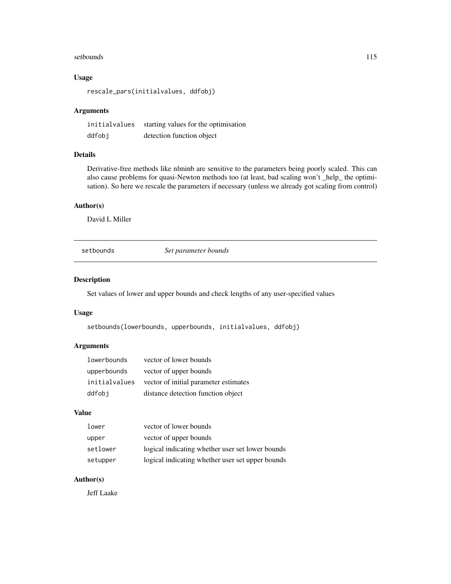#### <span id="page-114-0"></span>setbounds and the setbounds of the setbounds of the setbounds of the setbounds of the setbounds of the set of the set of the set of the set of the set of the set of the set of the set of the set of the set of the set of th

# Usage

rescale\_pars(initialvalues, ddfobj)

# Arguments

| initialvalues | starting values for the optimisation |
|---------------|--------------------------------------|
| ddfobj        | detection function object            |

# Details

Derivative-free methods like nlminb are sensitive to the parameters being poorly scaled. This can also cause problems for quasi-Newton methods too (at least, bad scaling won't \_help\_ the optimisation). So here we rescale the parameters if necessary (unless we already got scaling from control)

# Author(s)

David L Miller

setbounds *Set parameter bounds*

# Description

Set values of lower and upper bounds and check lengths of any user-specified values

# Usage

setbounds(lowerbounds, upperbounds, initialvalues, ddfobj)

# Arguments

| lowerbounds | vector of lower bounds                               |
|-------------|------------------------------------------------------|
| upperbounds | vector of upper bounds                               |
|             | initial values vector of initial parameter estimates |
| ddfobi      | distance detection function object                   |

# Value

| lower    | vector of lower bounds                           |
|----------|--------------------------------------------------|
| upper    | vector of upper bounds                           |
| setlower | logical indicating whether user set lower bounds |
| setupper | logical indicating whether user set upper bounds |

# Author(s)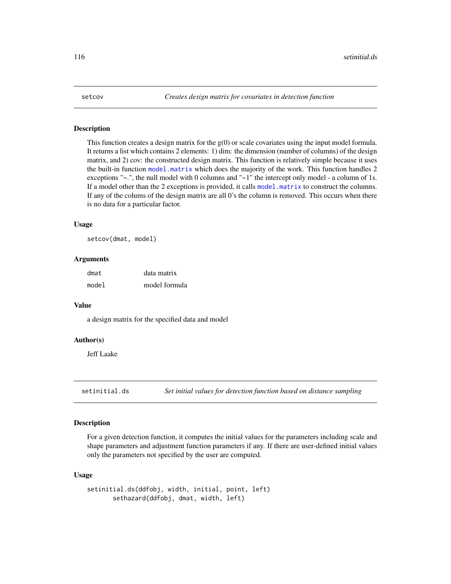<span id="page-115-0"></span>This function creates a design matrix for the g(0) or scale covariates using the input model formula. It returns a list which contains 2 elements: 1) dim: the dimension (number of columns) of the design matrix, and 2) cov: the constructed design matrix. This function is relatively simple because it uses the built-in function [model.matrix](#page-0-0) which does the majority of the work. This function handles 2 exceptions " $\sim$ .", the null model with 0 columns and " $\sim$ 1" the intercept only model - a column of 1s. If a model other than the 2 exceptions is provided, it calls [model.matrix](#page-0-0) to construct the columns. If any of the colums of the design matrix are all 0's the column is removed. This occurs when there is no data for a particular factor.

# Usage

setcov(dmat, model)

# Arguments

| dmat  | data matrix   |
|-------|---------------|
| model | model formula |

#### Value

a design matrix for the specified data and model

# Author(s)

Jeff Laake

setinitial.ds *Set initial values for detection function based on distance sampling*

# Description

For a given detection function, it computes the initial values for the parameters including scale and shape parameters and adjustment function parameters if any. If there are user-defined initial values only the parameters not specified by the user are computed.

#### Usage

```
setinitial.ds(ddfobj, width, initial, point, left)
      sethazard(ddfobj, dmat, width, left)
```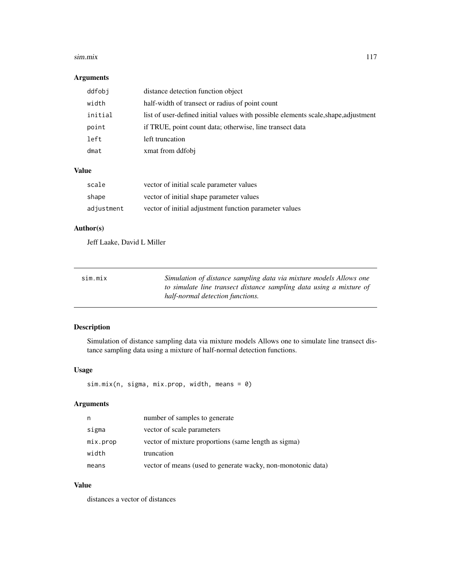#### <span id="page-116-0"></span>sim.mix 117

# Arguments

| ddfobj  | distance detection function object                                                  |
|---------|-------------------------------------------------------------------------------------|
| width   | half-width of transect or radius of point count                                     |
| initial | list of user-defined initial values with possible elements scale, shape, adjustment |
| point   | if TRUE, point count data; otherwise, line transect data                            |
| left    | left truncation                                                                     |
| dmat    | xmat from ddfobj                                                                    |

# Value

| scale      | vector of initial scale parameter values               |
|------------|--------------------------------------------------------|
| shape      | vector of initial shape parameter values               |
| adjustment | vector of initial adjustment function parameter values |

# Author(s)

Jeff Laake, David L Miller

| S1m.M1X | Simulation of distance sampling data via mixture models Allows one  |
|---------|---------------------------------------------------------------------|
|         | to simulate line transect distance sampling data using a mixture of |
|         | half-normal detection functions.                                    |

# Description

Simulation of distance sampling data via mixture models Allows one to simulate line transect distance sampling data using a mixture of half-normal detection functions.

# Usage

sim.mix(n, sigma, mix.prop, width, means = 0)

# Arguments

| n        | number of samples to generate                                |
|----------|--------------------------------------------------------------|
| sigma    | vector of scale parameters                                   |
| mix.prop | vector of mixture proportions (same length as sigma)         |
| width    | truncation                                                   |
| means    | vector of means (used to generate wacky, non-monotonic data) |

# Value

distances a vector of distances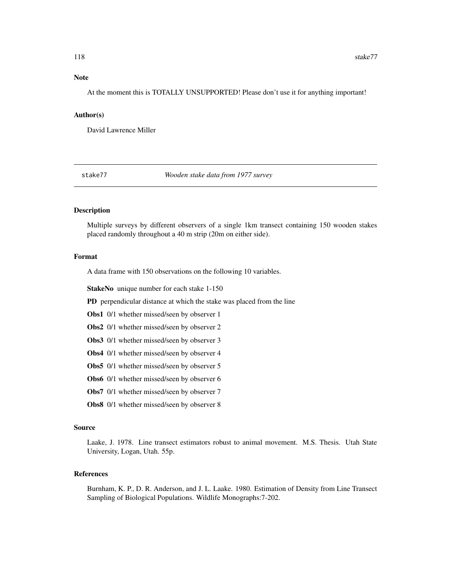## <span id="page-117-0"></span>Note

At the moment this is TOTALLY UNSUPPORTED! Please don't use it for anything important!

#### Author(s)

David Lawrence Miller

stake77 *Wooden stake data from 1977 survey*

#### Description

Multiple surveys by different observers of a single 1km transect containing 150 wooden stakes placed randomly throughout a 40 m strip (20m on either side).

#### Format

A data frame with 150 observations on the following 10 variables.

StakeNo unique number for each stake 1-150

PD perpendicular distance at which the stake was placed from the line

- Obs1 0/1 whether missed/seen by observer 1
- Obs2 0/1 whether missed/seen by observer 2
- Obs3 0/1 whether missed/seen by observer 3
- Obs4 0/1 whether missed/seen by observer 4
- Obs5 0/1 whether missed/seen by observer 5
- Obs6 0/1 whether missed/seen by observer 6
- Obs7 0/1 whether missed/seen by observer 7
- Obs8 0/1 whether missed/seen by observer 8

#### Source

Laake, J. 1978. Line transect estimators robust to animal movement. M.S. Thesis. Utah State University, Logan, Utah. 55p.

# References

Burnham, K. P., D. R. Anderson, and J. L. Laake. 1980. Estimation of Density from Line Transect Sampling of Biological Populations. Wildlife Monographs:7-202.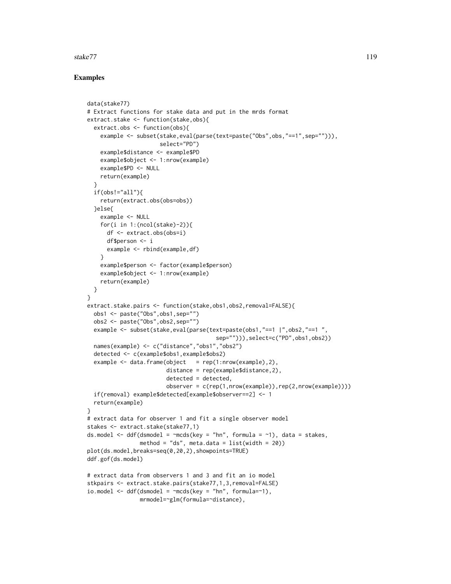# stake77 119

# Examples

```
data(stake77)
# Extract functions for stake data and put in the mrds format
extract.stake <- function(stake,obs){
 extract.obs <- function(obs){
    example <- subset(stake,eval(parse(text=paste("Obs",obs,"==1",sep=""))),
                      select="PD")
    example$distance <- example$PD
   example$object <- 1:nrow(example)
   example$PD <- NULL
   return(example)
 }
 if(obs!="all")return(extract.obs(obs=obs))
 }else{
   example <- NULL
   for(i in 1:(\text{ncol}(\text{stake})-2)){
      df <- extract.obs(obs=i)
      df$person <- i
      example <- rbind(example,df)
    }
    example$person <- factor(example$person)
    example$object <- 1:nrow(example)
   return(example)
 }
}
extract.stake.pairs <- function(stake,obs1,obs2,removal=FALSE){
 obs1 <- paste("Obs",obs1,sep="")
 obs2 <- paste("Obs",obs2,sep="")
 example <- subset(stake,eval(parse(text=paste(obs1,"==1 |",obs2,"==1 ",
                                        sep=""))),select=c("PD",obs1,obs2))
 names(example) <- c("distance","obs1","obs2")
 detected <- c(example$obs1,example$obs2)
 example \leq data.frame(object = rep(1:nrow(example),2),
                        distance = rep(example$distance,2),
                        detected = detected,
                        observer = c(rep(1,nrow(example)),rep(2,nrow(example))))
 if(removal) example$detected[example$observer==2] <- 1
 return(example)
}
# extract data for observer 1 and fit a single observer model
stakes <- extract.stake(stake77,1)
ds.model \leq ddf(dsmodel = \simmcds(key = "hn", formula = \sim1), data = stakes,
                method = "ds", meta.data = list(width = 20))
plot(ds.model,breaks=seq(0,20,2),showpoints=TRUE)
ddf.gof(ds.model)
# extract data from observers 1 and 3 and fit an io model
stkpairs <- extract.stake.pairs(stake77,1,3,removal=FALSE)
io.model \leq ddf(dsmodel = \simmcds(key = "hn", formula=\sim1),
                mrmodel=~glm(formula=~distance),
```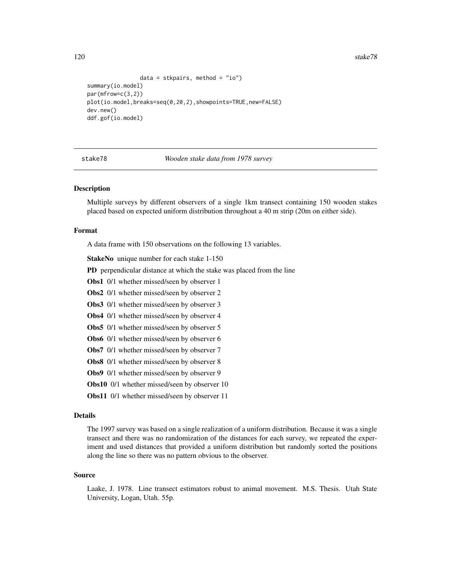120 stake78

```
data = stkpairs, method = "io")
summary(io.model)
par(mfrow=c(3,2))
plot(io.model,breaks=seq(0,20,2),showpoints=TRUE,new=FALSE)
dev.new()
ddf.gof(io.model)
```
stake78 *Wooden stake data from 1978 survey*

#### Description

Multiple surveys by different observers of a single 1km transect containing 150 wooden stakes placed based on expected uniform distribution throughout a 40 m strip (20m on either side).

# Format

A data frame with 150 observations on the following 13 variables.

StakeNo unique number for each stake 1-150

PD perpendicular distance at which the stake was placed from the line

Obs1 0/1 whether missed/seen by observer 1

Obs2 0/1 whether missed/seen by observer 2

Obs3 0/1 whether missed/seen by observer 3

Obs4 0/1 whether missed/seen by observer 4

Obs5 0/1 whether missed/seen by observer 5

Obs6 0/1 whether missed/seen by observer 6

Obs7 0/1 whether missed/seen by observer 7

Obs8 0/1 whether missed/seen by observer 8

Obs9 0/1 whether missed/seen by observer 9

Obs10 0/1 whether missed/seen by observer 10

Obs11 0/1 whether missed/seen by observer 11

#### Details

The 1997 survey was based on a single realization of a uniform distribution. Because it was a single transect and there was no randomization of the distances for each survey, we repeated the experiment and used distances that provided a uniform distribution but randomly sorted the positions along the line so there was no pattern obvious to the observer.

#### Source

Laake, J. 1978. Line transect estimators robust to animal movement. M.S. Thesis. Utah State University, Logan, Utah. 55p.

<span id="page-119-0"></span>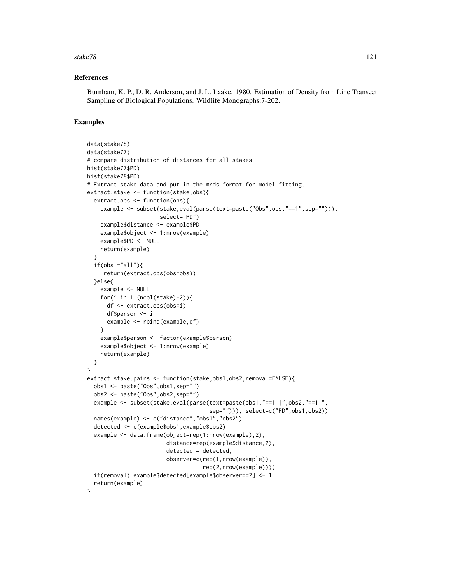#### stake78 121

#### References

Burnham, K. P., D. R. Anderson, and J. L. Laake. 1980. Estimation of Density from Line Transect Sampling of Biological Populations. Wildlife Monographs:7-202.

### Examples

```
data(stake78)
data(stake77)
# compare distribution of distances for all stakes
hist(stake77$PD)
hist(stake78$PD)
# Extract stake data and put in the mrds format for model fitting.
extract.stake <- function(stake,obs){
  extract.obs <- function(obs){
    example <- subset(stake,eval(parse(text=paste("Obs",obs,"==1",sep=""))),
                      select="PD")
    example$distance <- example$PD
    example$object <- 1:nrow(example)
    example$PD <- NULL
    return(example)
  }
  if(obs!="all")return(extract.obs(obs=obs))
  }else{
    example <- NULL
    for(i in 1:(\text{ncol}(\text{stake})-2)){
      df <- extract.obs(obs=i)
      df$person <- i
      example <- rbind(example,df)
    }
    example$person <- factor(example$person)
    example$object <- 1:nrow(example)
    return(example)
  }
}
extract.stake.pairs <- function(stake,obs1,obs2,removal=FALSE){
  obs1 <- paste("Obs",obs1,sep="")
  obs2 <- paste("Obs",obs2,sep="")
  example <- subset(stake,eval(parse(text=paste(obs1,"==1 |",obs2,"==1 ",
                                      sep=""))), select=c("PD",obs1,obs2))
  names(example) <- c("distance","obs1","obs2")
  detected <- c(example$obs1,example$obs2)
  example <- data.frame(object=rep(1:nrow(example),2),
                        distance=rep(example$distance,2),
                        detected = detected,
                        observer=c(rep(1,nrow(example)),
                                    rep(2,nrow(example))))
  if(removal) example$detected[example$observer==2] <- 1
  return(example)
}
```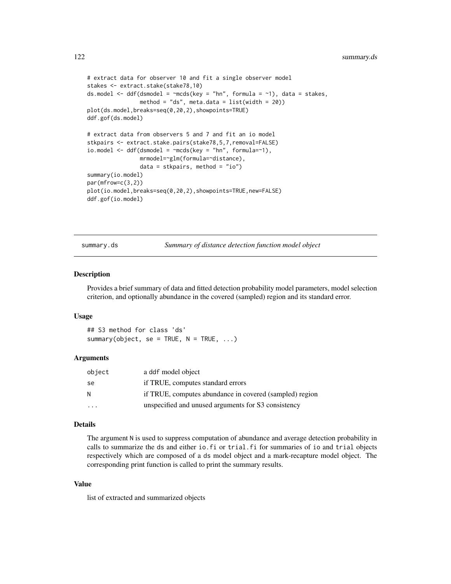```
# extract data for observer 10 and fit a single observer model
stakes <- extract.stake(stake78,10)
ds.model <- ddf(dsmodel = \negmcds(key = "hn", formula = \neg1), data = stakes,
                method = "ds", meta.data = list(width = 20))
plot(ds.model,breaks=seq(0,20,2),showpoints=TRUE)
ddf.gof(ds.model)
# extract data from observers 5 and 7 and fit an io model
stkpairs <- extract.stake.pairs(stake78,5,7,removal=FALSE)
io.model \leq ddf(dsmodel = \simmcds(key = "hn", formula=\sim1),
                mrmodel=~glm(formula=~distance),
                data = stkpairs, method = "io")
summary(io.model)
par(mfrow=c(3,2))
plot(io.model,breaks=seq(0,20,2),showpoints=TRUE,new=FALSE)
ddf.gof(io.model)
```
summary.ds *Summary of distance detection function model object*

#### Description

Provides a brief summary of data and fitted detection probability model parameters, model selection criterion, and optionally abundance in the covered (sampled) region and its standard error.

# Usage

## S3 method for class 'ds' summary(object, se = TRUE,  $N = TRUE, ...$ )

#### Arguments

| object | a ddf model object                                      |
|--------|---------------------------------------------------------|
| se     | if TRUE, computes standard errors                       |
| N      | if TRUE, computes abundance in covered (sampled) region |
|        | unspecified and unused arguments for S3 consistency     |

#### Details

The argument N is used to suppress computation of abundance and average detection probability in calls to summarize the ds and either io.fi or trial.fi for summaries of io and trial objects respectively which are composed of a ds model object and a mark-recapture model object. The corresponding print function is called to print the summary results.

# Value

list of extracted and summarized objects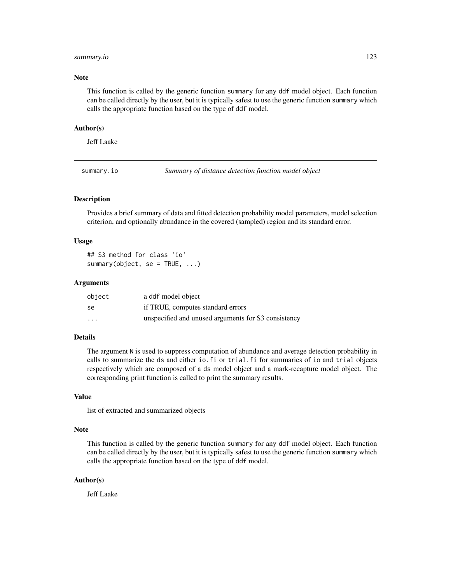#### <span id="page-122-0"></span>summary.io 123

#### Note

This function is called by the generic function summary for any ddf model object. Each function can be called directly by the user, but it is typically safest to use the generic function summary which calls the appropriate function based on the type of ddf model.

#### Author(s)

Jeff Laake

summary.io *Summary of distance detection function model object*

# Description

Provides a brief summary of data and fitted detection probability model parameters, model selection criterion, and optionally abundance in the covered (sampled) region and its standard error.

#### Usage

```
## S3 method for class 'io'
summary(object, se = TRUE, ...)
```
#### Arguments

| object   | a ddf model object                                  |
|----------|-----------------------------------------------------|
| se       | if TRUE, computes standard errors                   |
| $\cdots$ | unspecified and unused arguments for S3 consistency |

# Details

The argument N is used to suppress computation of abundance and average detection probability in calls to summarize the ds and either io.fi or trial.fi for summaries of io and trial objects respectively which are composed of a ds model object and a mark-recapture model object. The corresponding print function is called to print the summary results.

#### Value

list of extracted and summarized objects

#### Note

This function is called by the generic function summary for any ddf model object. Each function can be called directly by the user, but it is typically safest to use the generic function summary which calls the appropriate function based on the type of ddf model.

#### Author(s)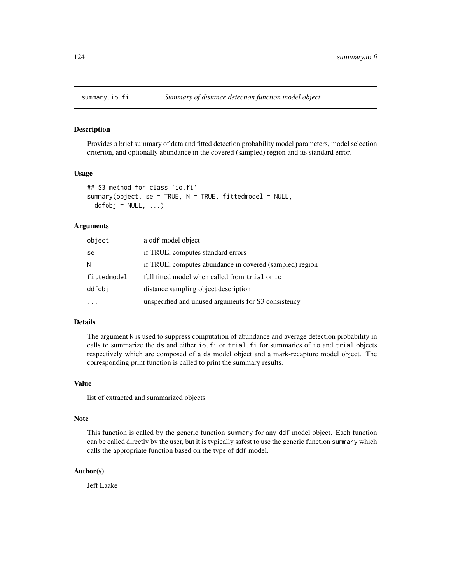<span id="page-123-0"></span>

Provides a brief summary of data and fitted detection probability model parameters, model selection criterion, and optionally abundance in the covered (sampled) region and its standard error.

#### Usage

```
## S3 method for class 'io.fi'
summary(object, se = TRUE, N = TRUE, fittedmodel = NULL,
 ddfobj = NULL, ...)
```
#### Arguments

| object      | a ddf model object                                      |
|-------------|---------------------------------------------------------|
| se          | if TRUE, computes standard errors                       |
| N           | if TRUE, computes abundance in covered (sampled) region |
| fittedmodel | full fitted model when called from trial or io          |
| ddfobi      | distance sampling object description                    |
|             | unspecified and unused arguments for S3 consistency     |

#### Details

The argument N is used to suppress computation of abundance and average detection probability in calls to summarize the ds and either io.fi or trial.fi for summaries of io and trial objects respectively which are composed of a ds model object and a mark-recapture model object. The corresponding print function is called to print the summary results.

#### Value

list of extracted and summarized objects

#### Note

This function is called by the generic function summary for any ddf model object. Each function can be called directly by the user, but it is typically safest to use the generic function summary which calls the appropriate function based on the type of ddf model.

# Author(s)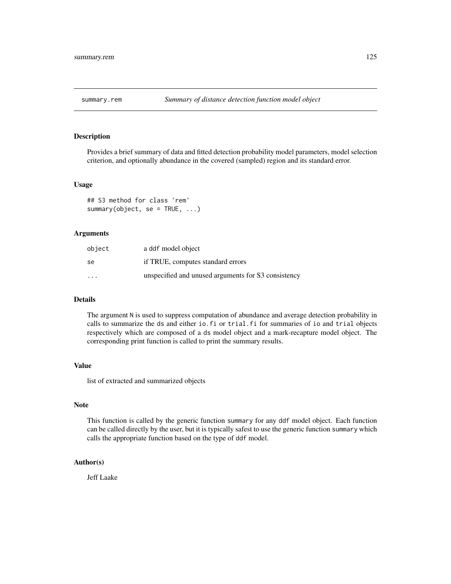<span id="page-124-0"></span>

Provides a brief summary of data and fitted detection probability model parameters, model selection criterion, and optionally abundance in the covered (sampled) region and its standard error.

#### Usage

## S3 method for class 'rem' summary(object, se = TRUE, ...)

#### Arguments

| object  | a ddf model object                                  |
|---------|-----------------------------------------------------|
| se      | if TRUE, computes standard errors                   |
| $\cdot$ | unspecified and unused arguments for S3 consistency |

# Details

The argument N is used to suppress computation of abundance and average detection probability in calls to summarize the ds and either io.fi or trial.fi for summaries of io and trial objects respectively which are composed of a ds model object and a mark-recapture model object. The corresponding print function is called to print the summary results.

# Value

list of extracted and summarized objects

# Note

This function is called by the generic function summary for any ddf model object. Each function can be called directly by the user, but it is typically safest to use the generic function summary which calls the appropriate function based on the type of ddf model.

# Author(s)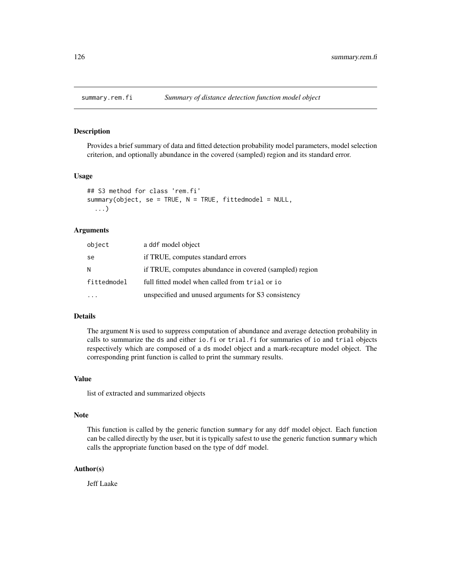<span id="page-125-0"></span>

Provides a brief summary of data and fitted detection probability model parameters, model selection criterion, and optionally abundance in the covered (sampled) region and its standard error.

#### Usage

```
## S3 method for class 'rem.fi'
summary(object, se = TRUE, N = TRUE, fittedmodel = NULL,
  ...)
```
# Arguments

| object      | a ddf model object                                      |
|-------------|---------------------------------------------------------|
| se          | if TRUE, computes standard errors                       |
| N           | if TRUE, computes abundance in covered (sampled) region |
| fittedmodel | full fitted model when called from trial or io          |
| $\cdots$    | unspecified and unused arguments for S3 consistency     |

# Details

The argument N is used to suppress computation of abundance and average detection probability in calls to summarize the ds and either io.fi or trial.fi for summaries of io and trial objects respectively which are composed of a ds model object and a mark-recapture model object. The corresponding print function is called to print the summary results.

#### Value

list of extracted and summarized objects

# Note

This function is called by the generic function summary for any ddf model object. Each function can be called directly by the user, but it is typically safest to use the generic function summary which calls the appropriate function based on the type of ddf model.

#### Author(s)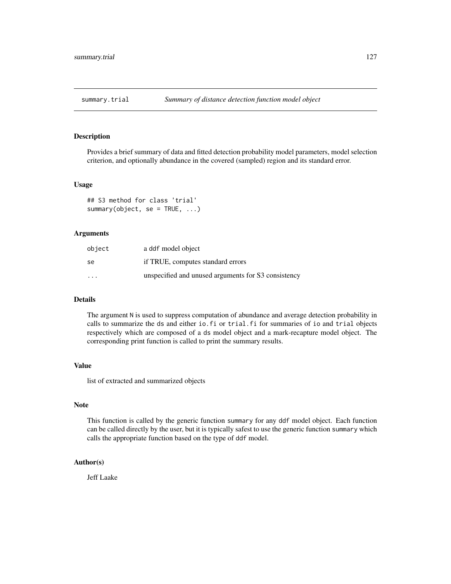<span id="page-126-0"></span>

Provides a brief summary of data and fitted detection probability model parameters, model selection criterion, and optionally abundance in the covered (sampled) region and its standard error.

#### Usage

## S3 method for class 'trial' summary(object, se = TRUE, ...)

# Arguments

| object  | a ddf model object                                  |
|---------|-----------------------------------------------------|
| se      | if TRUE, computes standard errors                   |
| $\cdot$ | unspecified and unused arguments for S3 consistency |

# Details

The argument N is used to suppress computation of abundance and average detection probability in calls to summarize the ds and either io.fi or trial.fi for summaries of io and trial objects respectively which are composed of a ds model object and a mark-recapture model object. The corresponding print function is called to print the summary results.

# Value

list of extracted and summarized objects

# Note

This function is called by the generic function summary for any ddf model object. Each function can be called directly by the user, but it is typically safest to use the generic function summary which calls the appropriate function based on the type of ddf model.

# Author(s)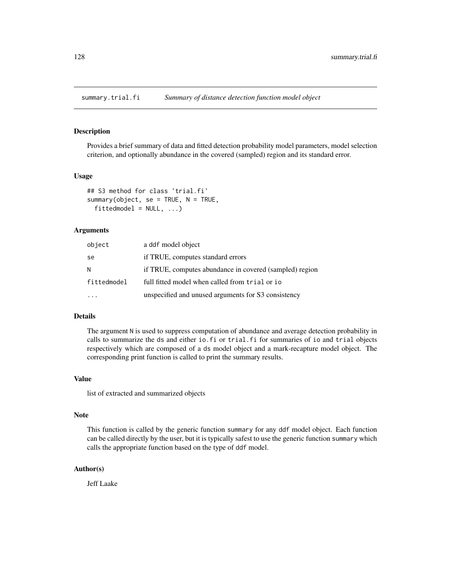<span id="page-127-0"></span>

Provides a brief summary of data and fitted detection probability model parameters, model selection criterion, and optionally abundance in the covered (sampled) region and its standard error.

#### Usage

```
## S3 method for class 'trial.fi'
summary(object, se = TRUE, N = TRUE,
  fittedmodel = NULL, ...
```
# Arguments

| object      | a ddf model object                                      |
|-------------|---------------------------------------------------------|
| se          | if TRUE, computes standard errors                       |
| N           | if TRUE, computes abundance in covered (sampled) region |
| fittedmodel | full fitted model when called from trial or io          |
| $\cdots$    | unspecified and unused arguments for S3 consistency     |

# Details

The argument N is used to suppress computation of abundance and average detection probability in calls to summarize the ds and either io.fi or trial.fi for summaries of io and trial objects respectively which are composed of a ds model object and a mark-recapture model object. The corresponding print function is called to print the summary results.

#### Value

list of extracted and summarized objects

#### Note

This function is called by the generic function summary for any ddf model object. Each function can be called directly by the user, but it is typically safest to use the generic function summary which calls the appropriate function based on the type of ddf model.

#### Author(s)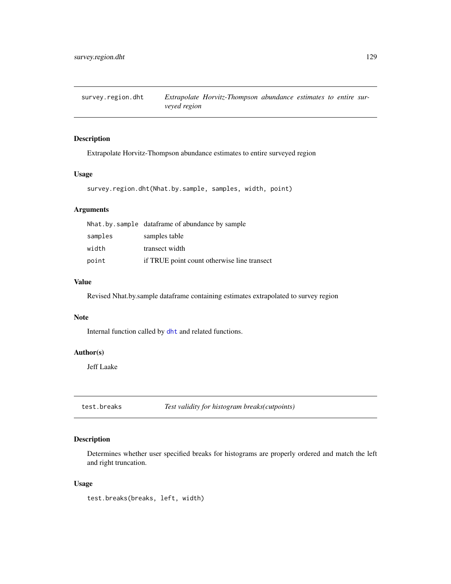<span id="page-128-0"></span>

Extrapolate Horvitz-Thompson abundance estimates to entire surveyed region

# Usage

```
survey.region.dht(Nhat.by.sample, samples, width, point)
```
# Arguments

|         | Nhat by sample dataframe of abundance by sample |
|---------|-------------------------------------------------|
| samples | samples table                                   |
| width   | transect width                                  |
| point   | if TRUE point count otherwise line transect     |

#### Value

Revised Nhat.by.sample dataframe containing estimates extrapolated to survey region

# Note

Internal function called by [dht](#page-37-0) and related functions.

### Author(s)

Jeff Laake

test.breaks *Test validity for histogram breaks(cutpoints)*

# Description

Determines whether user specified breaks for histograms are properly ordered and match the left and right truncation.

# Usage

test.breaks(breaks, left, width)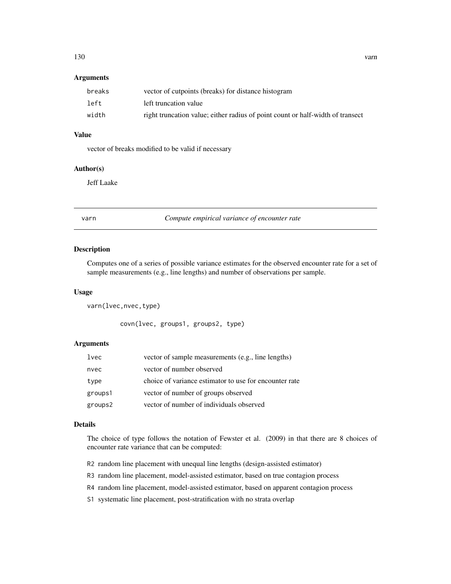# <span id="page-129-0"></span>Arguments

| breaks | vector of cutpoints (breaks) for distance histogram                            |
|--------|--------------------------------------------------------------------------------|
| left   | left truncation value                                                          |
| width  | right truncation value; either radius of point count or half-width of transect |

# Value

vector of breaks modified to be valid if necessary

# Author(s)

Jeff Laake

varn *Compute empirical variance of encounter rate*

#### Description

Computes one of a series of possible variance estimates for the observed encounter rate for a set of sample measurements (e.g., line lengths) and number of observations per sample.

#### Usage

varn(lvec,nvec,type)

covn(lvec, groups1, groups2, type)

# Arguments

| lvec    | vector of sample measurements (e.g., line lengths)     |
|---------|--------------------------------------------------------|
| nvec    | vector of number observed                              |
| type    | choice of variance estimator to use for encounter rate |
| groups1 | vector of number of groups observed                    |
| groups2 | vector of number of individuals observed               |

#### Details

The choice of type follows the notation of Fewster et al. (2009) in that there are 8 choices of encounter rate variance that can be computed:

- R2 random line placement with unequal line lengths (design-assisted estimator)
- R3 random line placement, model-assisted estimator, based on true contagion process
- R4 random line placement, model-assisted estimator, based on apparent contagion process
- S1 systematic line placement, post-stratification with no strata overlap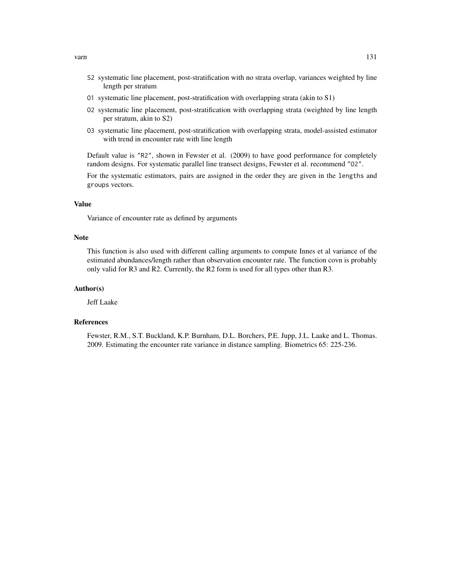- S2 systematic line placement, post-stratification with no strata overlap, variances weighted by line length per stratum
- O1 systematic line placement, post-stratification with overlapping strata (akin to S1)
- O2 systematic line placement, post-stratification with overlapping strata (weighted by line length per stratum, akin to S2)
- O3 systematic line placement, post-stratification with overlapping strata, model-assisted estimator with trend in encounter rate with line length

Default value is "R2", shown in Fewster et al. (2009) to have good performance for completely random designs. For systematic parallel line transect designs, Fewster et al. recommend "O2".

For the systematic estimators, pairs are assigned in the order they are given in the lengths and groups vectors.

#### Value

Variance of encounter rate as defined by arguments

#### Note

This function is also used with different calling arguments to compute Innes et al variance of the estimated abundances/length rather than observation encounter rate. The function covn is probably only valid for R3 and R2. Currently, the R2 form is used for all types other than R3.

# Author(s)

Jeff Laake

# References

Fewster, R.M., S.T. Buckland, K.P. Burnham, D.L. Borchers, P.E. Jupp, J.L. Laake and L. Thomas. 2009. Estimating the encounter rate variance in distance sampling. Biometrics 65: 225-236.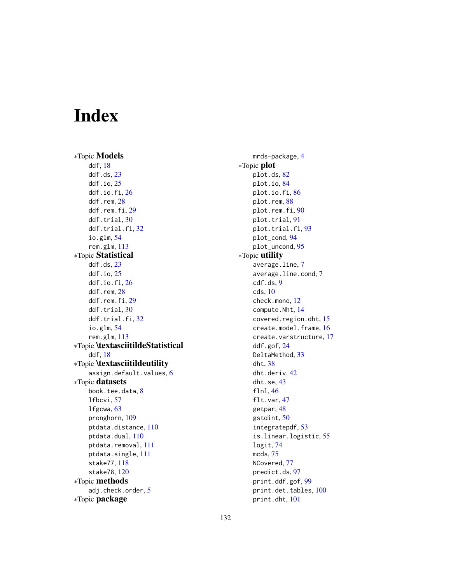# Index

∗Topic Models ddf, [18](#page-17-0) ddf.ds, [23](#page-22-0) ddf.io, [25](#page-24-0) ddf.io.fi, [26](#page-25-0) ddf.rem, [28](#page-27-0) ddf.rem.fi, [29](#page-28-0) ddf.trial, [30](#page-29-0) ddf.trial.fi, [32](#page-31-0) io.glm, [54](#page-53-1) rem.glm, [113](#page-112-0) ∗Topic Statistical ddf.ds, [23](#page-22-0) ddf.io, [25](#page-24-0) ddf.io.fi, [26](#page-25-0) ddf.rem, [28](#page-27-0) ddf.rem.fi, [29](#page-28-0) ddf.trial, [30](#page-29-0) ddf.trial.fi, [32](#page-31-0) io.glm, [54](#page-53-1) rem.glm, [113](#page-112-0) ∗Topic \textasciitildeStatistical ddf, [18](#page-17-0) ∗Topic \textasciitildeutility assign.default.values, [6](#page-5-0) ∗Topic datasets book.tee.data, [8](#page-7-0) lfbcvi, [57](#page-56-0) lfgcwa, [63](#page-62-0) pronghorn, [109](#page-108-0) ptdata.distance, [110](#page-109-0) ptdata.dual, [110](#page-109-0) ptdata.removal, [111](#page-110-0) ptdata.single, [111](#page-110-0) stake77, [118](#page-117-0) stake78, [120](#page-119-0) ∗Topic methods adj.check.order, [5](#page-4-0) ∗Topic package

mrds-package, [4](#page-3-0) ∗Topic plot plot.ds, [82](#page-81-0) plot.io, [84](#page-83-0) plot.io.fi, [86](#page-85-0) plot.rem, [88](#page-87-0) plot.rem.fi, [90](#page-89-0) plot.trial, [91](#page-90-0) plot.trial.fi, [93](#page-92-0) plot\_cond, [94](#page-93-0) plot\_uncond, [95](#page-94-0) ∗Topic utility average.line, [7](#page-6-0) average.line.cond, [7](#page-6-0) cdf.ds, [9](#page-8-1) cds, [10](#page-9-0) check.mono, [12](#page-11-0) compute.Nht, [14](#page-13-0) covered.region.dht, [15](#page-14-0) create.model.frame, [16](#page-15-0) create.varstructure, [17](#page-16-0) ddf.gof, [24](#page-23-1) DeltaMethod, [33](#page-32-0) dht, [38](#page-37-1) dht.deriv, [42](#page-41-0) dht.se, [43](#page-42-0) flnl, [46](#page-45-0) flt.var, [47](#page-46-0) getpar, [48](#page-47-0) gstdint, [50](#page-49-0) integratepdf, [53](#page-52-0) is.linear.logistic, [55](#page-54-0) logit, [74](#page-73-0) mcds, [75](#page-74-0) NCovered, [77](#page-76-0) predict.ds, [97](#page-96-0) print.ddf.gof, [99](#page-98-0) print.det.tables, [100](#page-99-0) print.dht, [101](#page-100-0)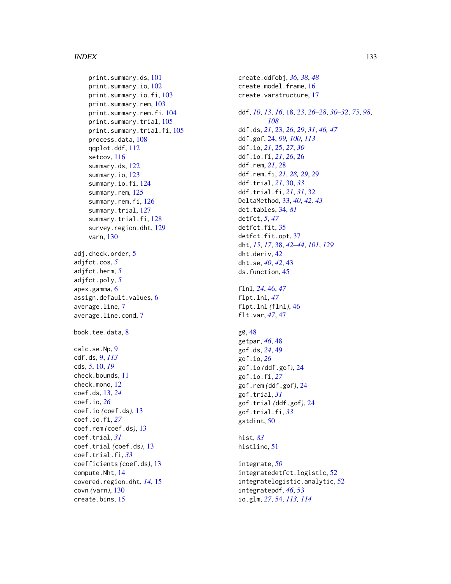#### INDEX  $133$

print.summary.ds, [101](#page-100-0) print.summary.io, [102](#page-101-0) print.summary.io.fi, [103](#page-102-0) print.summary.rem, [103](#page-102-0) print.summary.rem.fi, [104](#page-103-0) print.summary.trial, [105](#page-104-0) print.summary.trial.fi, [105](#page-104-0) process.data, [108](#page-107-0) qqplot.ddf, [112](#page-111-0) setcov, [116](#page-115-0) summary.ds, [122](#page-121-0) summary.io, [123](#page-122-0) summary.io.fi, [124](#page-123-0) summary.rem, [125](#page-124-0) summary.rem.fi, [126](#page-125-0) summary.trial, [127](#page-126-0) summary.trial.fi, [128](#page-127-0) survey.region.dht, [129](#page-128-0) varn, [130](#page-129-0) adj.check.order, [5](#page-4-0) adjfct.cos, *[5](#page-4-0)* adjfct.herm, *[5](#page-4-0)* adjfct.poly, *[5](#page-4-0)* apex.gamma, [6](#page-5-0) assign.default.values, [6](#page-5-0) average.line, [7](#page-6-0) average.line.cond, [7](#page-6-0) book.tee.data, [8](#page-7-0) calc.se.Np, [9](#page-8-1) cdf.ds, [9,](#page-8-1) *[113](#page-112-0)* cds, *[5](#page-4-0)*, [10,](#page-9-0) *[19](#page-18-0)* check.bounds, [11](#page-10-0) check.mono, [12](#page-11-0) coef.ds, [13,](#page-12-0) *[24](#page-23-1)* coef.io, *[26](#page-25-0)* coef.io *(*coef.ds*)*, [13](#page-12-0) coef.io.fi, *[27](#page-26-0)* coef.rem *(*coef.ds*)*, [13](#page-12-0) coef.trial, *[31](#page-30-0)* coef.trial *(*coef.ds*)*, [13](#page-12-0) coef.trial.fi, *[33](#page-32-0)* coefficients *(*coef.ds*)*, [13](#page-12-0) compute.Nht, [14](#page-13-0) covered.region.dht, *[14](#page-13-0)*, [15](#page-14-0) covn *(*varn*)*, [130](#page-129-0) create.bins, [15](#page-14-0)

create.ddfobj, *[36](#page-35-0)*, *[38](#page-37-1)*, *[48](#page-47-0)* create.model.frame, [16](#page-15-0) create.varstructure, [17](#page-16-0) ddf, *[10](#page-9-0)*, *[13](#page-12-0)*, *[16](#page-15-0)*, [18,](#page-17-0) *[23](#page-22-0)*, *[26](#page-25-0)[–28](#page-27-0)*, *[30](#page-29-0)[–32](#page-31-0)*, *[75](#page-74-0)*, *[98](#page-97-0)*, *[108](#page-107-0)* ddf.ds, *[21](#page-20-0)*, [23,](#page-22-0) *[26](#page-25-0)*, *[29](#page-28-0)*, *[31](#page-30-0)*, *[46,](#page-45-0) [47](#page-46-0)* ddf.gof, [24,](#page-23-1) *[99,](#page-98-0) [100](#page-99-0)*, *[113](#page-112-0)* ddf.io, *[21](#page-20-0)*, [25,](#page-24-0) *[27](#page-26-0)*, *[30](#page-29-0)* ddf.io.fi, *[21](#page-20-0)*, *[26](#page-25-0)*, [26](#page-25-0) ddf.rem, *[21](#page-20-0)*, [28](#page-27-0) ddf.rem.fi, *[21](#page-20-0)*, *[28,](#page-27-0) [29](#page-28-0)*, [29](#page-28-0) ddf.trial, *[21](#page-20-0)*, [30,](#page-29-0) *[33](#page-32-0)* ddf.trial.fi, *[21](#page-20-0)*, *[31](#page-30-0)*, [32](#page-31-0) DeltaMethod, [33,](#page-32-0) *[40](#page-39-0)*, *[42,](#page-41-0) [43](#page-42-0)* det.tables, [34,](#page-33-0) *[81](#page-80-0)* detfct, *[5](#page-4-0)*, *[47](#page-46-0)* detfct.fit, [35](#page-34-0) detfct.fit.opt, [37](#page-36-0) dht, *[15](#page-14-0)*, *[17](#page-16-0)*, [38,](#page-37-1) *[42](#page-41-0)[–44](#page-43-0)*, *[101](#page-100-0)*, *[129](#page-128-0)* dht.deriv, [42](#page-41-0) dht.se, *[40](#page-39-0)*, *[42](#page-41-0)*, [43](#page-42-0) ds.function, [45](#page-44-0) flnl, *[24](#page-23-1)*, [46,](#page-45-0) *[47](#page-46-0)* flpt.lnl, *[47](#page-46-0)* flpt.lnl *(*flnl*)*, [46](#page-45-0) flt.var, *[47](#page-46-0)*, [47](#page-46-0) g0, [48](#page-47-0) getpar, *[46](#page-45-0)*, [48](#page-47-0) gof.ds, *[24](#page-23-1)*, [49](#page-48-0) gof.io, *[26](#page-25-0)* gof.io *(*ddf.gof*)*, [24](#page-23-1) gof.io.fi, *[27](#page-26-0)* gof.rem *(*ddf.gof*)*, [24](#page-23-1) gof.trial, *[31](#page-30-0)* gof.trial *(*ddf.gof*)*, [24](#page-23-1) gof.trial.fi, *[33](#page-32-0)* gstdint, [50](#page-49-0) hist, *[83](#page-82-0)* histline, [51](#page-50-0) integrate, *[50](#page-49-0)* integratedetfct.logistic, [52](#page-51-0) integratelogistic.analytic, [52](#page-51-0) integratepdf, *[46](#page-45-0)*, [53](#page-52-0) io.glm, *[27](#page-26-0)*, [54,](#page-53-1) *[113,](#page-112-0) [114](#page-113-0)*